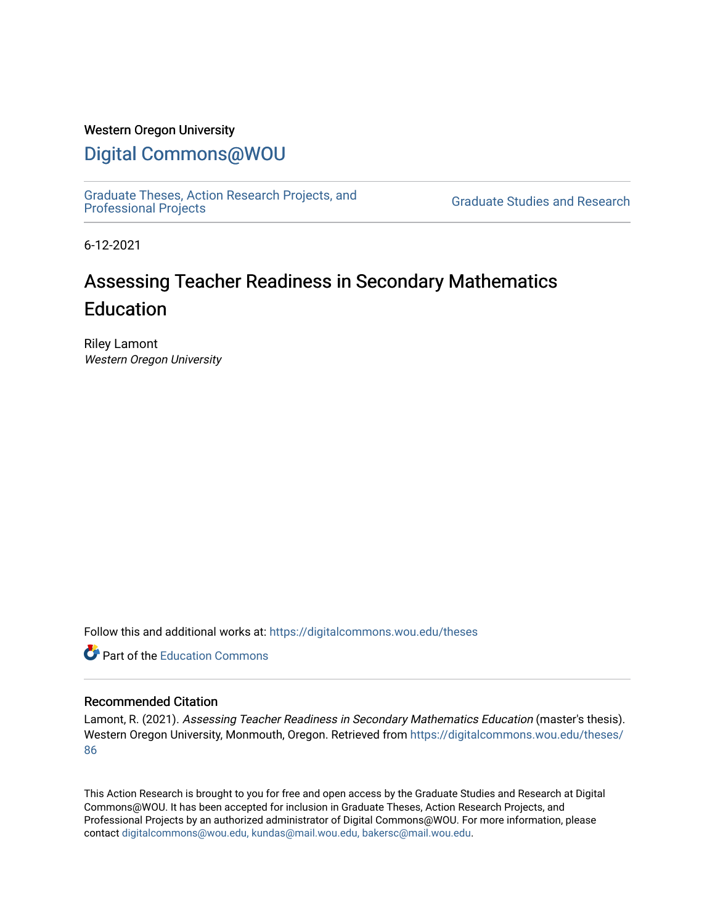# Western Oregon University

# [Digital Commons@WOU](https://digitalcommons.wou.edu/)

[Graduate Theses, Action Research Projects, and](https://digitalcommons.wou.edu/theses) 

**Graduate Studies and Research** 

6-12-2021

# Assessing Teacher Readiness in Secondary Mathematics **Education**

Riley Lamont Western Oregon University

Follow this and additional works at: [https://digitalcommons.wou.edu/theses](https://digitalcommons.wou.edu/theses?utm_source=digitalcommons.wou.edu%2Ftheses%2F86&utm_medium=PDF&utm_campaign=PDFCoverPages) 

**C** Part of the [Education Commons](https://network.bepress.com/hgg/discipline/784?utm_source=digitalcommons.wou.edu%2Ftheses%2F86&utm_medium=PDF&utm_campaign=PDFCoverPages)

# Recommended Citation

Lamont, R. (2021). Assessing Teacher Readiness in Secondary Mathematics Education (master's thesis). Western Oregon University, Monmouth, Oregon. Retrieved from [https://digitalcommons.wou.edu/theses/](https://digitalcommons.wou.edu/theses/86?utm_source=digitalcommons.wou.edu%2Ftheses%2F86&utm_medium=PDF&utm_campaign=PDFCoverPages) [86](https://digitalcommons.wou.edu/theses/86?utm_source=digitalcommons.wou.edu%2Ftheses%2F86&utm_medium=PDF&utm_campaign=PDFCoverPages)

This Action Research is brought to you for free and open access by the Graduate Studies and Research at Digital Commons@WOU. It has been accepted for inclusion in Graduate Theses, Action Research Projects, and Professional Projects by an authorized administrator of Digital Commons@WOU. For more information, please contact [digitalcommons@wou.edu, kundas@mail.wou.edu, bakersc@mail.wou.edu](mailto:digitalcommons@wou.edu,%20kundas@mail.wou.edu,%20bakersc@mail.wou.edu).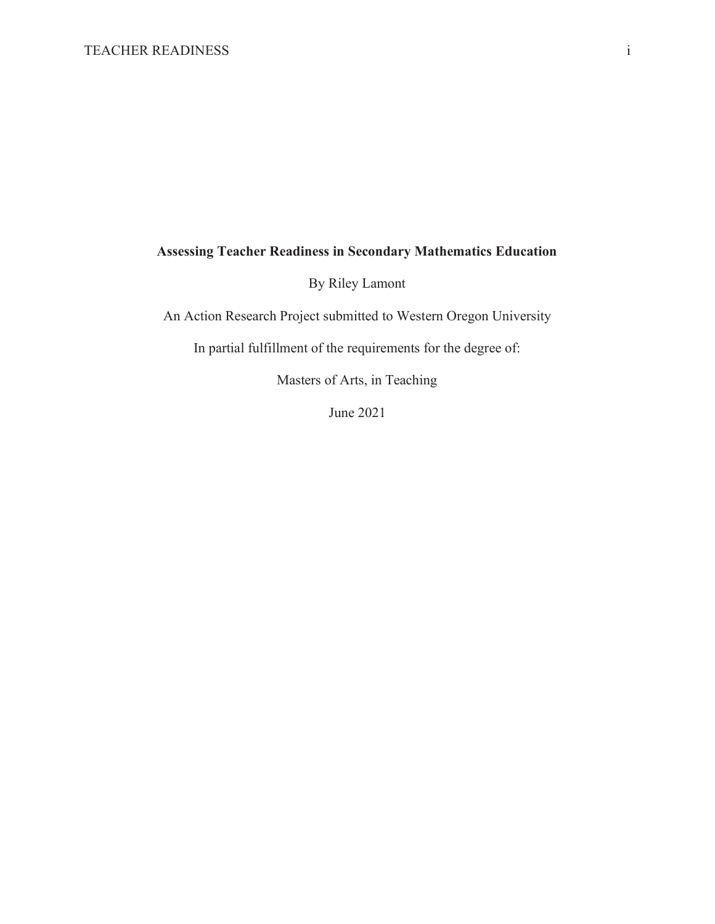# **Assessing Teacher Readiness in Secondary Mathematics Education**

By Riley Lamont

An Action Research Project submitted to Western Oregon University

In partial fulfillment of the requirements for the degree of:

Masters of Arts, in Teaching

June 2021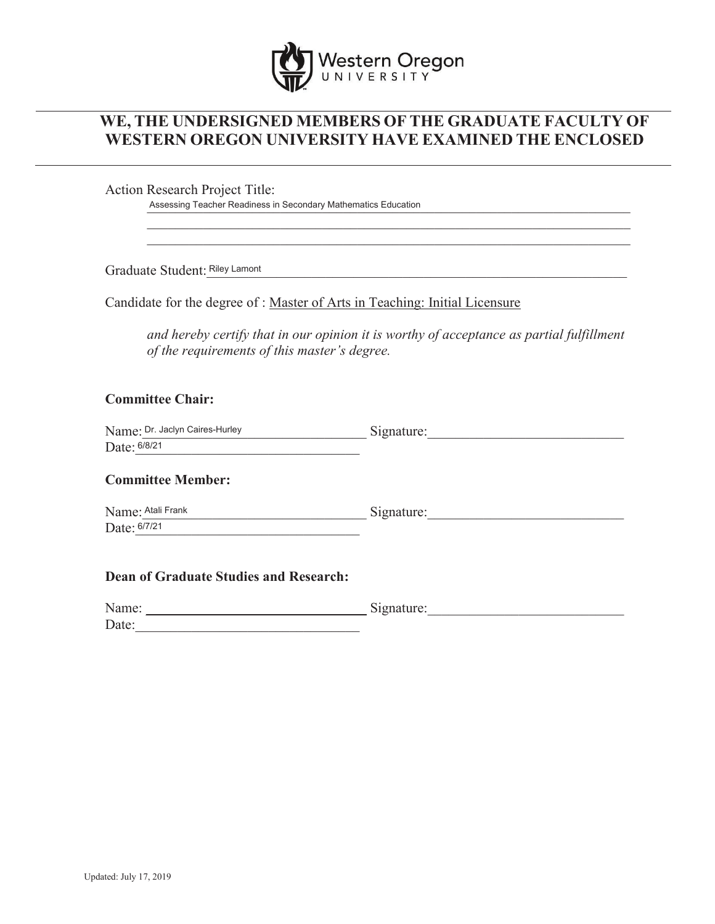

# **WE, THE UNDERSIGNED MEMBERS OF THE GRADUATE FACULTY OF WESTERN OREGON UNIVERSITY HAVE EXAMINED THE ENCLOSED**

Action Research Project Title:

Assessing Teacher Readiness in Secondary Mathematics Education

Graduate Student: Riley Lamont **Executive Student:** Riley Lamont

Candidate for the degree of : Master of Arts in Teaching: Initial Licensure

 *and hereby certify that in our opinion it is worthy of acceptance as partial fulfillment of the requirements of this master's degree.*

# **Committee Chair:**

| Name: Dr. Jaclyn Caires-Hurley | Signature: |
|--------------------------------|------------|
| Date: 6/8/21                   |            |

## **Committee Member:**

Name: Atali Frank and a series of the Signature:  $Date: 6/7/21$ 

### **Dean of Graduate Studies and Research:**

| Name: | Signature: |
|-------|------------|
| Date: |            |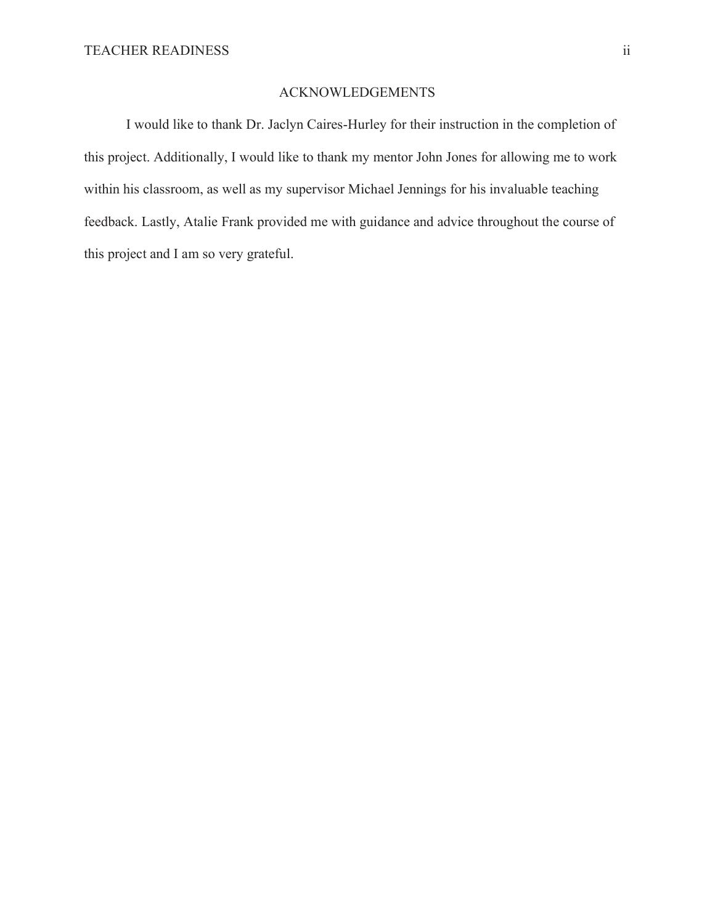# ACKNOWLEDGEMENTS

 I would like to thank Dr. Jaclyn Caires-Hurley for their instruction in the completion of this project. Additionally, I would like to thank my mentor John Jones for allowing me to work within his classroom, as well as my supervisor Michael Jennings for his invaluable teaching feedback. Lastly, Atalie Frank provided me with guidance and advice throughout the course of this project and I am so very grateful.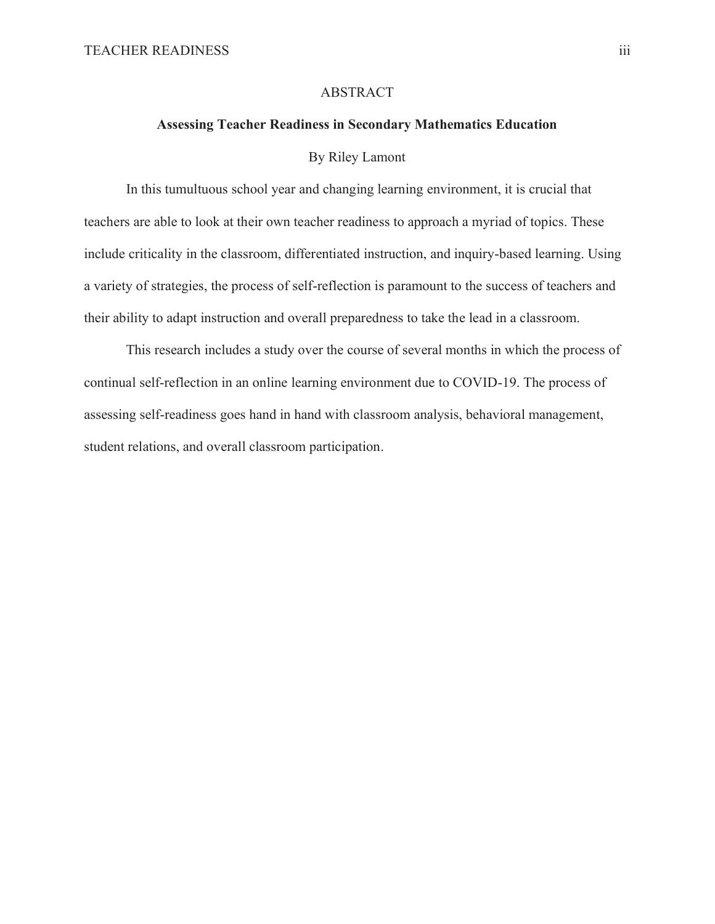#### ABSTRACT

## **Assessing Teacher Readiness in Secondary Mathematics Education**

#### By Riley Lamont

 In this tumultuous school year and changing learning environment, it is crucial that teachers are able to look at their own teacher readiness to approach a myriad of topics. These include criticality in the classroom, differentiated instruction, and inquiry-based learning. Using a variety of strategies, the process of self-reflection is paramount to the success of teachers and their ability to adapt instruction and overall preparedness to take the lead in a classroom.

 This research includes a study over the course of several months in which the process of continual self-reflection in an online learning environment due to COVID-19. The process of assessing self-readiness goes hand in hand with classroom analysis, behavioral management, student relations, and overall classroom participation.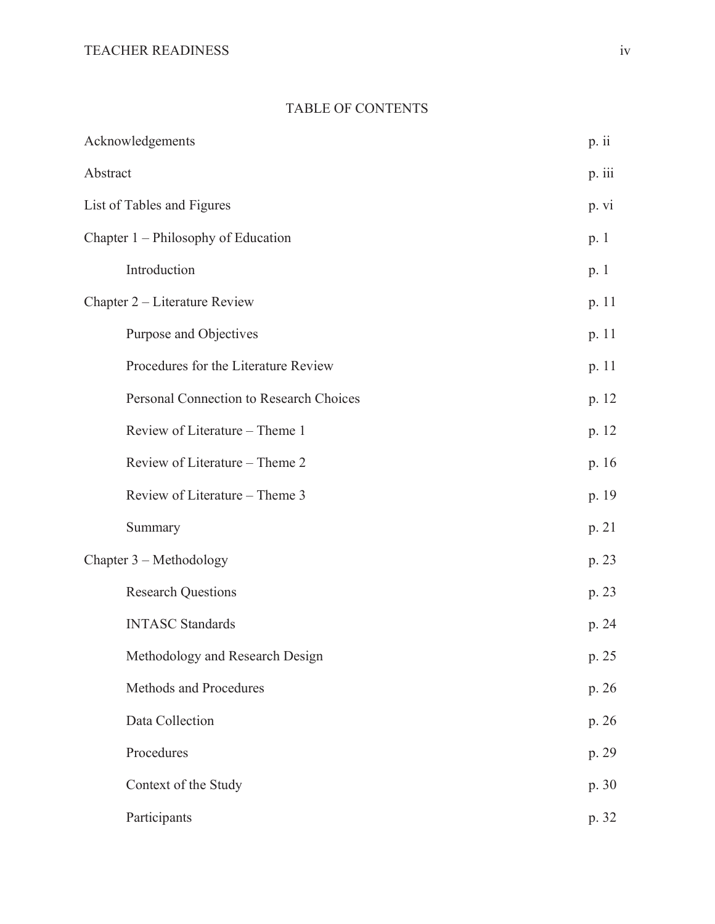# TABLE OF CONTENTS

| Acknowledgements                        | p. ii  |
|-----------------------------------------|--------|
| Abstract                                | p.iii  |
| List of Tables and Figures              | p. vi  |
| Chapter 1 – Philosophy of Education     | p. 1   |
| Introduction                            | p. $1$ |
| Chapter 2 – Literature Review           | p. 11  |
| Purpose and Objectives                  | p. 11  |
| Procedures for the Literature Review    | p. 11  |
| Personal Connection to Research Choices | p. 12  |
| Review of Literature - Theme 1          | p. 12  |
| Review of Literature - Theme 2          | p. 16  |
| Review of Literature – Theme 3          | p. 19  |
| Summary                                 | p. 21  |
| Chapter 3 – Methodology                 | p. 23  |
| <b>Research Questions</b>               | p. 23  |
| <b>INTASC Standards</b>                 | p. 24  |
| Methodology and Research Design         | p. 25  |
| Methods and Procedures                  | p. 26  |
| Data Collection                         | p. 26  |
| Procedures                              | p. 29  |
| Context of the Study                    | p. 30  |
| Participants                            | p. 32  |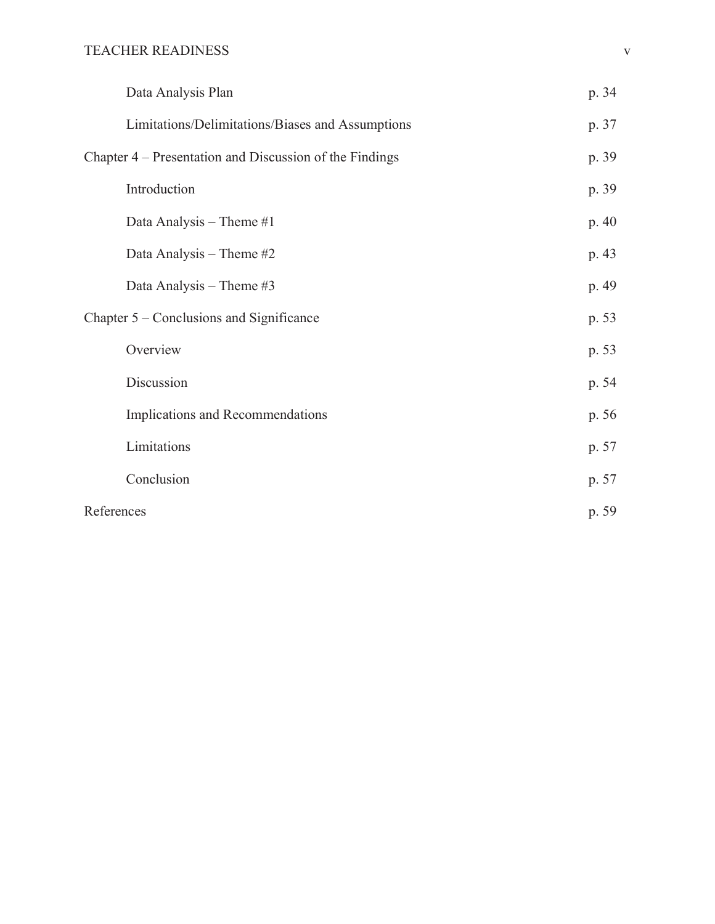| Data Analysis Plan                                      | p. 34 |
|---------------------------------------------------------|-------|
| Limitations/Delimitations/Biases and Assumptions        | p. 37 |
| Chapter 4 – Presentation and Discussion of the Findings | p. 39 |
| Introduction                                            | p. 39 |
| Data Analysis - Theme #1                                | p. 40 |
| Data Analysis - Theme #2                                | p. 43 |
| Data Analysis - Theme #3                                | p. 49 |
| Chapter 5 – Conclusions and Significance                | p. 53 |
| Overview                                                | p. 53 |
| Discussion                                              | p. 54 |
| Implications and Recommendations                        | p. 56 |
| Limitations                                             | p. 57 |
| Conclusion                                              | p. 57 |
| References                                              | p. 59 |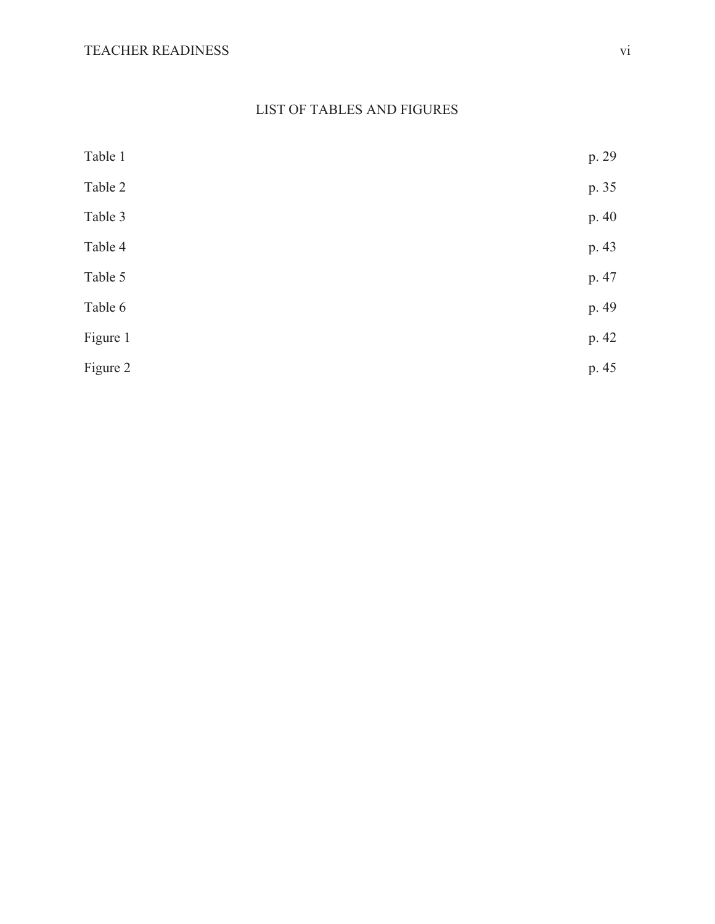# LIST OF TABLES AND FIGURES

| Table 1  | p. 29 |
|----------|-------|
| Table 2  | p. 35 |
| Table 3  | p. 40 |
| Table 4  | p. 43 |
| Table 5  | p. 47 |
| Table 6  | p. 49 |
| Figure 1 | p. 42 |
| Figure 2 | p. 45 |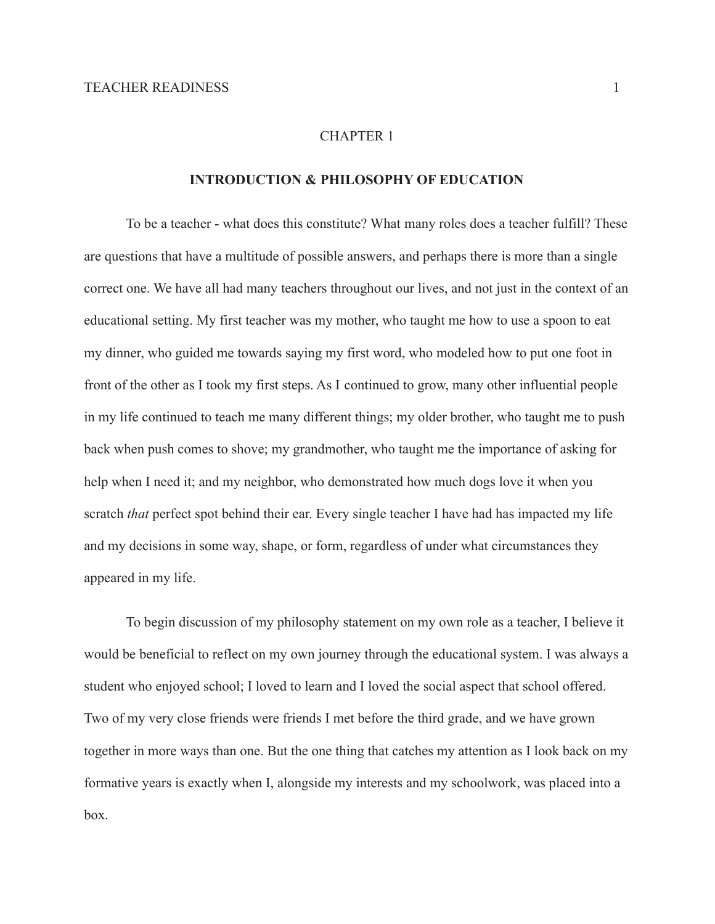#### CHAPTER 1

# **INTRODUCTION & PHILOSOPHY OF EDUCATION**

To be a teacher - what does this constitute? What many roles does a teacher fulfill? These are questions that have a multitude of possible answers, and perhaps there is more than a single correct one. We have all had many teachers throughout our lives, and not just in the context of an educational setting. My first teacher was my mother, who taught me how to use a spoon to eat my dinner, who guided me towards saying my first word, who modeled how to put one foot in front of the other as I took my first steps. As I continued to grow, many other influential people in my life continued to teach me many different things; my older brother, who taught me to push back when push comes to shove; my grandmother, who taught me the importance of asking for help when I need it; and my neighbor, who demonstrated how much dogs love it when you scratch *that* perfect spot behind their ear. Every single teacher I have had has impacted my life and my decisions in some way, shape, or form, regardless of under what circumstances they appeared in my life.

To begin discussion of my philosophy statement on my own role as a teacher, I believe it would be beneficial to reflect on my own journey through the educational system. I was always a student who enjoyed school; I loved to learn and I loved the social aspect that school offered. Two of my very close friends were friends I met before the third grade, and we have grown together in more ways than one. But the one thing that catches my attention as I look back on my formative years is exactly when I, alongside my interests and my schoolwork, was placed into a box.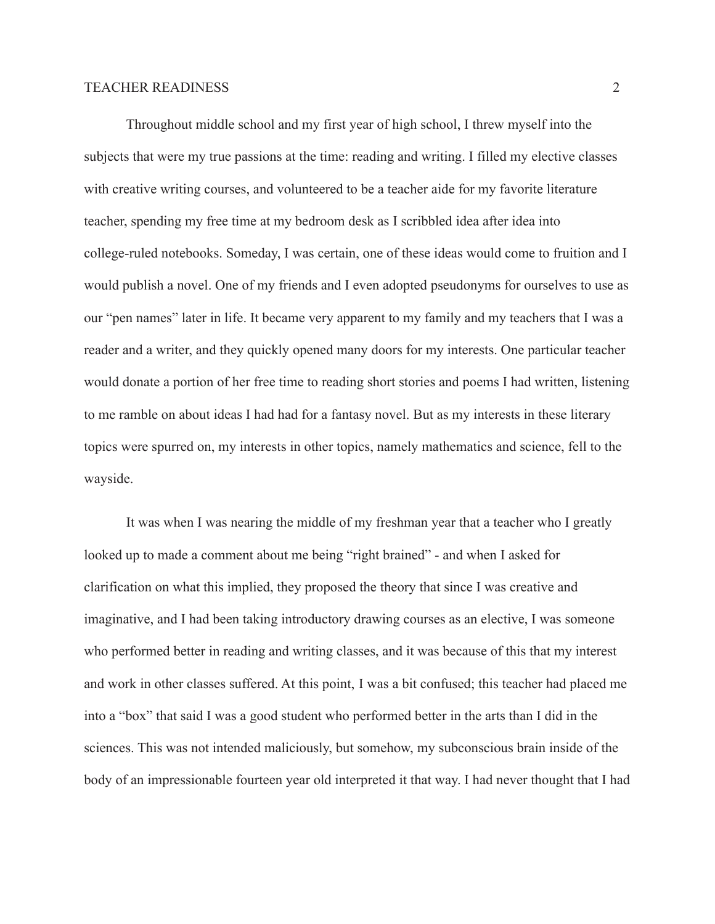Throughout middle school and my first year of high school, I threw myself into the subjects that were my true passions at the time: reading and writing. I filled my elective classes with creative writing courses, and volunteered to be a teacher aide for my favorite literature teacher, spending my free time at my bedroom desk as I scribbled idea after idea into college-ruled notebooks. Someday, I was certain, one of these ideas would come to fruition and I would publish a novel. One of my friends and I even adopted pseudonyms for ourselves to use as our "pen names" later in life. It became very apparent to my family and my teachers that I was a reader and a writer, and they quickly opened many doors for my interests. One particular teacher would donate a portion of her free time to reading short stories and poems I had written, listening to me ramble on about ideas I had had for a fantasy novel. But as my interests in these literary topics were spurred on, my interests in other topics, namely mathematics and science, fell to the wayside.

It was when I was nearing the middle of my freshman year that a teacher who I greatly looked up to made a comment about me being "right brained" - and when I asked for clarification on what this implied, they proposed the theory that since I was creative and imaginative, and I had been taking introductory drawing courses as an elective, I was someone who performed better in reading and writing classes, and it was because of this that my interest and work in other classes suffered. At this point, I was a bit confused; this teacher had placed me into a "box" that said I was a good student who performed better in the arts than I did in the sciences. This was not intended maliciously, but somehow, my subconscious brain inside of the body of an impressionable fourteen year old interpreted it that way. I had never thought that I had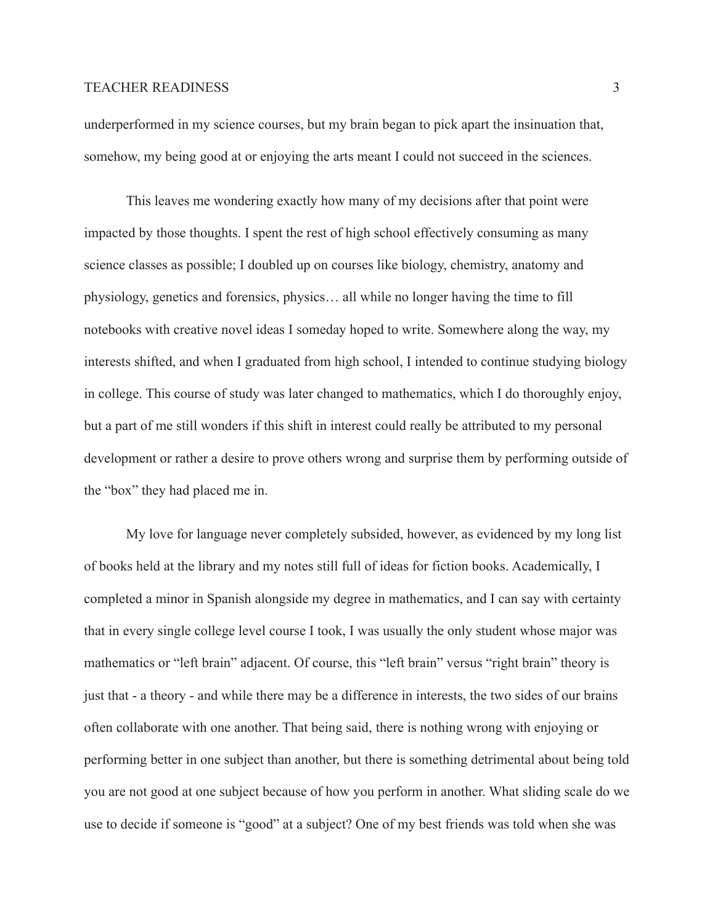underperformed in my science courses, but my brain began to pick apart the insinuation that, somehow, my being good at or enjoying the arts meant I could not succeed in the sciences.

This leaves me wondering exactly how many of my decisions after that point were impacted by those thoughts. I spent the rest of high school effectively consuming as many science classes as possible; I doubled up on courses like biology, chemistry, anatomy and physiology, genetics and forensics, physics… all while no longer having the time to fill notebooks with creative novel ideas I someday hoped to write. Somewhere along the way, my interests shifted, and when I graduated from high school, I intended to continue studying biology in college. This course of study was later changed to mathematics, which I do thoroughly enjoy, but a part of me still wonders if this shift in interest could really be attributed to my personal development or rather a desire to prove others wrong and surprise them by performing outside of the "box" they had placed me in.

My love for language never completely subsided, however, as evidenced by my long list of books held at the library and my notes still full of ideas for fiction books. Academically, I completed a minor in Spanish alongside my degree in mathematics, and I can say with certainty that in every single college level course I took, I was usually the only student whose major was mathematics or "left brain" adjacent. Of course, this "left brain" versus "right brain" theory is just that - a theory - and while there may be a difference in interests, the two sides of our brains often collaborate with one another. That being said, there is nothing wrong with enjoying or performing better in one subject than another, but there is something detrimental about being told you are not good at one subject because of how you perform in another. What sliding scale do we use to decide if someone is "good" at a subject? One of my best friends was told when she was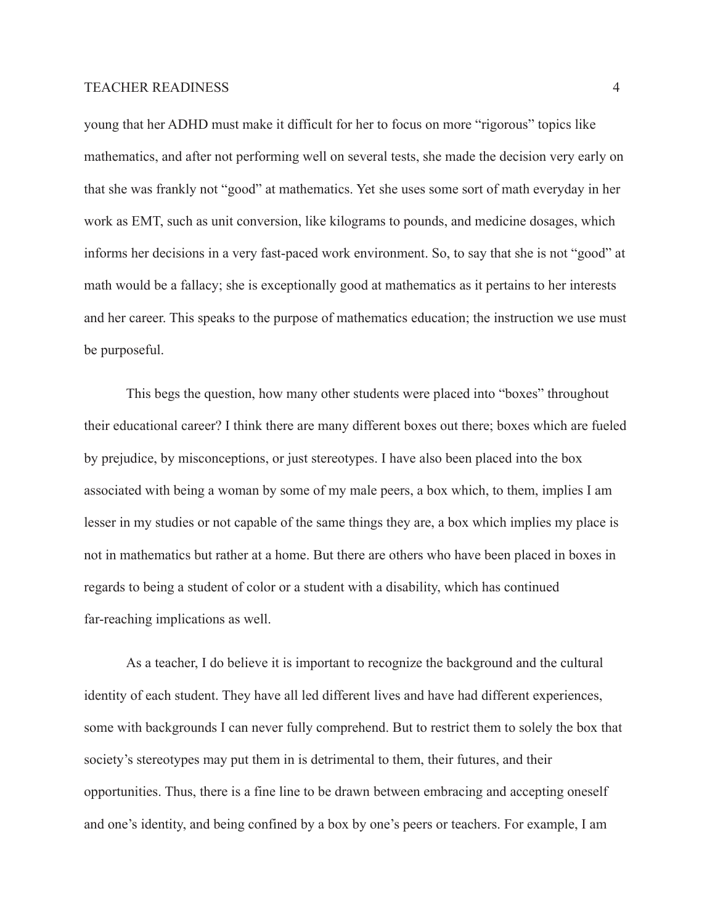young that her ADHD must make it difficult for her to focus on more "rigorous" topics like mathematics, and after not performing well on several tests, she made the decision very early on that she was frankly not "good" at mathematics. Yet she uses some sort of math everyday in her work as EMT, such as unit conversion, like kilograms to pounds, and medicine dosages, which informs her decisions in a very fast-paced work environment. So, to say that she is not "good" at math would be a fallacy; she is exceptionally good at mathematics as it pertains to her interests and her career. This speaks to the purpose of mathematics education; the instruction we use must be purposeful.

This begs the question, how many other students were placed into "boxes" throughout their educational career? I think there are many different boxes out there; boxes which are fueled by prejudice, by misconceptions, or just stereotypes. I have also been placed into the box associated with being a woman by some of my male peers, a box which, to them, implies I am lesser in my studies or not capable of the same things they are, a box which implies my place is not in mathematics but rather at a home. But there are others who have been placed in boxes in regards to being a student of color or a student with a disability, which has continued far-reaching implications as well.

As a teacher, I do believe it is important to recognize the background and the cultural identity of each student. They have all led different lives and have had different experiences, some with backgrounds I can never fully comprehend. But to restrict them to solely the box that society's stereotypes may put them in is detrimental to them, their futures, and their opportunities. Thus, there is a fine line to be drawn between embracing and accepting oneself and one's identity, and being confined by a box by one's peers or teachers. For example, I am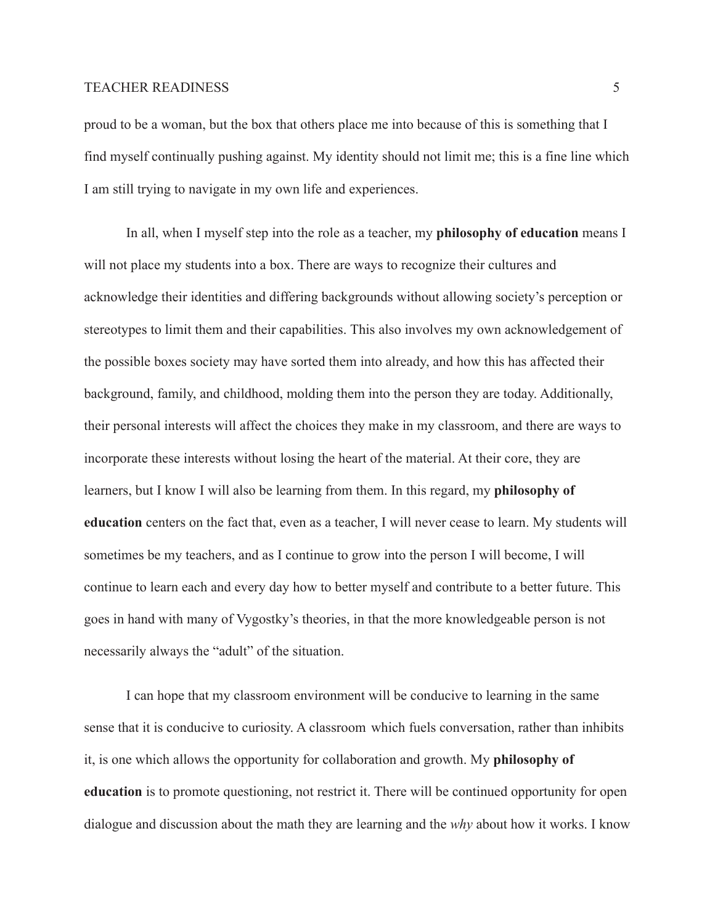proud to be a woman, but the box that others place me into because of this is something that I find myself continually pushing against. My identity should not limit me; this is a fine line which I am still trying to navigate in my own life and experiences.

In all, when I myself step into the role as a teacher, my **philosophy of education** means I will not place my students into a box. There are ways to recognize their cultures and acknowledge their identities and differing backgrounds without allowing society's perception or stereotypes to limit them and their capabilities. This also involves my own acknowledgement of the possible boxes society may have sorted them into already, and how this has affected their background, family, and childhood, molding them into the person they are today. Additionally, their personal interests will affect the choices they make in my classroom, and there are ways to incorporate these interests without losing the heart of the material. At their core, they are learners, but I know I will also be learning from them. In this regard, my **philosophy of education** centers on the fact that, even as a teacher, I will never cease to learn. My students will sometimes be my teachers, and as I continue to grow into the person I will become, I will continue to learn each and every day how to better myself and contribute to a better future. This goes in hand with many of Vygostky's theories, in that the more knowledgeable person is not necessarily always the "adult" of the situation.

I can hope that my classroom environment will be conducive to learning in the same sense that it is conducive to curiosity. A classroom which fuels conversation, rather than inhibits it, is one which allows the opportunity for collaboration and growth. My **philosophy of education** is to promote questioning, not restrict it. There will be continued opportunity for open dialogue and discussion about the math they are learning and the *why* about how it works. I know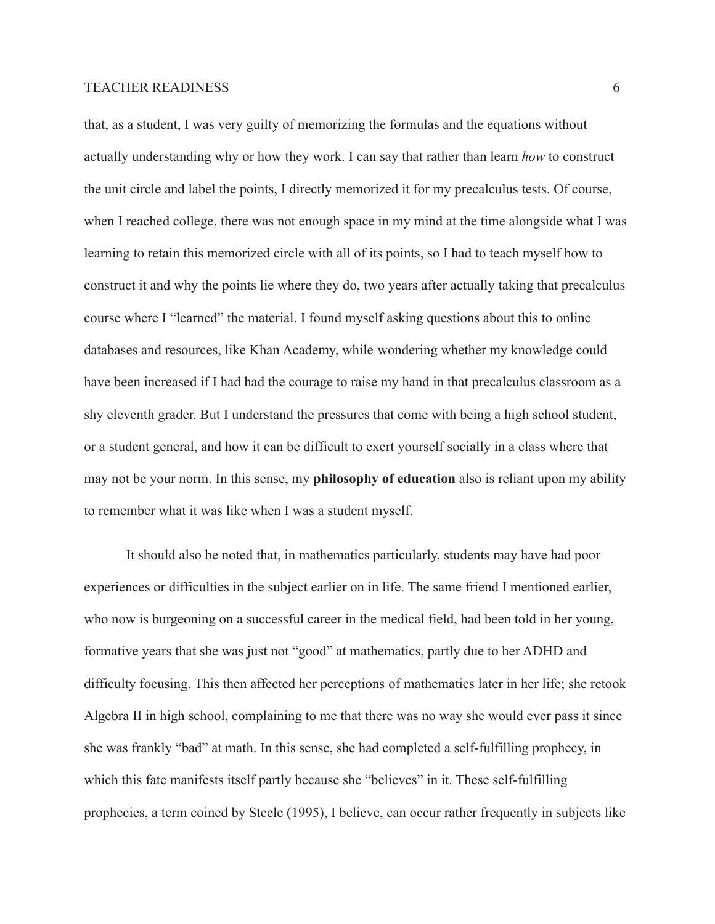that, as a student, I was very guilty of memorizing the formulas and the equations without actually understanding why or how they work. I can say that rather than learn *how* to construct the unit circle and label the points, I directly memorized it for my precalculus tests. Of course, when I reached college, there was not enough space in my mind at the time alongside what I was learning to retain this memorized circle with all of its points, so I had to teach myself how to construct it and why the points lie where they do, two years after actually taking that precalculus course where I "learned" the material. I found myself asking questions about this to online databases and resources, like Khan Academy, while wondering whether my knowledge could have been increased if I had had the courage to raise my hand in that precalculus classroom as a shy eleventh grader. But I understand the pressures that come with being a high school student, or a student general, and how it can be difficult to exert yourself socially in a class where that may not be your norm. In this sense, my **philosophy of education** also is reliant upon my ability to remember what it was like when I was a student myself.

It should also be noted that, in mathematics particularly, students may have had poor experiences or difficulties in the subject earlier on in life. The same friend I mentioned earlier, who now is burgeoning on a successful career in the medical field, had been told in her young, formative years that she was just not "good" at mathematics, partly due to her ADHD and difficulty focusing. This then affected her perceptions of mathematics later in her life; she retook Algebra II in high school, complaining to me that there was no way she would ever pass it since she was frankly "bad" at math. In this sense, she had completed a self-fulfilling prophecy, in which this fate manifests itself partly because she "believes" in it. These self-fulfilling prophecies, a term coined by Steele (1995), I believe, can occur rather frequently in subjects like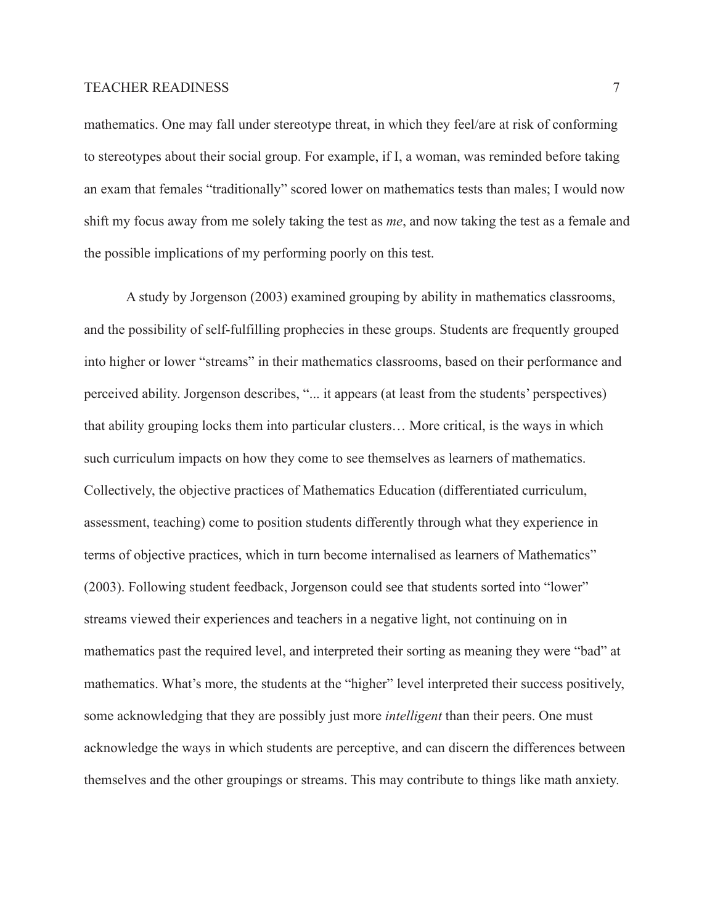mathematics. One may fall under stereotype threat, in which they feel/are at risk of conforming to stereotypes about their social group. For example, if I, a woman, was reminded before taking an exam that females "traditionally" scored lower on mathematics tests than males; I would now shift my focus away from me solely taking the test as *me*, and now taking the test as a female and the possible implications of my performing poorly on this test.

A study by Jorgenson (2003) examined grouping by ability in mathematics classrooms, and the possibility of self-fulfilling prophecies in these groups. Students are frequently grouped into higher or lower "streams" in their mathematics classrooms, based on their performance and perceived ability. Jorgenson describes, "... it appears (at least from the students' perspectives) that ability grouping locks them into particular clusters… More critical, is the ways in which such curriculum impacts on how they come to see themselves as learners of mathematics. Collectively, the objective practices of Mathematics Education (differentiated curriculum, assessment, teaching) come to position students differently through what they experience in terms of objective practices, which in turn become internalised as learners of Mathematics" (2003). Following student feedback, Jorgenson could see that students sorted into "lower" streams viewed their experiences and teachers in a negative light, not continuing on in mathematics past the required level, and interpreted their sorting as meaning they were "bad" at mathematics. What's more, the students at the "higher" level interpreted their success positively, some acknowledging that they are possibly just more *intelligent* than their peers. One must acknowledge the ways in which students are perceptive, and can discern the differences between themselves and the other groupings or streams. This may contribute to things like math anxiety.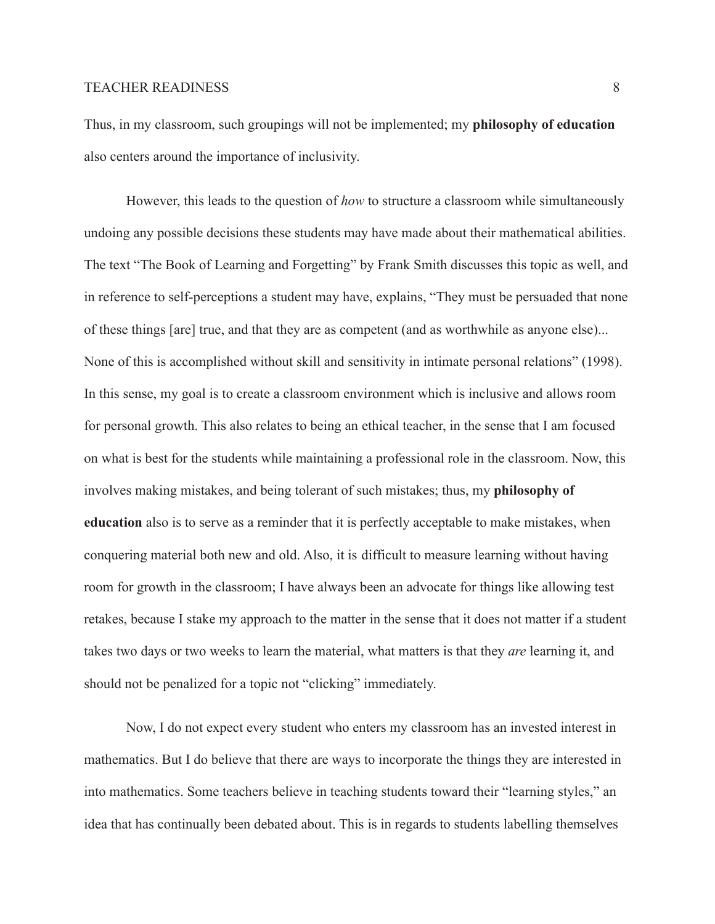Thus, in my classroom, such groupings will not be implemented; my **philosophy of education** also centers around the importance of inclusivity.

However, this leads to the question of *how* to structure a classroom while simultaneously undoing any possible decisions these students may have made about their mathematical abilities. The text "The Book of Learning and Forgetting" by Frank Smith discusses this topic as well, and in reference to self-perceptions a student may have, explains, "They must be persuaded that none of these things [are] true, and that they are as competent (and as worthwhile as anyone else)... None of this is accomplished without skill and sensitivity in intimate personal relations" (1998). In this sense, my goal is to create a classroom environment which is inclusive and allows room for personal growth. This also relates to being an ethical teacher, in the sense that I am focused on what is best for the students while maintaining a professional role in the classroom. Now, this involves making mistakes, and being tolerant of such mistakes; thus, my **philosophy of education** also is to serve as a reminder that it is perfectly acceptable to make mistakes, when conquering material both new and old. Also, it is difficult to measure learning without having room for growth in the classroom; I have always been an advocate for things like allowing test retakes, because I stake my approach to the matter in the sense that it does not matter if a student takes two days or two weeks to learn the material, what matters is that they *are* learning it, and should not be penalized for a topic not "clicking" immediately.

Now, I do not expect every student who enters my classroom has an invested interest in mathematics. But I do believe that there are ways to incorporate the things they are interested in into mathematics. Some teachers believe in teaching students toward their "learning styles," an idea that has continually been debated about. This is in regards to students labelling themselves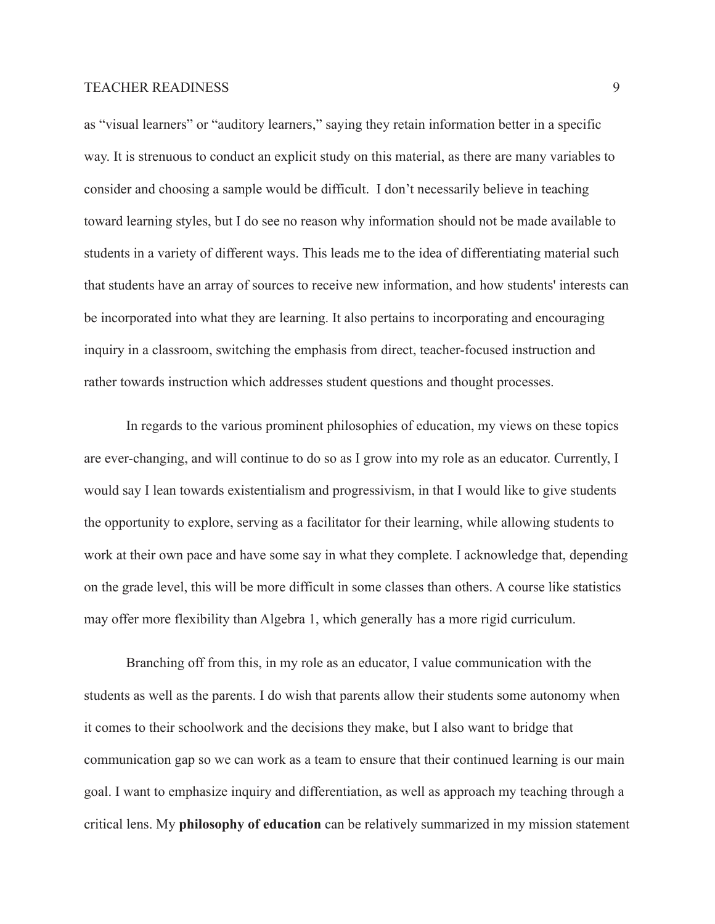as "visual learners" or "auditory learners," saying they retain information better in a specific way. It is strenuous to conduct an explicit study on this material, as there are many variables to consider and choosing a sample would be difficult. I don't necessarily believe in teaching toward learning styles, but I do see no reason why information should not be made available to students in a variety of different ways. This leads me to the idea of differentiating material such that students have an array of sources to receive new information, and how students' interests can be incorporated into what they are learning. It also pertains to incorporating and encouraging inquiry in a classroom, switching the emphasis from direct, teacher-focused instruction and rather towards instruction which addresses student questions and thought processes.

In regards to the various prominent philosophies of education, my views on these topics are ever-changing, and will continue to do so as I grow into my role as an educator. Currently, I would say I lean towards existentialism and progressivism, in that I would like to give students the opportunity to explore, serving as a facilitator for their learning, while allowing students to work at their own pace and have some say in what they complete. I acknowledge that, depending on the grade level, this will be more difficult in some classes than others. A course like statistics may offer more flexibility than Algebra 1, which generally has a more rigid curriculum.

Branching off from this, in my role as an educator, I value communication with the students as well as the parents. I do wish that parents allow their students some autonomy when it comes to their schoolwork and the decisions they make, but I also want to bridge that communication gap so we can work as a team to ensure that their continued learning is our main goal. I want to emphasize inquiry and differentiation, as well as approach my teaching through a critical lens. My **philosophy of education** can be relatively summarized in my mission statement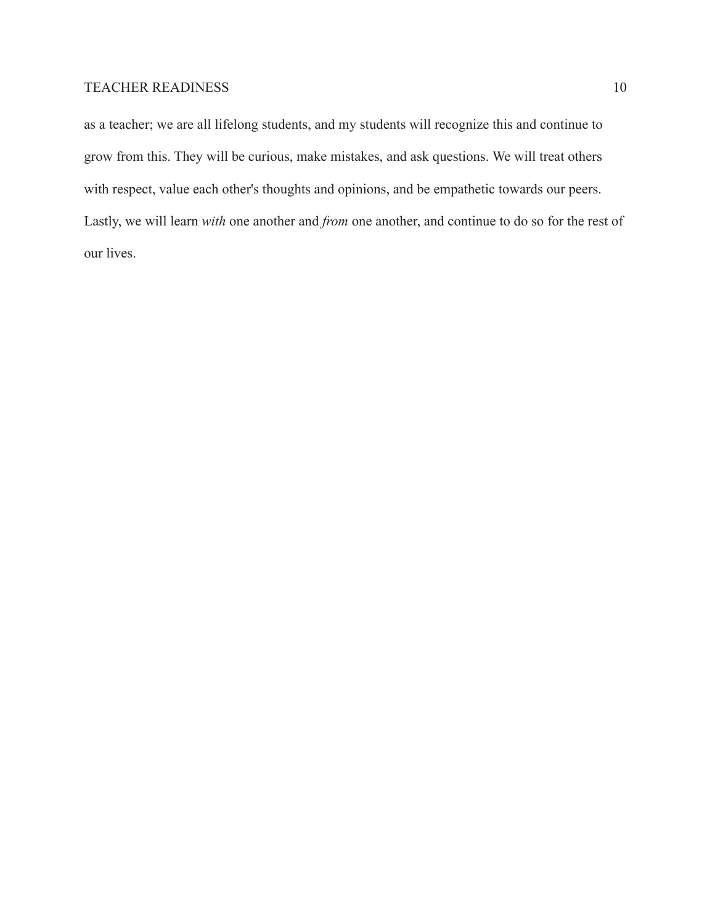as a teacher; we are all lifelong students, and my students will recognize this and continue to grow from this. They will be curious, make mistakes, and ask questions. We will treat others with respect, value each other's thoughts and opinions, and be empathetic towards our peers. Lastly, we will learn *with* one another and *from* one another, and continue to do so for the rest of our lives.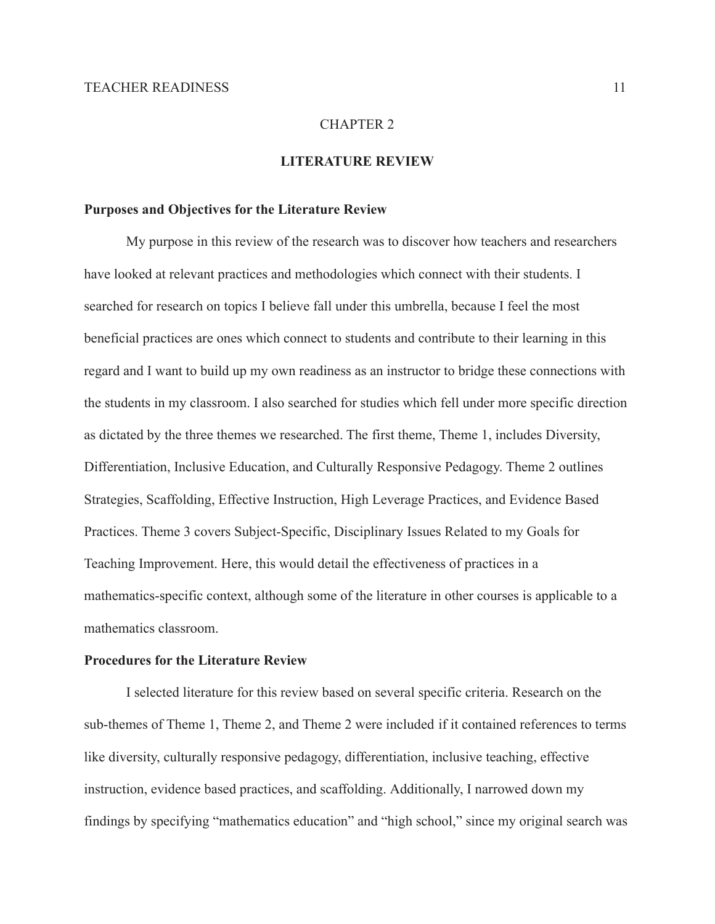## CHAPTER 2

# **LITERATURE REVIEW**

#### **Purposes and Objectives for the Literature Review**

My purpose in this review of the research was to discover how teachers and researchers have looked at relevant practices and methodologies which connect with their students. I searched for research on topics I believe fall under this umbrella, because I feel the most beneficial practices are ones which connect to students and contribute to their learning in this regard and I want to build up my own readiness as an instructor to bridge these connections with the students in my classroom. I also searched for studies which fell under more specific direction as dictated by the three themes we researched. The first theme, Theme 1, includes Diversity, Differentiation, Inclusive Education, and Culturally Responsive Pedagogy. Theme 2 outlines Strategies, Scaffolding, Effective Instruction, High Leverage Practices, and Evidence Based Practices. Theme 3 covers Subject-Specific, Disciplinary Issues Related to my Goals for Teaching Improvement. Here, this would detail the effectiveness of practices in a mathematics-specific context, although some of the literature in other courses is applicable to a mathematics classroom.

#### **Procedures for the Literature Review**

I selected literature for this review based on several specific criteria. Research on the sub-themes of Theme 1, Theme 2, and Theme 2 were included if it contained references to terms like diversity, culturally responsive pedagogy, differentiation, inclusive teaching, effective instruction, evidence based practices, and scaffolding. Additionally, I narrowed down my findings by specifying "mathematics education" and "high school," since my original search was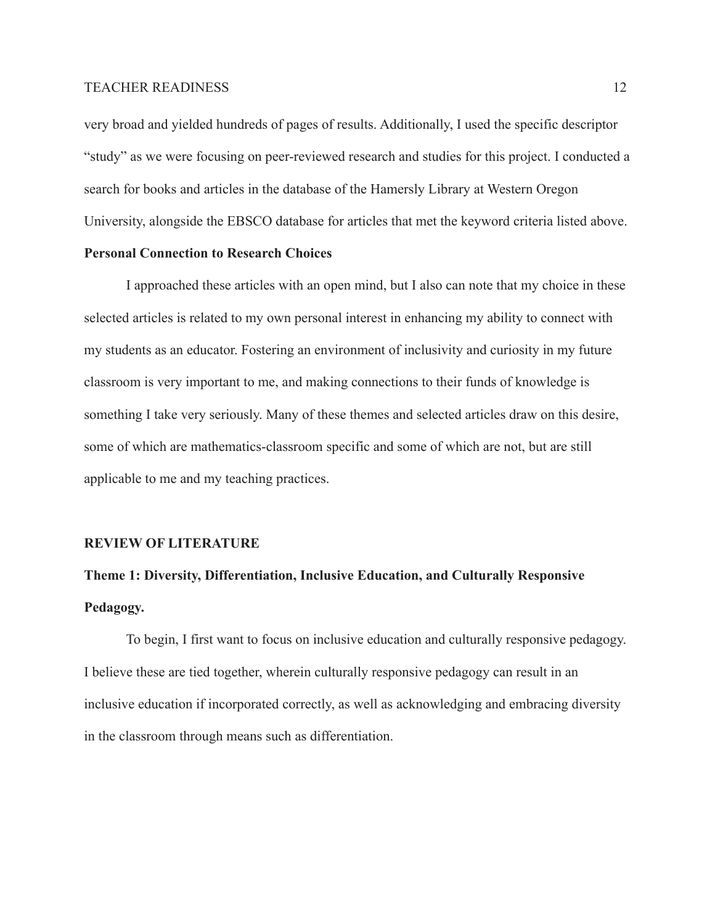very broad and yielded hundreds of pages of results. Additionally, I used the specific descriptor "study" as we were focusing on peer-reviewed research and studies for this project. I conducted a search for books and articles in the database of the Hamersly Library at Western Oregon University, alongside the EBSCO database for articles that met the keyword criteria listed above.

# **Personal Connection to Research Choices**

I approached these articles with an open mind, but I also can note that my choice in these selected articles is related to my own personal interest in enhancing my ability to connect with my students as an educator. Fostering an environment of inclusivity and curiosity in my future classroom is very important to me, and making connections to their funds of knowledge is something I take very seriously. Many of these themes and selected articles draw on this desire, some of which are mathematics-classroom specific and some of which are not, but are still applicable to me and my teaching practices.

#### **REVIEW OF LITERATURE**

# **Theme 1: Diversity, Differentiation, Inclusive Education, and Culturally Responsive Pedagogy.**

To begin, I first want to focus on inclusive education and culturally responsive pedagogy. I believe these are tied together, wherein culturally responsive pedagogy can result in an inclusive education if incorporated correctly, as well as acknowledging and embracing diversity in the classroom through means such as differentiation.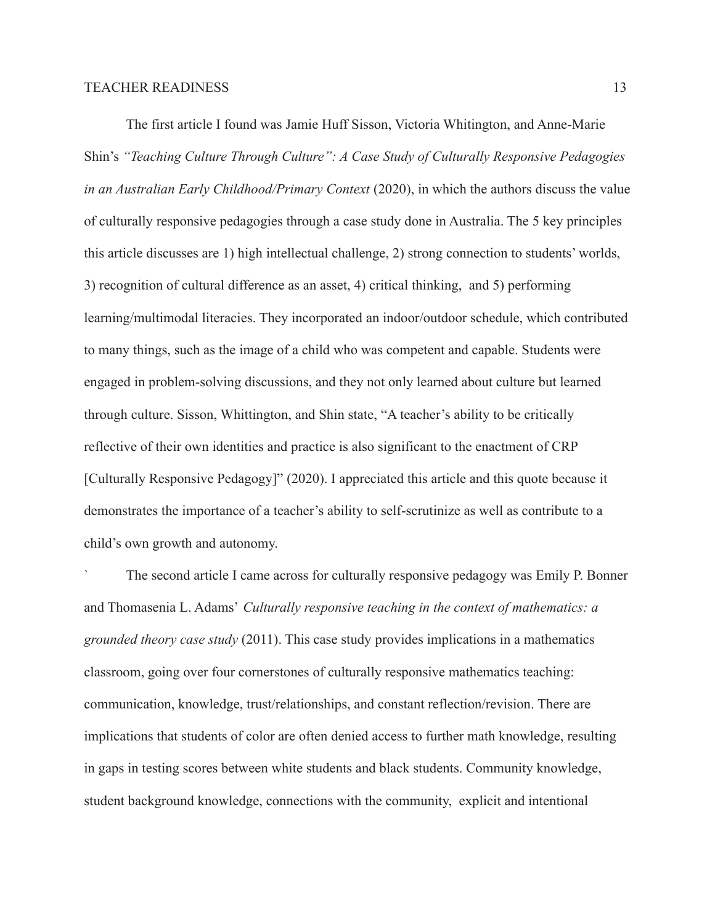The first article I found was Jamie Huff Sisson, Victoria Whitington, and Anne-Marie Shin's *"Teaching Culture Through Culture": A Case Study of Culturally Responsive Pedagogies in an Australian Early Childhood/Primary Context* (2020), in which the authors discuss the value of culturally responsive pedagogies through a case study done in Australia. The 5 key principles this article discusses are 1) high intellectual challenge, 2) strong connection to students' worlds, 3) recognition of cultural difference as an asset, 4) critical thinking, and 5) performing learning/multimodal literacies. They incorporated an indoor/outdoor schedule, which contributed to many things, such as the image of a child who was competent and capable. Students were engaged in problem-solving discussions, and they not only learned about culture but learned through culture. Sisson, Whittington, and Shin state, "A teacher's ability to be critically reflective of their own identities and practice is also significant to the enactment of CRP [Culturally Responsive Pedagogy]" (2020). I appreciated this article and this quote because it demonstrates the importance of a teacher's ability to self-scrutinize as well as contribute to a child's own growth and autonomy.

` The second article I came across for culturally responsive pedagogy was Emily P. Bonner and Thomasenia L. Adams' *Culturally responsive teaching in the context of mathematics: a grounded theory case study* (2011). This case study provides implications in a mathematics classroom, going over four cornerstones of culturally responsive mathematics teaching: communication, knowledge, trust/relationships, and constant reflection/revision. There are implications that students of color are often denied access to further math knowledge, resulting in gaps in testing scores between white students and black students. Community knowledge, student background knowledge, connections with the community, explicit and intentional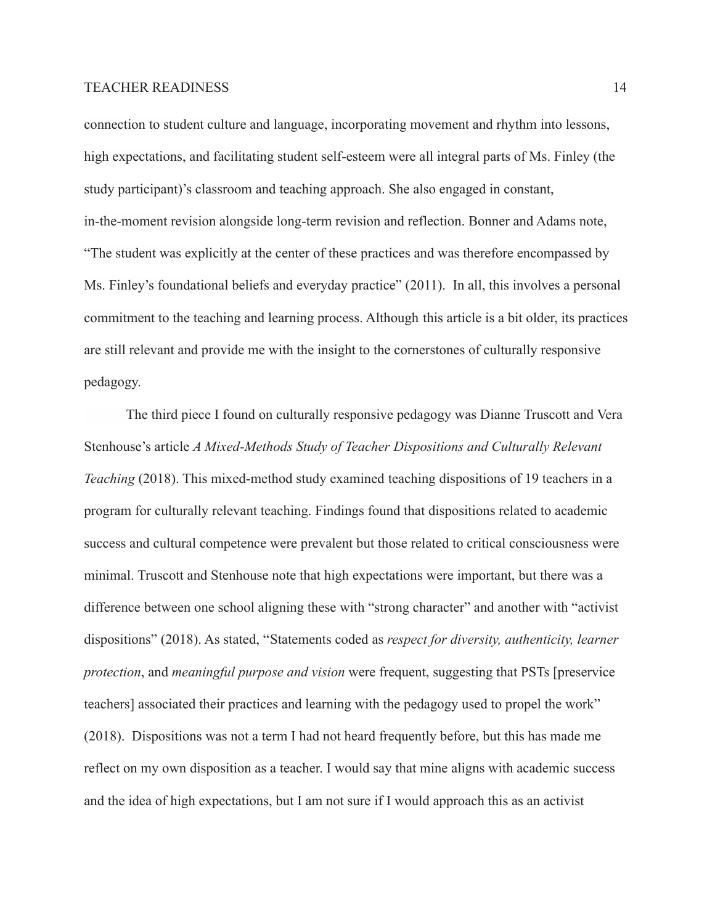connection to student culture and language, incorporating movement and rhythm into lessons, high expectations, and facilitating student self-esteem were all integral parts of Ms. Finley (the study participant)'s classroom and teaching approach. She also engaged in constant, in-the-moment revision alongside long-term revision and reflection. Bonner and Adams note, "The student was explicitly at the center of these practices and was therefore encompassed by Ms. Finley's foundational beliefs and everyday practice" (2011). In all, this involves a personal commitment to the teaching and learning process. Although this article is a bit older, its practices are still relevant and provide me with the insight to the cornerstones of culturally responsive pedagogy.

The third piece I found on culturally responsive pedagogy was Dianne Truscott and Vera Stenhouse's article *A Mixed-Methods Study of Teacher Dispositions and Culturally Relevant Teaching* (2018). This mixed-method study examined teaching dispositions of 19 teachers in a program for culturally relevant teaching. Findings found that dispositions related to academic success and cultural competence were prevalent but those related to critical consciousness were minimal. Truscott and Stenhouse note that high expectations were important, but there was a difference between one school aligning these with "strong character" and another with "activist dispositions" (2018). As stated, "Statements coded as *respect for diversity, authenticity, learner protection*, and *meaningful purpose and vision* were frequent, suggesting that PSTs [preservice teachers] associated their practices and learning with the pedagogy used to propel the work" (2018). Dispositions was not a term I had not heard frequently before, but this has made me reflect on my own disposition as a teacher. I would say that mine aligns with academic success and the idea of high expectations, but I am not sure if I would approach this as an activist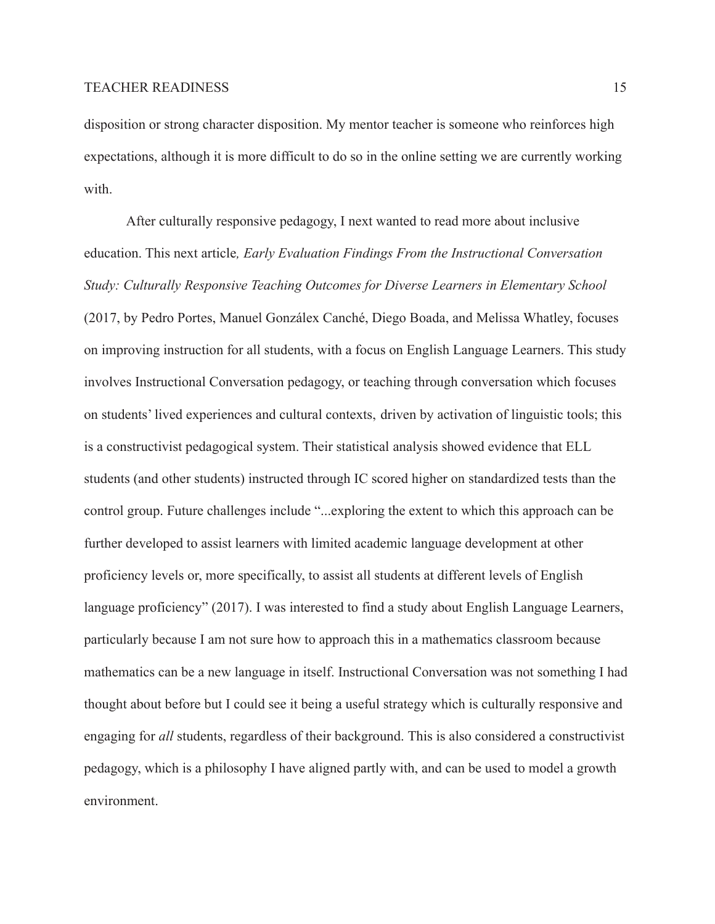disposition or strong character disposition. My mentor teacher is someone who reinforces high expectations, although it is more difficult to do so in the online setting we are currently working with.

After culturally responsive pedagogy, I next wanted to read more about inclusive education. This next article*, Early Evaluation Findings From the Instructional Conversation Study: Culturally Responsive Teaching Outcomes for Diverse Learners in Elementary School* (2017, by Pedro Portes, Manuel Gonzálex Canché, Diego Boada, and Melissa Whatley, focuses on improving instruction for all students, with a focus on English Language Learners. This study involves Instructional Conversation pedagogy, or teaching through conversation which focuses on students' lived experiences and cultural contexts, driven by activation of linguistic tools; this is a constructivist pedagogical system. Their statistical analysis showed evidence that ELL students (and other students) instructed through IC scored higher on standardized tests than the control group. Future challenges include "...exploring the extent to which this approach can be further developed to assist learners with limited academic language development at other proficiency levels or, more specifically, to assist all students at different levels of English language proficiency" (2017). I was interested to find a study about English Language Learners, particularly because I am not sure how to approach this in a mathematics classroom because mathematics can be a new language in itself. Instructional Conversation was not something I had thought about before but I could see it being a useful strategy which is culturally responsive and engaging for *all* students, regardless of their background. This is also considered a constructivist pedagogy, which is a philosophy I have aligned partly with, and can be used to model a growth environment.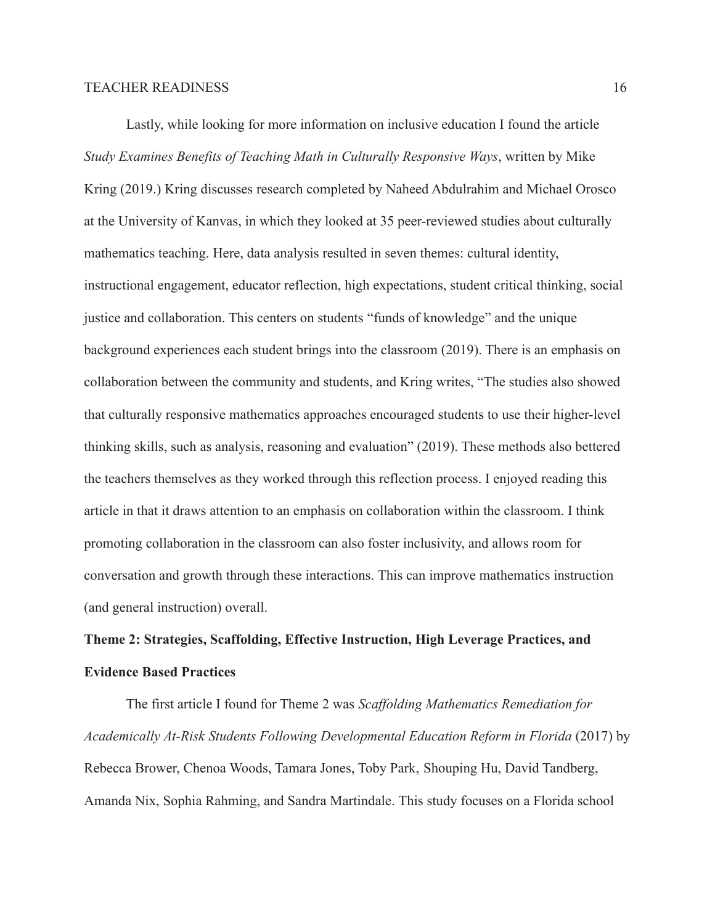Lastly, while looking for more information on inclusive education I found the article *Study Examines Benefits of Teaching Math in Culturally Responsive Ways*, written by Mike Kring (2019.) Kring discusses research completed by Naheed Abdulrahim and Michael Orosco at the University of Kanvas, in which they looked at 35 peer-reviewed studies about culturally mathematics teaching. Here, data analysis resulted in seven themes: cultural identity, instructional engagement, educator reflection, high expectations, student critical thinking, social justice and collaboration. This centers on students "funds of knowledge" and the unique background experiences each student brings into the classroom (2019). There is an emphasis on collaboration between the community and students, and Kring writes, "The studies also showed that culturally responsive mathematics approaches encouraged students to use their higher-level thinking skills, such as analysis, reasoning and evaluation" (2019). These methods also bettered the teachers themselves as they worked through this reflection process. I enjoyed reading this article in that it draws attention to an emphasis on collaboration within the classroom. I think promoting collaboration in the classroom can also foster inclusivity, and allows room for conversation and growth through these interactions. This can improve mathematics instruction (and general instruction) overall.

# **Theme 2: Strategies, Scaffolding, Effective Instruction, High Leverage Practices, and Evidence Based Practices**

The first article I found for Theme 2 was *Scaffolding Mathematics Remediation for Academically At-Risk Students Following Developmental Education Reform in Florida* (2017) by Rebecca Brower, Chenoa Woods, Tamara Jones, Toby Park, Shouping Hu, David Tandberg, Amanda Nix, Sophia Rahming, and Sandra Martindale. This study focuses on a Florida school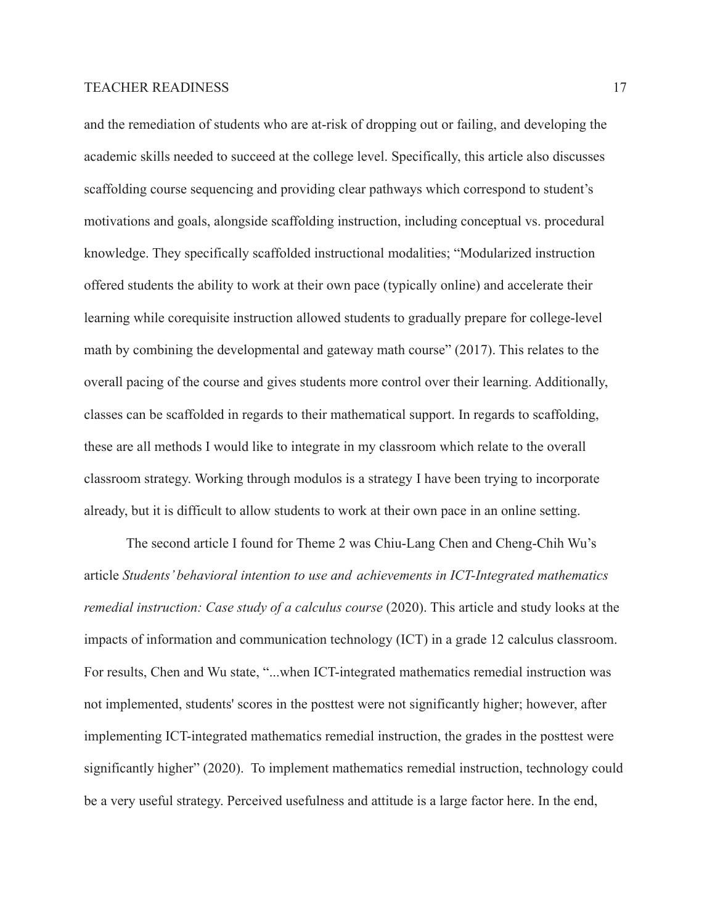and the remediation of students who are at-risk of dropping out or failing, and developing the academic skills needed to succeed at the college level. Specifically, this article also discusses scaffolding course sequencing and providing clear pathways which correspond to student's motivations and goals, alongside scaffolding instruction, including conceptual vs. procedural knowledge. They specifically scaffolded instructional modalities; "Modularized instruction offered students the ability to work at their own pace (typically online) and accelerate their learning while corequisite instruction allowed students to gradually prepare for college-level math by combining the developmental and gateway math course" (2017). This relates to the overall pacing of the course and gives students more control over their learning. Additionally, classes can be scaffolded in regards to their mathematical support. In regards to scaffolding, these are all methods I would like to integrate in my classroom which relate to the overall classroom strategy. Working through modulos is a strategy I have been trying to incorporate already, but it is difficult to allow students to work at their own pace in an online setting.

The second article I found for Theme 2 was Chiu-Lang Chen and Cheng-Chih Wu's article *Students' behavioral intention to use and achievements in ICT-Integrated mathematics remedial instruction: Case study of a calculus course* (2020). This article and study looks at the impacts of information and communication technology (ICT) in a grade 12 calculus classroom. For results, Chen and Wu state, "...when ICT-integrated mathematics remedial instruction was not implemented, students' scores in the posttest were not significantly higher; however, after implementing ICT-integrated mathematics remedial instruction, the grades in the posttest were significantly higher" (2020). To implement mathematics remedial instruction, technology could be a very useful strategy. Perceived usefulness and attitude is a large factor here. In the end,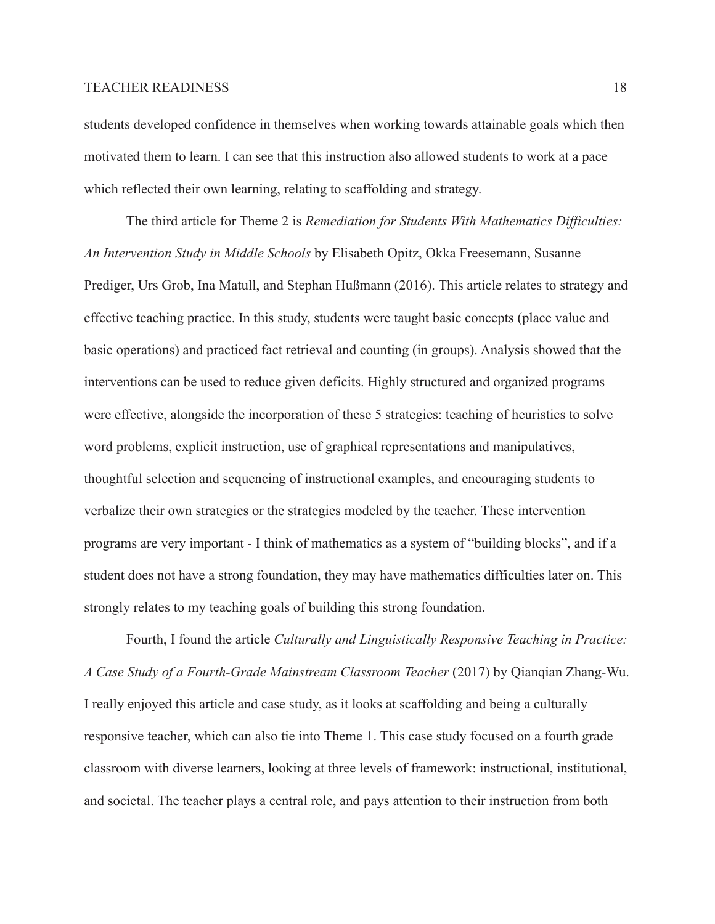students developed confidence in themselves when working towards attainable goals which then motivated them to learn. I can see that this instruction also allowed students to work at a pace which reflected their own learning, relating to scaffolding and strategy.

The third article for Theme 2 is *Remediation for Students With Mathematics Difficulties: An Intervention Study in Middle Schools* by Elisabeth Opitz, Okka Freesemann, Susanne Prediger, Urs Grob, Ina Matull, and Stephan Hußmann (2016). This article relates to strategy and effective teaching practice. In this study, students were taught basic concepts (place value and basic operations) and practiced fact retrieval and counting (in groups). Analysis showed that the interventions can be used to reduce given deficits. Highly structured and organized programs were effective, alongside the incorporation of these 5 strategies: teaching of heuristics to solve word problems, explicit instruction, use of graphical representations and manipulatives, thoughtful selection and sequencing of instructional examples, and encouraging students to verbalize their own strategies or the strategies modeled by the teacher. These intervention programs are very important - I think of mathematics as a system of "building blocks", and if a student does not have a strong foundation, they may have mathematics difficulties later on. This strongly relates to my teaching goals of building this strong foundation.

Fourth, I found the article *Culturally and Linguistically Responsive Teaching in Practice: A Case Study of a Fourth-Grade Mainstream Classroom Teacher* (2017) by Qianqian Zhang-Wu. I really enjoyed this article and case study, as it looks at scaffolding and being a culturally responsive teacher, which can also tie into Theme 1. This case study focused on a fourth grade classroom with diverse learners, looking at three levels of framework: instructional, institutional, and societal. The teacher plays a central role, and pays attention to their instruction from both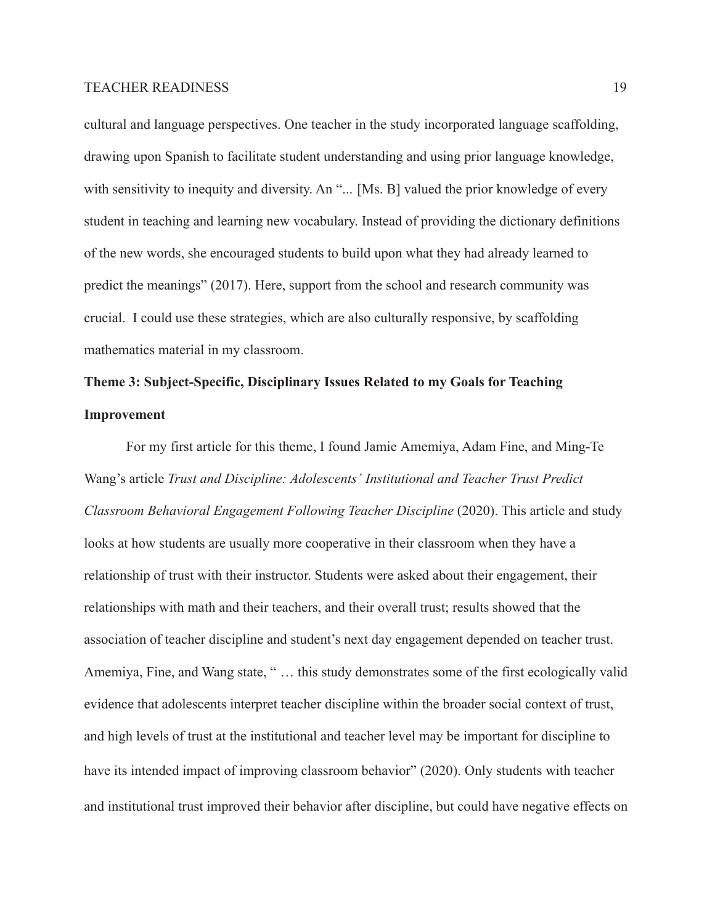cultural and language perspectives. One teacher in the study incorporated language scaffolding, drawing upon Spanish to facilitate student understanding and using prior language knowledge, with sensitivity to inequity and diversity. An "... [Ms. B] valued the prior knowledge of every student in teaching and learning new vocabulary. Instead of providing the dictionary definitions of the new words, she encouraged students to build upon what they had already learned to predict the meanings" (2017). Here, support from the school and research community was crucial. I could use these strategies, which are also culturally responsive, by scaffolding mathematics material in my classroom.

# **Theme 3: Subject-Specific, Disciplinary Issues Related to my Goals for Teaching Improvement**

For my first article for this theme, I found Jamie Amemiya, Adam Fine, and Ming-Te Wang's article *Trust and Discipline: Adolescents' Institutional and Teacher Trust Predict Classroom Behavioral Engagement Following Teacher Discipline* (2020). This article and study looks at how students are usually more cooperative in their classroom when they have a relationship of trust with their instructor. Students were asked about their engagement, their relationships with math and their teachers, and their overall trust; results showed that the association of teacher discipline and student's next day engagement depended on teacher trust. Amemiya, Fine, and Wang state, " … this study demonstrates some of the first ecologically valid evidence that adolescents interpret teacher discipline within the broader social context of trust, and high levels of trust at the institutional and teacher level may be important for discipline to have its intended impact of improving classroom behavior" (2020). Only students with teacher and institutional trust improved their behavior after discipline, but could have negative effects on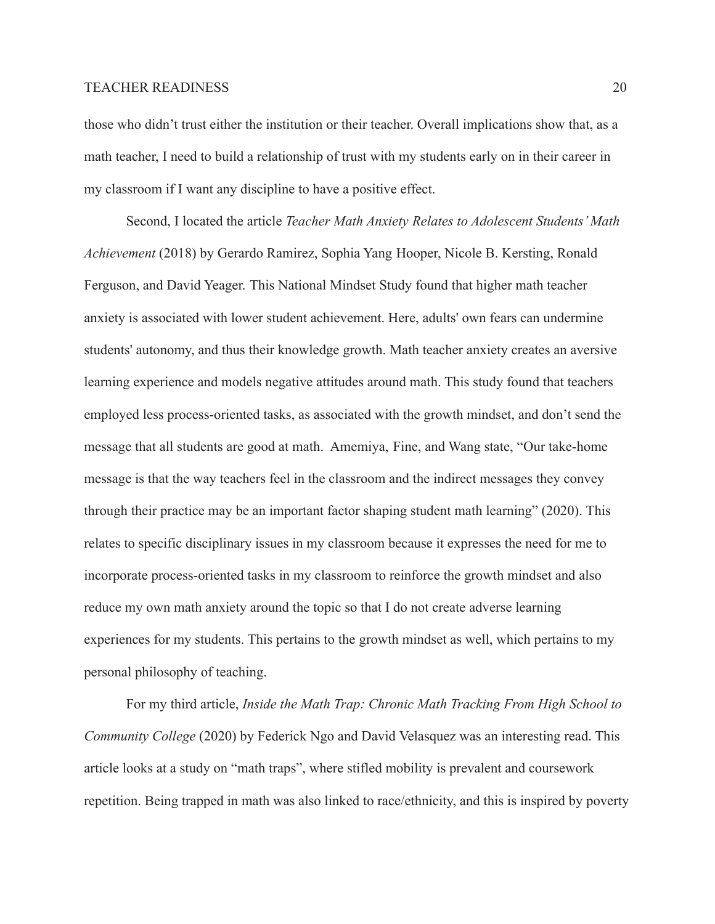those who didn't trust either the institution or their teacher. Overall implications show that, as a math teacher, I need to build a relationship of trust with my students early on in their career in my classroom if I want any discipline to have a positive effect.

Second, I located the article *Teacher Math Anxiety Relates to Adolescent Students' Math Achievement* (2018) by Gerardo Ramirez, Sophia Yang Hooper, Nicole B. Kersting, Ronald Ferguson, and David Yeager. This National Mindset Study found that higher math teacher anxiety is associated with lower student achievement. Here, adults' own fears can undermine students' autonomy, and thus their knowledge growth. Math teacher anxiety creates an aversive learning experience and models negative attitudes around math. This study found that teachers employed less process-oriented tasks, as associated with the growth mindset, and don't send the message that all students are good at math. Amemiya, Fine, and Wang state, "Our take-home message is that the way teachers feel in the classroom and the indirect messages they convey through their practice may be an important factor shaping student math learning" (2020). This relates to specific disciplinary issues in my classroom because it expresses the need for me to incorporate process-oriented tasks in my classroom to reinforce the growth mindset and also reduce my own math anxiety around the topic so that I do not create adverse learning experiences for my students. This pertains to the growth mindset as well, which pertains to my personal philosophy of teaching.

For my third article, *Inside the Math Trap: Chronic Math Tracking From High School to Community College* (2020) by Federick Ngo and David Velasquez was an interesting read. This article looks at a study on "math traps", where stifled mobility is prevalent and coursework repetition. Being trapped in math was also linked to race/ethnicity, and this is inspired by poverty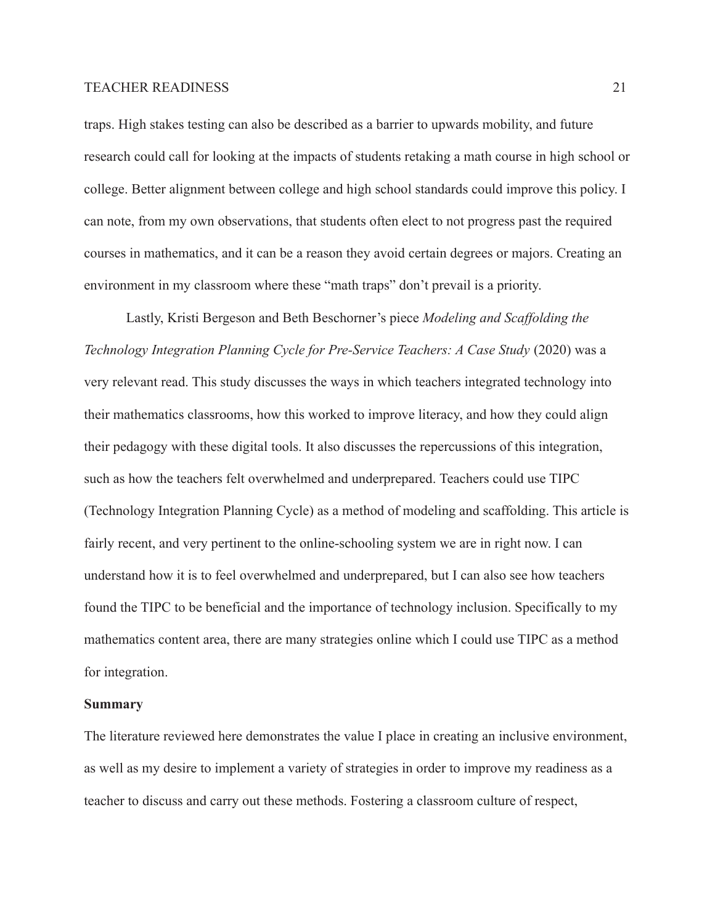traps. High stakes testing can also be described as a barrier to upwards mobility, and future research could call for looking at the impacts of students retaking a math course in high school or college. Better alignment between college and high school standards could improve this policy. I can note, from my own observations, that students often elect to not progress past the required courses in mathematics, and it can be a reason they avoid certain degrees or majors. Creating an environment in my classroom where these "math traps" don't prevail is a priority.

Lastly, Kristi Bergeson and Beth Beschorner's piece *Modeling and Scaffolding the Technology Integration Planning Cycle for Pre-Service Teachers: A Case Study* (2020) was a very relevant read. This study discusses the ways in which teachers integrated technology into their mathematics classrooms, how this worked to improve literacy, and how they could align their pedagogy with these digital tools. It also discusses the repercussions of this integration, such as how the teachers felt overwhelmed and underprepared. Teachers could use TIPC (Technology Integration Planning Cycle) as a method of modeling and scaffolding. This article is fairly recent, and very pertinent to the online-schooling system we are in right now. I can understand how it is to feel overwhelmed and underprepared, but I can also see how teachers found the TIPC to be beneficial and the importance of technology inclusion. Specifically to my mathematics content area, there are many strategies online which I could use TIPC as a method for integration.

#### **Summary**

The literature reviewed here demonstrates the value I place in creating an inclusive environment, as well as my desire to implement a variety of strategies in order to improve my readiness as a teacher to discuss and carry out these methods. Fostering a classroom culture of respect,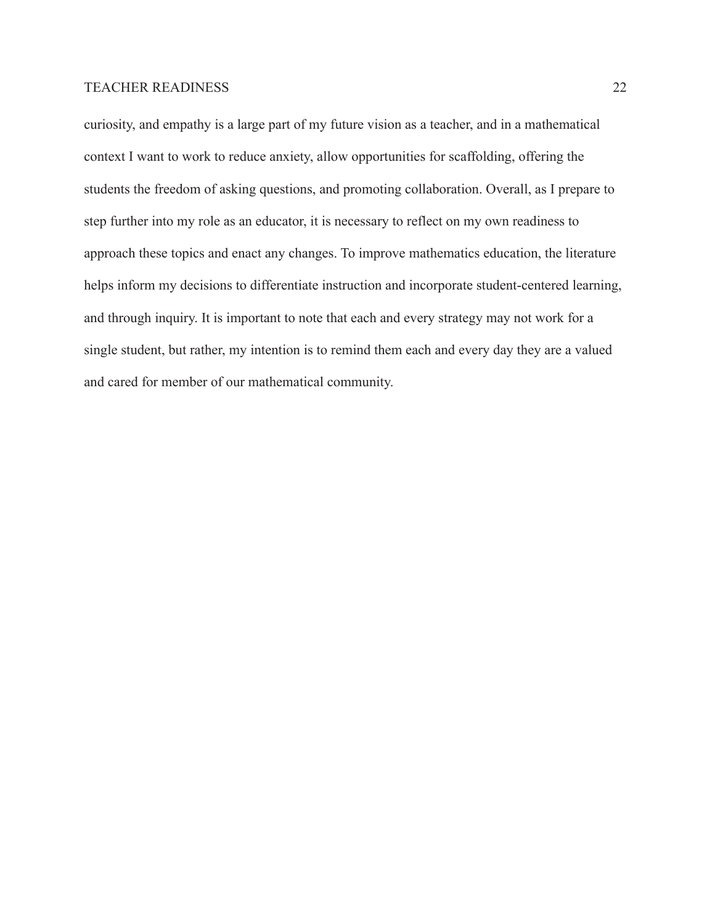curiosity, and empathy is a large part of my future vision as a teacher, and in a mathematical context I want to work to reduce anxiety, allow opportunities for scaffolding, offering the students the freedom of asking questions, and promoting collaboration. Overall, as I prepare to step further into my role as an educator, it is necessary to reflect on my own readiness to approach these topics and enact any changes. To improve mathematics education, the literature helps inform my decisions to differentiate instruction and incorporate student-centered learning, and through inquiry. It is important to note that each and every strategy may not work for a single student, but rather, my intention is to remind them each and every day they are a valued and cared for member of our mathematical community.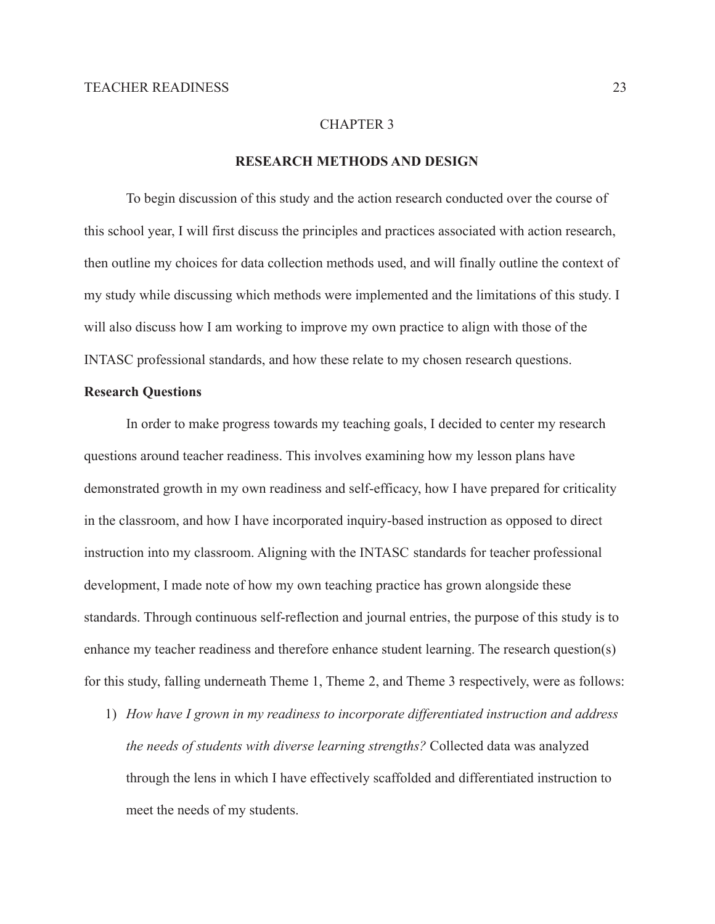# CHAPTER 3

## **RESEARCH METHODS AND DESIGN**

To begin discussion of this study and the action research conducted over the course of this school year, I will first discuss the principles and practices associated with action research, then outline my choices for data collection methods used, and will finally outline the context of my study while discussing which methods were implemented and the limitations of this study. I will also discuss how I am working to improve my own practice to align with those of the INTASC professional standards, and how these relate to my chosen research questions.

## **Research Questions**

In order to make progress towards my teaching goals, I decided to center my research questions around teacher readiness. This involves examining how my lesson plans have demonstrated growth in my own readiness and self-efficacy, how I have prepared for criticality in the classroom, and how I have incorporated inquiry-based instruction as opposed to direct instruction into my classroom. Aligning with the INTASC standards for teacher professional development, I made note of how my own teaching practice has grown alongside these standards. Through continuous self-reflection and journal entries, the purpose of this study is to enhance my teacher readiness and therefore enhance student learning. The research question(s) for this study, falling underneath Theme 1, Theme 2, and Theme 3 respectively, were as follows:

1) *How have I grown in my readiness to incorporate differentiated instruction and address the needs of students with diverse learning strengths?* Collected data was analyzed through the lens in which I have effectively scaffolded and differentiated instruction to meet the needs of my students.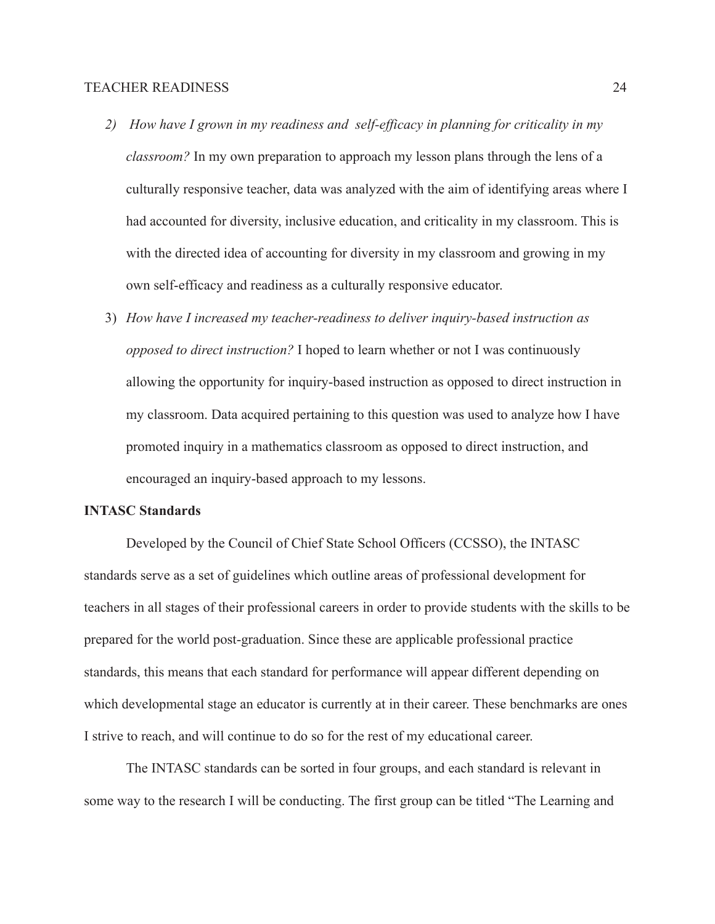- *2) How have I grown in my readiness and self-efficacy in planning for criticality in my classroom?* In my own preparation to approach my lesson plans through the lens of a culturally responsive teacher, data was analyzed with the aim of identifying areas where I had accounted for diversity, inclusive education, and criticality in my classroom. This is with the directed idea of accounting for diversity in my classroom and growing in my own self-efficacy and readiness as a culturally responsive educator.
- 3) *How have I increased my teacher-readiness to deliver inquiry-based instruction as opposed to direct instruction?* I hoped to learn whether or not I was continuously allowing the opportunity for inquiry-based instruction as opposed to direct instruction in my classroom. Data acquired pertaining to this question was used to analyze how I have promoted inquiry in a mathematics classroom as opposed to direct instruction, and encouraged an inquiry-based approach to my lessons.

# **INTASC Standards**

Developed by the Council of Chief State School Officers (CCSSO), the INTASC standards serve as a set of guidelines which outline areas of professional development for teachers in all stages of their professional careers in order to provide students with the skills to be prepared for the world post-graduation. Since these are applicable professional practice standards, this means that each standard for performance will appear different depending on which developmental stage an educator is currently at in their career. These benchmarks are ones I strive to reach, and will continue to do so for the rest of my educational career.

The INTASC standards can be sorted in four groups, and each standard is relevant in some way to the research I will be conducting. The first group can be titled "The Learning and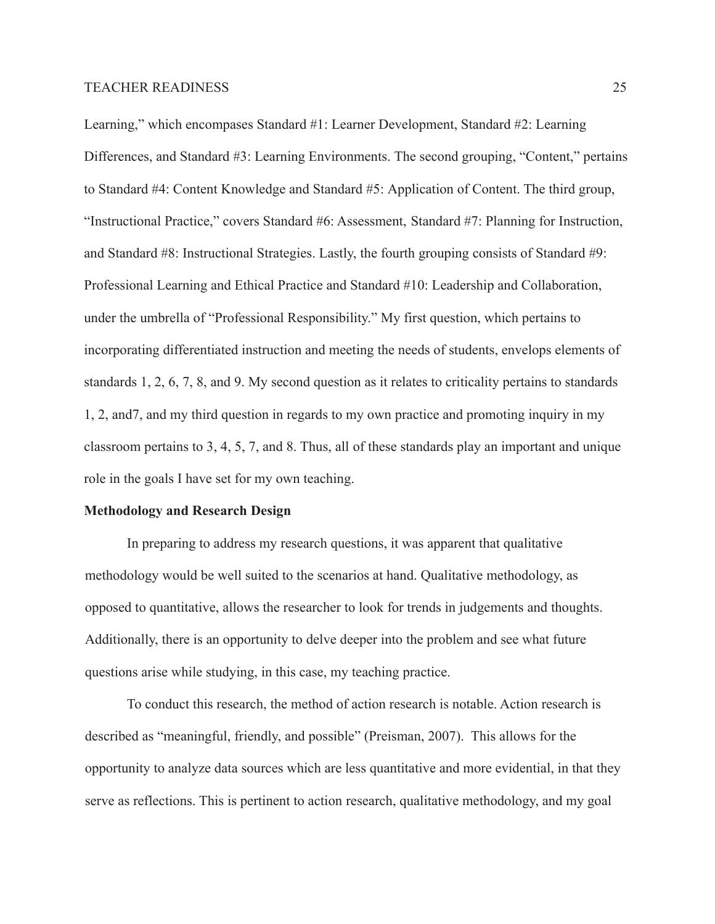Learning," which encompases Standard #1: Learner Development, Standard #2: Learning Differences, and Standard #3: Learning Environments. The second grouping, "Content," pertains to Standard #4: Content Knowledge and Standard #5: Application of Content. The third group, "Instructional Practice," covers Standard #6: Assessment, Standard #7: Planning for Instruction, and Standard #8: Instructional Strategies. Lastly, the fourth grouping consists of Standard #9: Professional Learning and Ethical Practice and Standard #10: Leadership and Collaboration, under the umbrella of "Professional Responsibility." My first question, which pertains to incorporating differentiated instruction and meeting the needs of students, envelops elements of standards 1, 2, 6, 7, 8, and 9. My second question as it relates to criticality pertains to standards 1, 2, and7, and my third question in regards to my own practice and promoting inquiry in my classroom pertains to 3, 4, 5, 7, and 8. Thus, all of these standards play an important and unique role in the goals I have set for my own teaching.

#### **Methodology and Research Design**

In preparing to address my research questions, it was apparent that qualitative methodology would be well suited to the scenarios at hand. Qualitative methodology, as opposed to quantitative, allows the researcher to look for trends in judgements and thoughts. Additionally, there is an opportunity to delve deeper into the problem and see what future questions arise while studying, in this case, my teaching practice.

To conduct this research, the method of action research is notable. Action research is described as "meaningful, friendly, and possible" (Preisman, 2007). This allows for the opportunity to analyze data sources which are less quantitative and more evidential, in that they serve as reflections. This is pertinent to action research, qualitative methodology, and my goal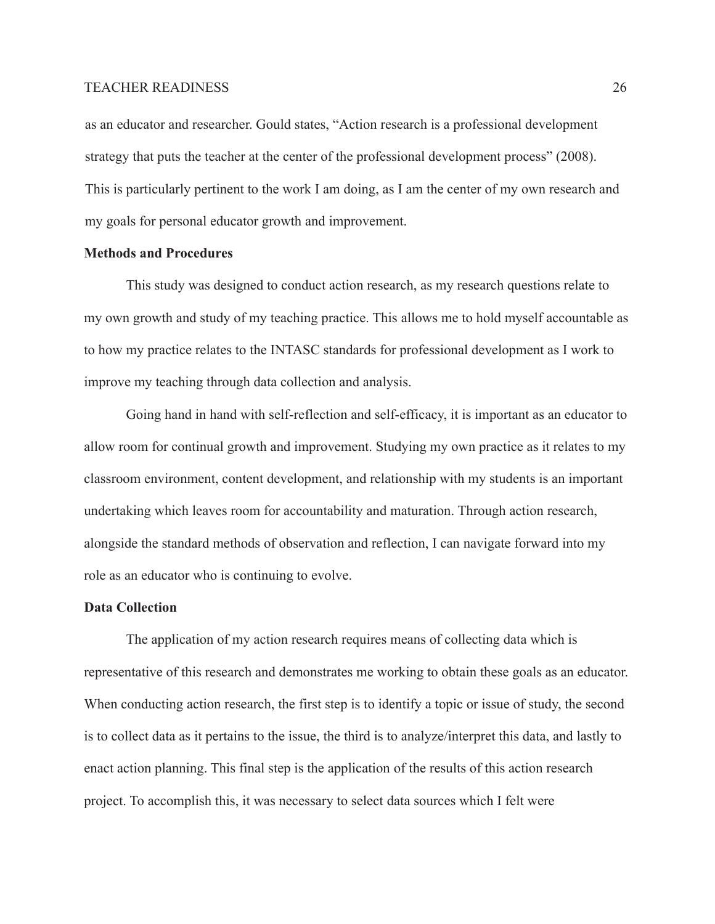as an educator and researcher. Gould states, "Action research is a professional development strategy that puts the teacher at the center of the professional development process" (2008). This is particularly pertinent to the work I am doing, as I am the center of my own research and my goals for personal educator growth and improvement.

# **Methods and Procedures**

This study was designed to conduct action research, as my research questions relate to my own growth and study of my teaching practice. This allows me to hold myself accountable as to how my practice relates to the INTASC standards for professional development as I work to improve my teaching through data collection and analysis.

Going hand in hand with self-reflection and self-efficacy, it is important as an educator to allow room for continual growth and improvement. Studying my own practice as it relates to my classroom environment, content development, and relationship with my students is an important undertaking which leaves room for accountability and maturation. Through action research, alongside the standard methods of observation and reflection, I can navigate forward into my role as an educator who is continuing to evolve.

#### **Data Collection**

The application of my action research requires means of collecting data which is representative of this research and demonstrates me working to obtain these goals as an educator. When conducting action research, the first step is to identify a topic or issue of study, the second is to collect data as it pertains to the issue, the third is to analyze/interpret this data, and lastly to enact action planning. This final step is the application of the results of this action research project. To accomplish this, it was necessary to select data sources which I felt were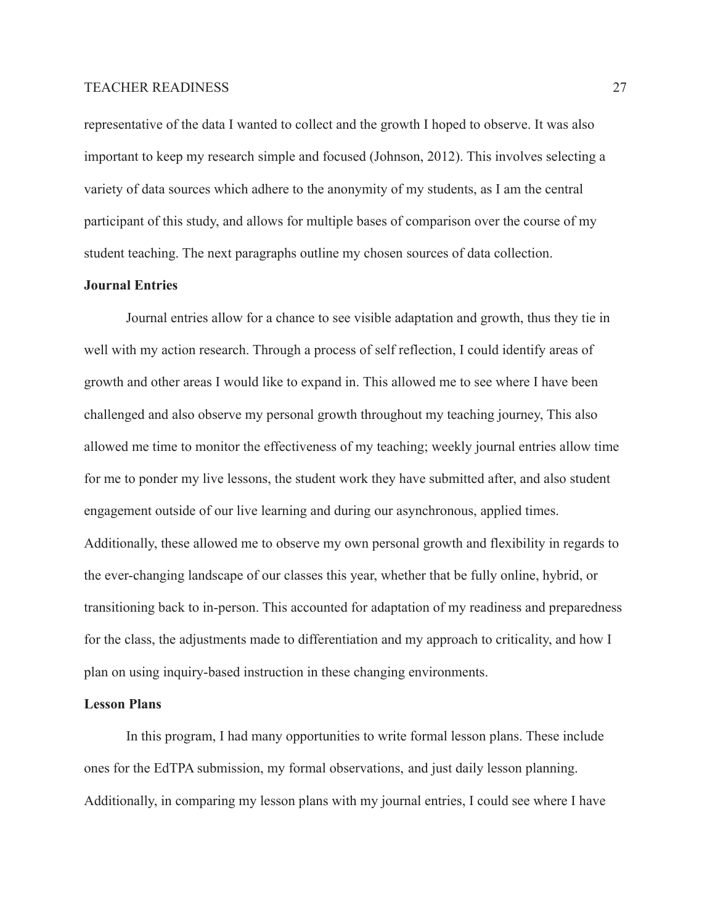representative of the data I wanted to collect and the growth I hoped to observe. It was also important to keep my research simple and focused (Johnson, 2012). This involves selecting a variety of data sources which adhere to the anonymity of my students, as I am the central participant of this study, and allows for multiple bases of comparison over the course of my student teaching. The next paragraphs outline my chosen sources of data collection.

## **Journal Entries**

Journal entries allow for a chance to see visible adaptation and growth, thus they tie in well with my action research. Through a process of self reflection, I could identify areas of growth and other areas I would like to expand in. This allowed me to see where I have been challenged and also observe my personal growth throughout my teaching journey, This also allowed me time to monitor the effectiveness of my teaching; weekly journal entries allow time for me to ponder my live lessons, the student work they have submitted after, and also student engagement outside of our live learning and during our asynchronous, applied times. Additionally, these allowed me to observe my own personal growth and flexibility in regards to the ever-changing landscape of our classes this year, whether that be fully online, hybrid, or transitioning back to in-person. This accounted for adaptation of my readiness and preparedness for the class, the adjustments made to differentiation and my approach to criticality, and how I plan on using inquiry-based instruction in these changing environments.

## **Lesson Plans**

In this program, I had many opportunities to write formal lesson plans. These include ones for the EdTPA submission, my formal observations, and just daily lesson planning. Additionally, in comparing my lesson plans with my journal entries, I could see where I have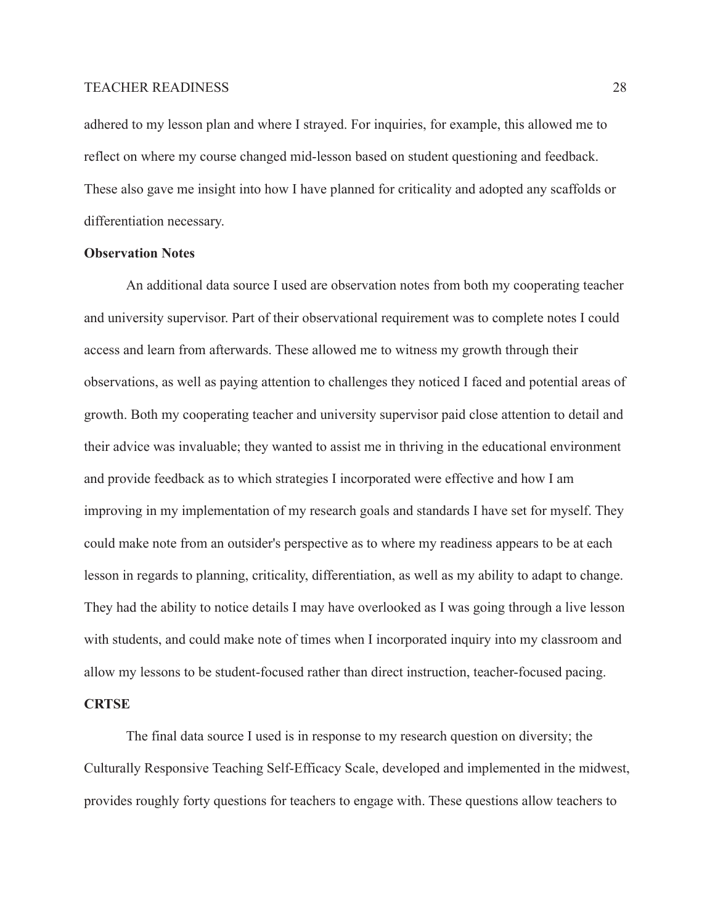adhered to my lesson plan and where I strayed. For inquiries, for example, this allowed me to reflect on where my course changed mid-lesson based on student questioning and feedback. These also gave me insight into how I have planned for criticality and adopted any scaffolds or differentiation necessary.

# **Observation Notes**

An additional data source I used are observation notes from both my cooperating teacher and university supervisor. Part of their observational requirement was to complete notes I could access and learn from afterwards. These allowed me to witness my growth through their observations, as well as paying attention to challenges they noticed I faced and potential areas of growth. Both my cooperating teacher and university supervisor paid close attention to detail and their advice was invaluable; they wanted to assist me in thriving in the educational environment and provide feedback as to which strategies I incorporated were effective and how I am improving in my implementation of my research goals and standards I have set for myself. They could make note from an outsider's perspective as to where my readiness appears to be at each lesson in regards to planning, criticality, differentiation, as well as my ability to adapt to change. They had the ability to notice details I may have overlooked as I was going through a live lesson with students, and could make note of times when I incorporated inquiry into my classroom and allow my lessons to be student-focused rather than direct instruction, teacher-focused pacing.

## **CRTSE**

The final data source I used is in response to my research question on diversity; the Culturally Responsive Teaching Self-Efficacy Scale, developed and implemented in the midwest, provides roughly forty questions for teachers to engage with. These questions allow teachers to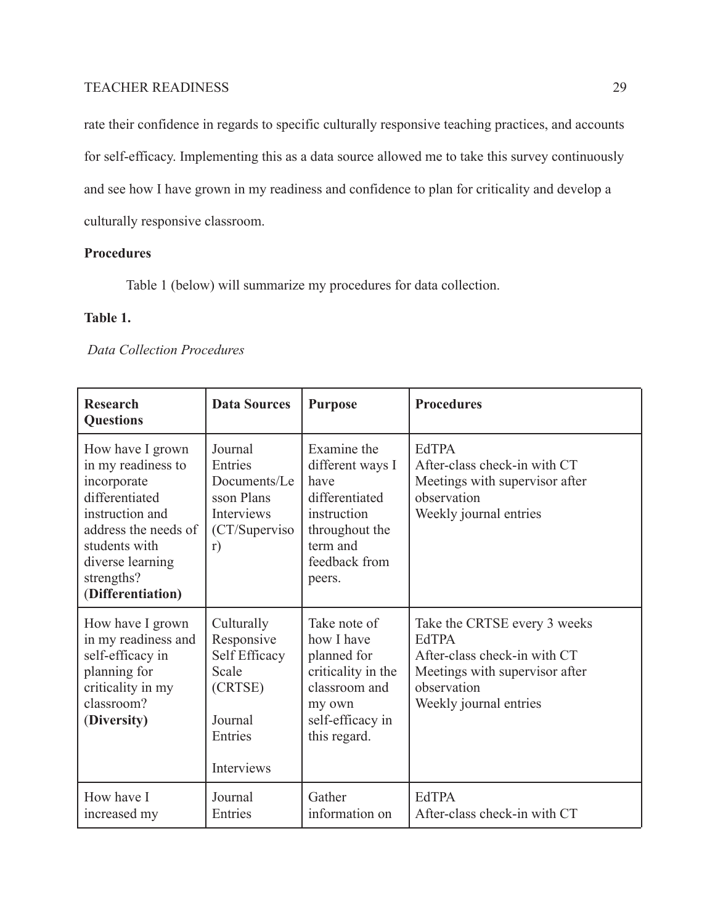rate their confidence in regards to specific culturally responsive teaching practices, and accounts for self-efficacy. Implementing this as a data source allowed me to take this survey continuously and see how I have grown in my readiness and confidence to plan for criticality and develop a culturally responsive classroom.

# **Procedures**

Table 1 (below) will summarize my procedures for data collection.

# **Table 1.**

# *Data Collection Procedures*

| <b>Research</b><br><b>Questions</b>                                                                                                                                                        | <b>Data Sources</b>                                                                               | <b>Purpose</b>                                                                                                                    | <b>Procedures</b>                                                                                                                                       |
|--------------------------------------------------------------------------------------------------------------------------------------------------------------------------------------------|---------------------------------------------------------------------------------------------------|-----------------------------------------------------------------------------------------------------------------------------------|---------------------------------------------------------------------------------------------------------------------------------------------------------|
| How have I grown<br>in my readiness to<br>incorporate<br>differentiated<br>instruction and<br>address the needs of<br>students with<br>diverse learning<br>strengths?<br>(Differentiation) | Journal<br>Entries<br>Documents/Le<br>sson Plans<br>Interviews<br>(CT/Superviso<br>r)             | Examine the<br>different ways I<br>have<br>differentiated<br>instruction<br>throughout the<br>term and<br>feedback from<br>peers. | <b>EdTPA</b><br>After-class check-in with CT<br>Meetings with supervisor after<br>observation<br>Weekly journal entries                                 |
| How have I grown<br>in my readiness and<br>self-efficacy in<br>planning for<br>criticality in my<br>classroom?<br>(Diversity)                                                              | Culturally<br>Responsive<br>Self Efficacy<br>Scale<br>(CRTSE)<br>Journal<br>Entries<br>Interviews | Take note of<br>how I have<br>planned for<br>criticality in the<br>classroom and<br>my own<br>self-efficacy in<br>this regard.    | Take the CRTSE every 3 weeks<br><b>EdTPA</b><br>After-class check-in with CT<br>Meetings with supervisor after<br>observation<br>Weekly journal entries |
| How have I<br>increased my                                                                                                                                                                 | Journal<br>Entries                                                                                | Gather<br>information on                                                                                                          | <b>EdTPA</b><br>After-class check-in with CT                                                                                                            |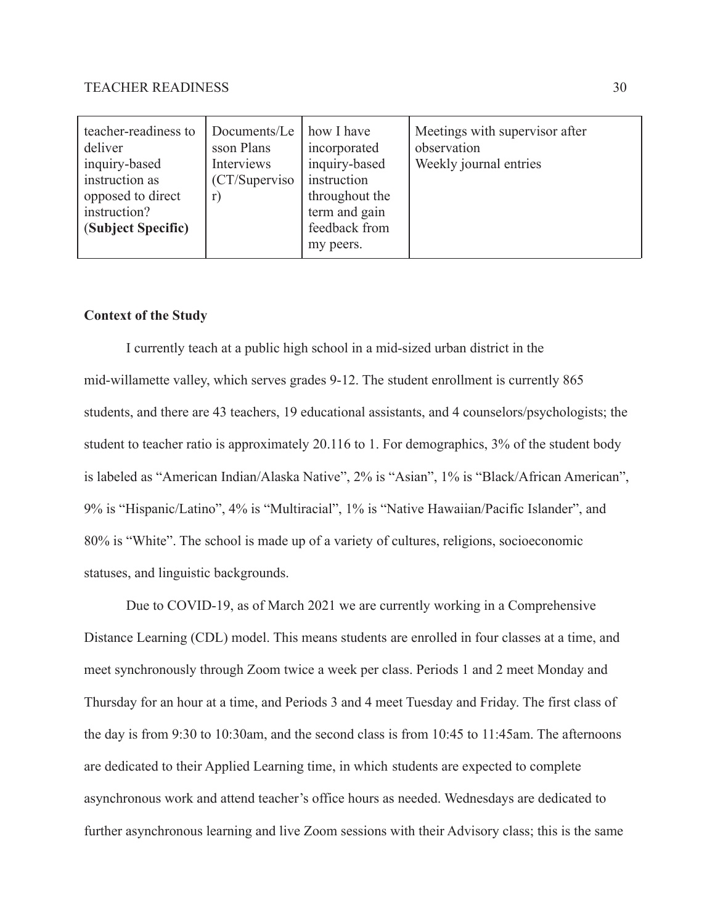| teacher-readiness to<br>deliver<br>inquiry-based<br>instruction as<br>opposed to direct<br>instruction?<br>(Subject Specific) | Documents/Le<br>sson Plans<br>Interviews<br>(CT/Superviso)<br>r) | how I have<br>incorporated<br>inquiry-based<br>instruction<br>throughout the<br>term and gain<br>feedback from<br>my peers. | Meetings with supervisor after<br>observation<br>Weekly journal entries |
|-------------------------------------------------------------------------------------------------------------------------------|------------------------------------------------------------------|-----------------------------------------------------------------------------------------------------------------------------|-------------------------------------------------------------------------|
|-------------------------------------------------------------------------------------------------------------------------------|------------------------------------------------------------------|-----------------------------------------------------------------------------------------------------------------------------|-------------------------------------------------------------------------|

# **Context of the Study**

I currently teach at a public high school in a mid-sized urban district in the mid-willamette valley, which serves grades 9-12. The student enrollment is currently 865 students, and there are 43 teachers, 19 educational assistants, and 4 counselors/psychologists; the student to teacher ratio is approximately 20.116 to 1. For demographics, 3% of the student body is labeled as "American Indian/Alaska Native", 2% is "Asian", 1% is "Black/African American", 9% is "Hispanic/Latino", 4% is "Multiracial", 1% is "Native Hawaiian/Pacific Islander", and 80% is "White". The school is made up of a variety of cultures, religions, socioeconomic statuses, and linguistic backgrounds.

Due to COVID-19, as of March 2021 we are currently working in a Comprehensive Distance Learning (CDL) model. This means students are enrolled in four classes at a time, and meet synchronously through Zoom twice a week per class. Periods 1 and 2 meet Monday and Thursday for an hour at a time, and Periods 3 and 4 meet Tuesday and Friday. The first class of the day is from 9:30 to 10:30am, and the second class is from 10:45 to 11:45am. The afternoons are dedicated to their Applied Learning time, in which students are expected to complete asynchronous work and attend teacher's office hours as needed. Wednesdays are dedicated to further asynchronous learning and live Zoom sessions with their Advisory class; this is the same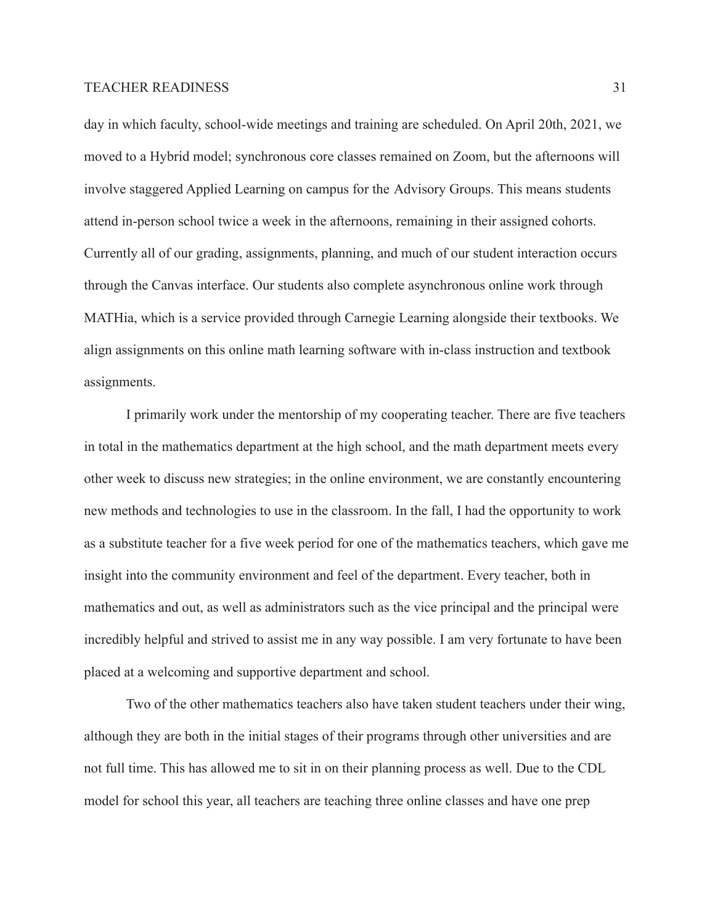day in which faculty, school-wide meetings and training are scheduled. On April 20th, 2021, we moved to a Hybrid model; synchronous core classes remained on Zoom, but the afternoons will involve staggered Applied Learning on campus for the Advisory Groups. This means students attend in-person school twice a week in the afternoons, remaining in their assigned cohorts. Currently all of our grading, assignments, planning, and much of our student interaction occurs through the Canvas interface. Our students also complete asynchronous online work through MATHia, which is a service provided through Carnegie Learning alongside their textbooks. We align assignments on this online math learning software with in-class instruction and textbook assignments.

I primarily work under the mentorship of my cooperating teacher. There are five teachers in total in the mathematics department at the high school, and the math department meets every other week to discuss new strategies; in the online environment, we are constantly encountering new methods and technologies to use in the classroom. In the fall, I had the opportunity to work as a substitute teacher for a five week period for one of the mathematics teachers, which gave me insight into the community environment and feel of the department. Every teacher, both in mathematics and out, as well as administrators such as the vice principal and the principal were incredibly helpful and strived to assist me in any way possible. I am very fortunate to have been placed at a welcoming and supportive department and school.

Two of the other mathematics teachers also have taken student teachers under their wing, although they are both in the initial stages of their programs through other universities and are not full time. This has allowed me to sit in on their planning process as well. Due to the CDL model for school this year, all teachers are teaching three online classes and have one prep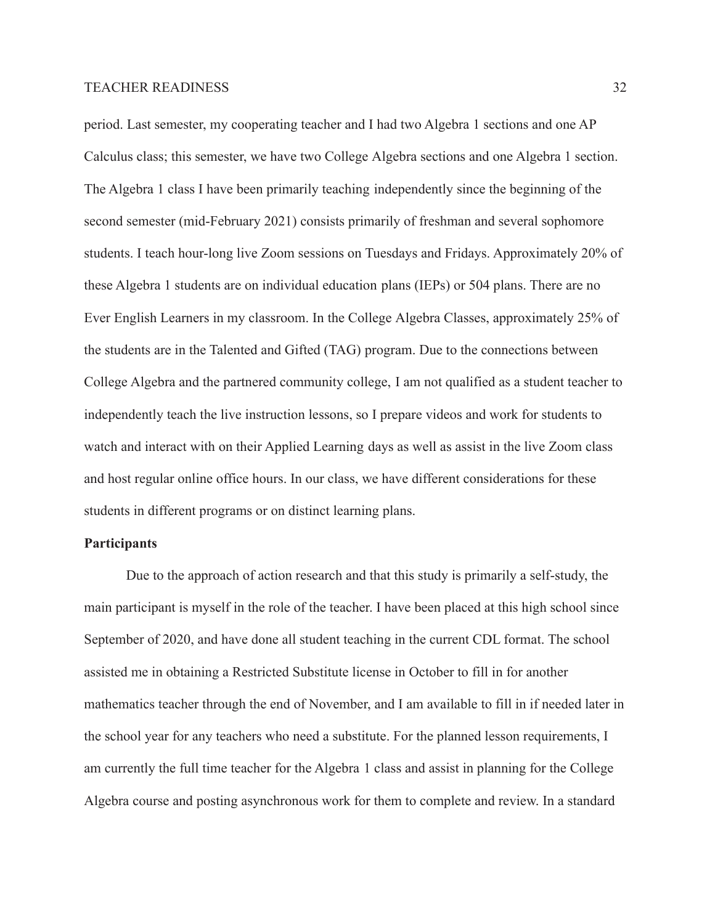period. Last semester, my cooperating teacher and I had two Algebra 1 sections and one AP Calculus class; this semester, we have two College Algebra sections and one Algebra 1 section. The Algebra 1 class I have been primarily teaching independently since the beginning of the second semester (mid-February 2021) consists primarily of freshman and several sophomore students. I teach hour-long live Zoom sessions on Tuesdays and Fridays. Approximately 20% of these Algebra 1 students are on individual education plans (IEPs) or 504 plans. There are no Ever English Learners in my classroom. In the College Algebra Classes, approximately 25% of the students are in the Talented and Gifted (TAG) program. Due to the connections between College Algebra and the partnered community college, I am not qualified as a student teacher to independently teach the live instruction lessons, so I prepare videos and work for students to watch and interact with on their Applied Learning days as well as assist in the live Zoom class and host regular online office hours. In our class, we have different considerations for these students in different programs or on distinct learning plans.

## **Participants**

Due to the approach of action research and that this study is primarily a self-study, the main participant is myself in the role of the teacher. I have been placed at this high school since September of 2020, and have done all student teaching in the current CDL format. The school assisted me in obtaining a Restricted Substitute license in October to fill in for another mathematics teacher through the end of November, and I am available to fill in if needed later in the school year for any teachers who need a substitute. For the planned lesson requirements, I am currently the full time teacher for the Algebra 1 class and assist in planning for the College Algebra course and posting asynchronous work for them to complete and review. In a standard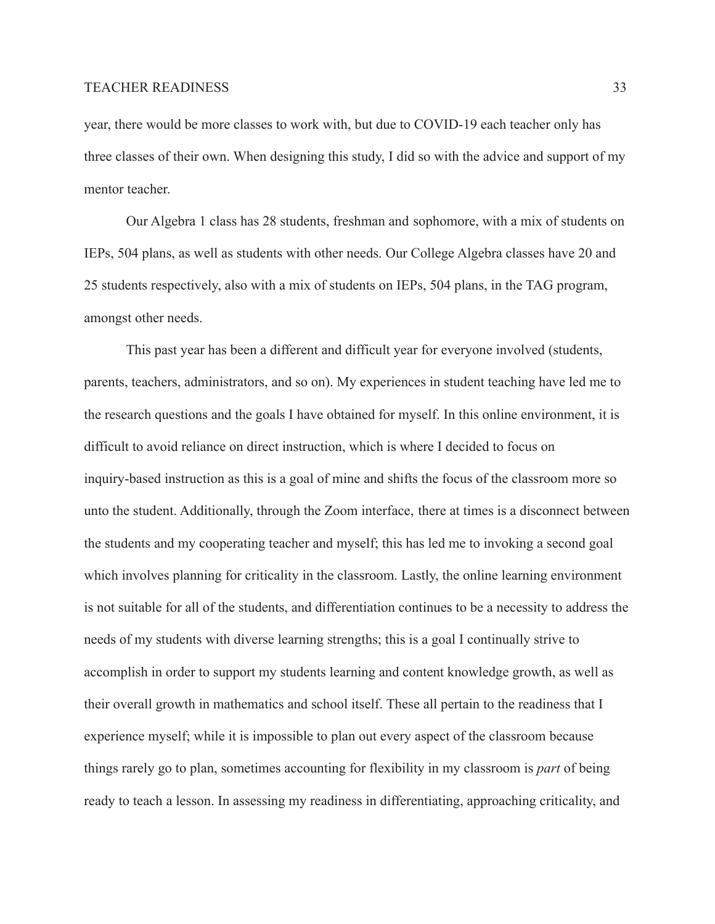year, there would be more classes to work with, but due to COVID-19 each teacher only has three classes of their own. When designing this study, I did so with the advice and support of my mentor teacher.

Our Algebra 1 class has 28 students, freshman and sophomore, with a mix of students on IEPs, 504 plans, as well as students with other needs. Our College Algebra classes have 20 and 25 students respectively, also with a mix of students on IEPs, 504 plans, in the TAG program, amongst other needs.

This past year has been a different and difficult year for everyone involved (students, parents, teachers, administrators, and so on). My experiences in student teaching have led me to the research questions and the goals I have obtained for myself. In this online environment, it is difficult to avoid reliance on direct instruction, which is where I decided to focus on inquiry-based instruction as this is a goal of mine and shifts the focus of the classroom more so unto the student. Additionally, through the Zoom interface, there at times is a disconnect between the students and my cooperating teacher and myself; this has led me to invoking a second goal which involves planning for criticality in the classroom. Lastly, the online learning environment is not suitable for all of the students, and differentiation continues to be a necessity to address the needs of my students with diverse learning strengths; this is a goal I continually strive to accomplish in order to support my students learning and content knowledge growth, as well as their overall growth in mathematics and school itself. These all pertain to the readiness that I experience myself; while it is impossible to plan out every aspect of the classroom because things rarely go to plan, sometimes accounting for flexibility in my classroom is *part* of being ready to teach a lesson. In assessing my readiness in differentiating, approaching criticality, and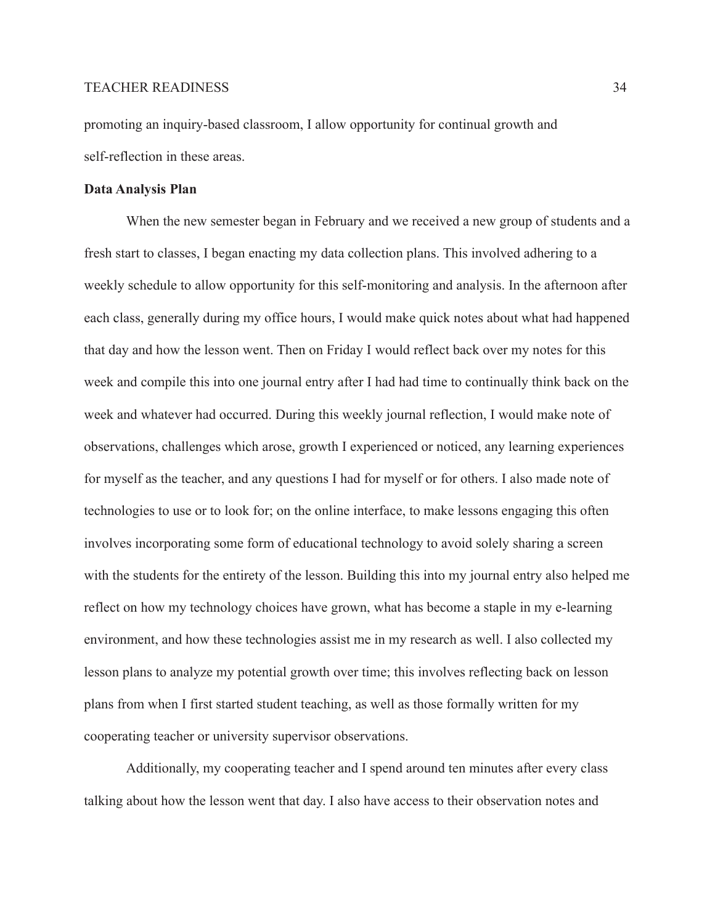promoting an inquiry-based classroom, I allow opportunity for continual growth and self-reflection in these areas.

#### **Data Analysis Plan**

When the new semester began in February and we received a new group of students and a fresh start to classes, I began enacting my data collection plans. This involved adhering to a weekly schedule to allow opportunity for this self-monitoring and analysis. In the afternoon after each class, generally during my office hours, I would make quick notes about what had happened that day and how the lesson went. Then on Friday I would reflect back over my notes for this week and compile this into one journal entry after I had had time to continually think back on the week and whatever had occurred. During this weekly journal reflection, I would make note of observations, challenges which arose, growth I experienced or noticed, any learning experiences for myself as the teacher, and any questions I had for myself or for others. I also made note of technologies to use or to look for; on the online interface, to make lessons engaging this often involves incorporating some form of educational technology to avoid solely sharing a screen with the students for the entirety of the lesson. Building this into my journal entry also helped me reflect on how my technology choices have grown, what has become a staple in my e-learning environment, and how these technologies assist me in my research as well. I also collected my lesson plans to analyze my potential growth over time; this involves reflecting back on lesson plans from when I first started student teaching, as well as those formally written for my cooperating teacher or university supervisor observations.

Additionally, my cooperating teacher and I spend around ten minutes after every class talking about how the lesson went that day. I also have access to their observation notes and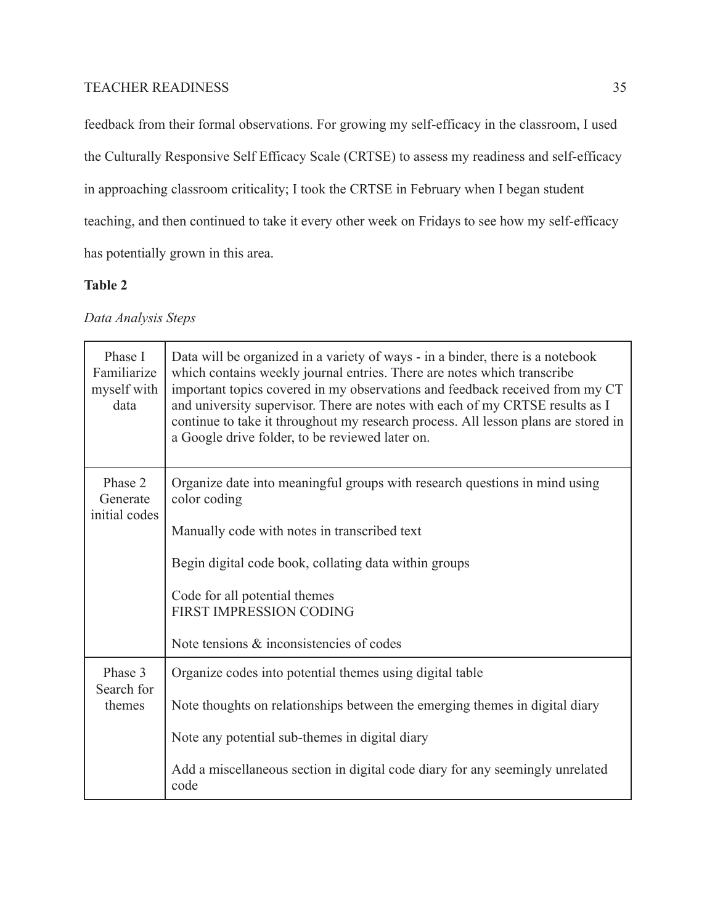feedback from their formal observations. For growing my self-efficacy in the classroom, I used

the Culturally Responsive Self Efficacy Scale (CRTSE) to assess my readiness and self-efficacy

in approaching classroom criticality; I took the CRTSE in February when I began student

teaching, and then continued to take it every other week on Fridays to see how my self-efficacy

has potentially grown in this area.

# **Table 2**

# *Data Analysis Steps*

| Phase I<br>Familiarize<br>myself with<br>data | Data will be organized in a variety of ways - in a binder, there is a notebook<br>which contains weekly journal entries. There are notes which transcribe<br>important topics covered in my observations and feedback received from my CT<br>and university supervisor. There are notes with each of my CRTSE results as I<br>continue to take it throughout my research process. All lesson plans are stored in<br>a Google drive folder, to be reviewed later on. |  |  |
|-----------------------------------------------|---------------------------------------------------------------------------------------------------------------------------------------------------------------------------------------------------------------------------------------------------------------------------------------------------------------------------------------------------------------------------------------------------------------------------------------------------------------------|--|--|
| Phase 2<br>Generate<br>initial codes          | Organize date into meaningful groups with research questions in mind using<br>color coding                                                                                                                                                                                                                                                                                                                                                                          |  |  |
|                                               | Manually code with notes in transcribed text                                                                                                                                                                                                                                                                                                                                                                                                                        |  |  |
|                                               | Begin digital code book, collating data within groups                                                                                                                                                                                                                                                                                                                                                                                                               |  |  |
|                                               | Code for all potential themes<br>FIRST IMPRESSION CODING                                                                                                                                                                                                                                                                                                                                                                                                            |  |  |
|                                               | Note tensions & inconsistencies of codes                                                                                                                                                                                                                                                                                                                                                                                                                            |  |  |
| Phase 3<br>Search for                         | Organize codes into potential themes using digital table                                                                                                                                                                                                                                                                                                                                                                                                            |  |  |
| themes                                        | Note thoughts on relationships between the emerging themes in digital diary                                                                                                                                                                                                                                                                                                                                                                                         |  |  |
|                                               | Note any potential sub-themes in digital diary                                                                                                                                                                                                                                                                                                                                                                                                                      |  |  |
|                                               | Add a miscellaneous section in digital code diary for any seemingly unrelated<br>code                                                                                                                                                                                                                                                                                                                                                                               |  |  |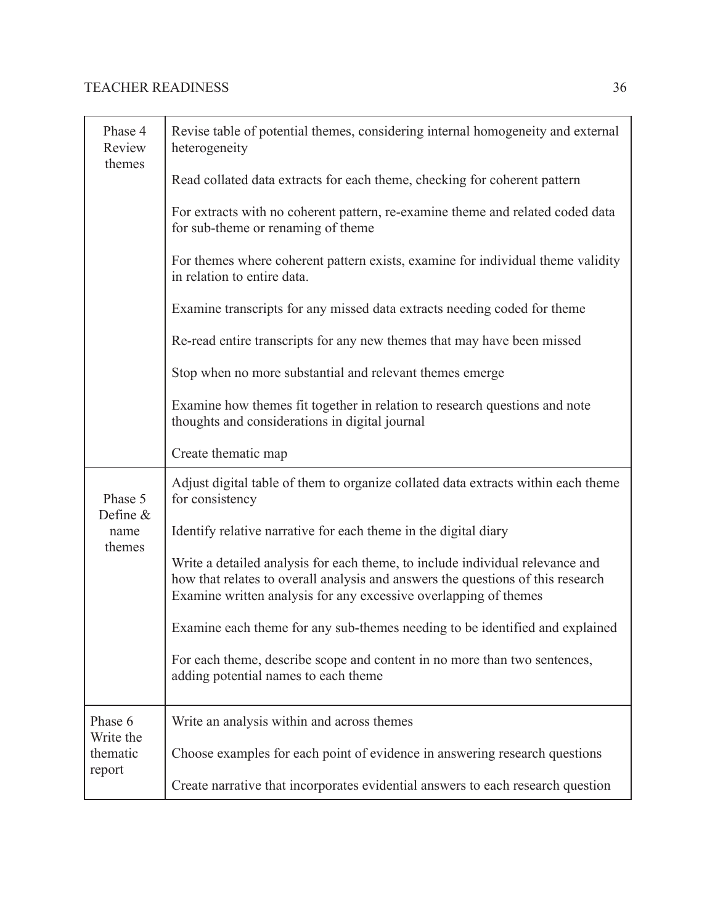| Phase 4<br>Review<br>themes | Revise table of potential themes, considering internal homogeneity and external<br>heterogeneity<br>Read collated data extracts for each theme, checking for coherent pattern<br>For extracts with no coherent pattern, re-examine theme and related coded data<br>for sub-theme or renaming of theme |  |  |
|-----------------------------|-------------------------------------------------------------------------------------------------------------------------------------------------------------------------------------------------------------------------------------------------------------------------------------------------------|--|--|
|                             | For themes where coherent pattern exists, examine for individual theme validity<br>in relation to entire data.                                                                                                                                                                                        |  |  |
|                             | Examine transcripts for any missed data extracts needing coded for theme                                                                                                                                                                                                                              |  |  |
|                             | Re-read entire transcripts for any new themes that may have been missed                                                                                                                                                                                                                               |  |  |
|                             | Stop when no more substantial and relevant themes emerge                                                                                                                                                                                                                                              |  |  |
|                             | Examine how themes fit together in relation to research questions and note<br>thoughts and considerations in digital journal                                                                                                                                                                          |  |  |
|                             | Create thematic map                                                                                                                                                                                                                                                                                   |  |  |
| Phase 5<br>Define &         | Adjust digital table of them to organize collated data extracts within each theme<br>for consistency                                                                                                                                                                                                  |  |  |
| name<br>themes              | Identify relative narrative for each theme in the digital diary                                                                                                                                                                                                                                       |  |  |
|                             | Write a detailed analysis for each theme, to include individual relevance and<br>how that relates to overall analysis and answers the questions of this research<br>Examine written analysis for any excessive overlapping of themes                                                                  |  |  |
|                             | Examine each theme for any sub-themes needing to be identified and explained                                                                                                                                                                                                                          |  |  |
|                             | For each theme, describe scope and content in no more than two sentences,<br>adding potential names to each theme                                                                                                                                                                                     |  |  |
| Phase 6<br>Write the        | Write an analysis within and across themes                                                                                                                                                                                                                                                            |  |  |
| thematic                    | Choose examples for each point of evidence in answering research questions                                                                                                                                                                                                                            |  |  |
| report                      | Create narrative that incorporates evidential answers to each research question                                                                                                                                                                                                                       |  |  |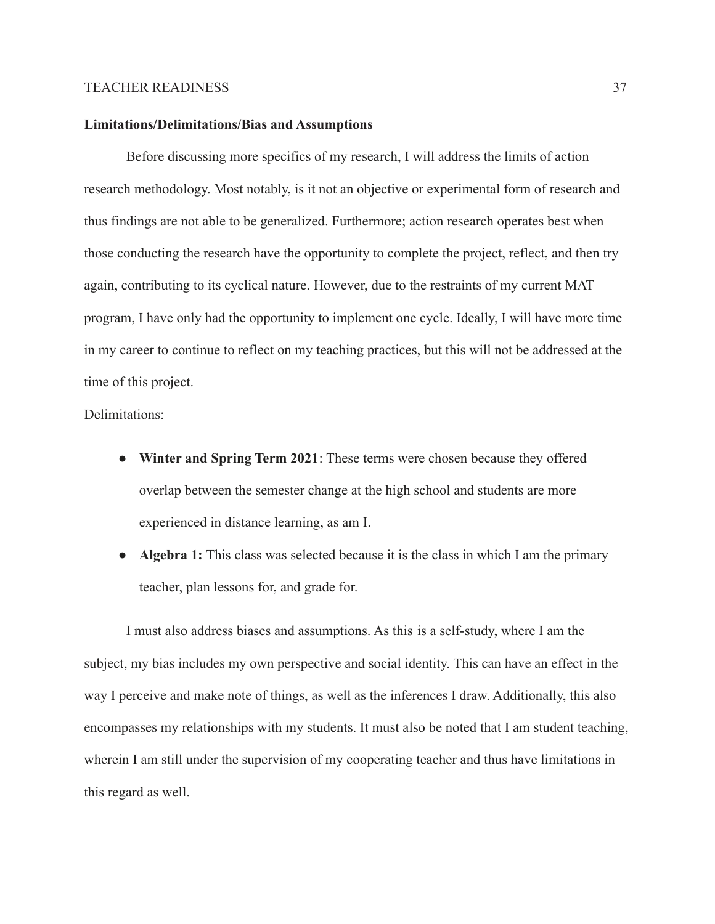## **Limitations/Delimitations/Bias and Assumptions**

Before discussing more specifics of my research, I will address the limits of action research methodology. Most notably, is it not an objective or experimental form of research and thus findings are not able to be generalized. Furthermore; action research operates best when those conducting the research have the opportunity to complete the project, reflect, and then try again, contributing to its cyclical nature. However, due to the restraints of my current MAT program, I have only had the opportunity to implement one cycle. Ideally, I will have more time in my career to continue to reflect on my teaching practices, but this will not be addressed at the time of this project.

Delimitations:

- **Winter and Spring Term 2021**: These terms were chosen because they offered overlap between the semester change at the high school and students are more experienced in distance learning, as am I.
- **● Algebra 1:** This class was selected because it is the class in which I am the primary teacher, plan lessons for, and grade for.

I must also address biases and assumptions. As this is a self-study, where I am the subject, my bias includes my own perspective and social identity. This can have an effect in the way I perceive and make note of things, as well as the inferences I draw. Additionally, this also encompasses my relationships with my students. It must also be noted that I am student teaching, wherein I am still under the supervision of my cooperating teacher and thus have limitations in this regard as well.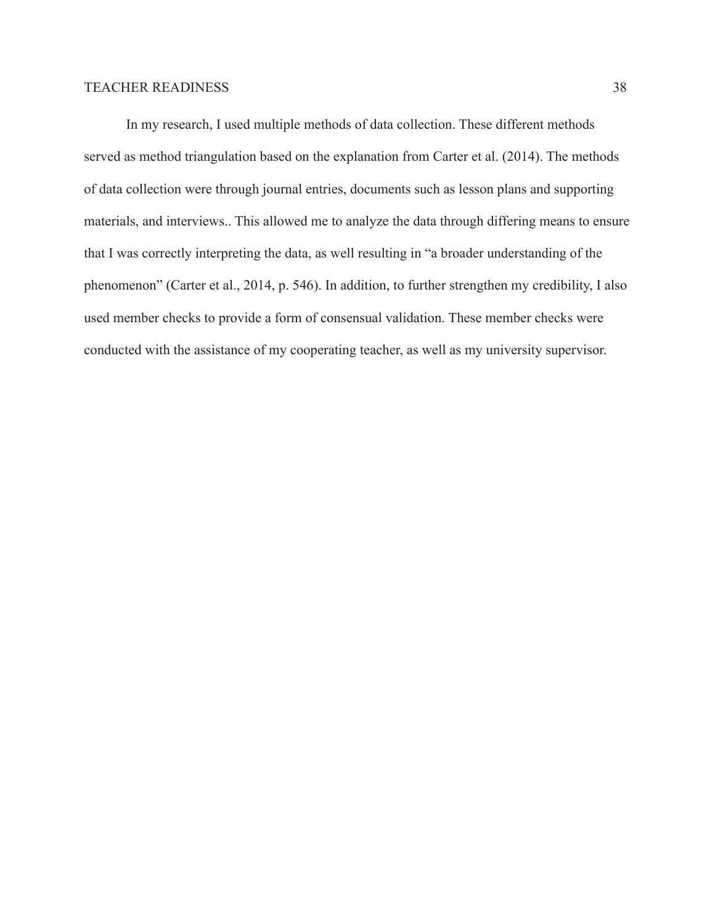In my research, I used multiple methods of data collection. These different methods served as method triangulation based on the explanation from Carter et al. (2014). The methods of data collection were through journal entries, documents such as lesson plans and supporting materials, and interviews.. This allowed me to analyze the data through differing means to ensure that I was correctly interpreting the data, as well resulting in "a broader understanding of the phenomenon" (Carter et al., 2014, p. 546). In addition, to further strengthen my credibility, I also used member checks to provide a form of consensual validation. These member checks were conducted with the assistance of my cooperating teacher, as well as my university supervisor.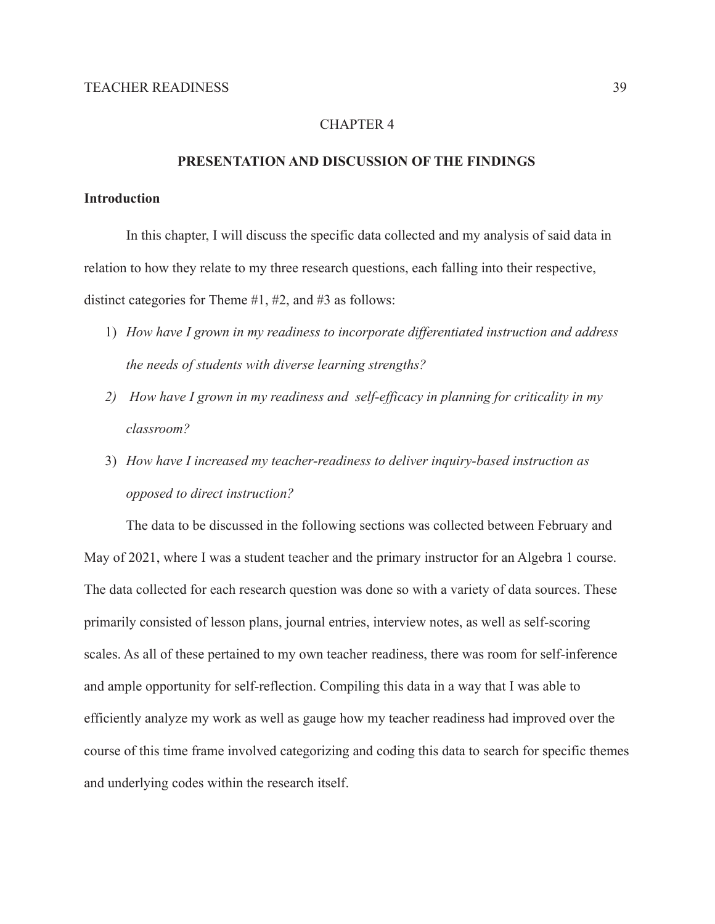# CHAPTER 4

### **PRESENTATION AND DISCUSSION OF THE FINDINGS**

#### **Introduction**

In this chapter, I will discuss the specific data collected and my analysis of said data in relation to how they relate to my three research questions, each falling into their respective, distinct categories for Theme #1, #2, and #3 as follows:

- 1) *How have I grown in my readiness to incorporate differentiated instruction and address the needs of students with diverse learning strengths?*
- *2) How have I grown in my readiness and self-efficacy in planning for criticality in my classroom?*
- 3) *How have I increased my teacher-readiness to deliver inquiry-based instruction as opposed to direct instruction?*

The data to be discussed in the following sections was collected between February and May of 2021, where I was a student teacher and the primary instructor for an Algebra 1 course. The data collected for each research question was done so with a variety of data sources. These primarily consisted of lesson plans, journal entries, interview notes, as well as self-scoring scales. As all of these pertained to my own teacher readiness, there was room for self-inference and ample opportunity for self-reflection. Compiling this data in a way that I was able to efficiently analyze my work as well as gauge how my teacher readiness had improved over the course of this time frame involved categorizing and coding this data to search for specific themes and underlying codes within the research itself.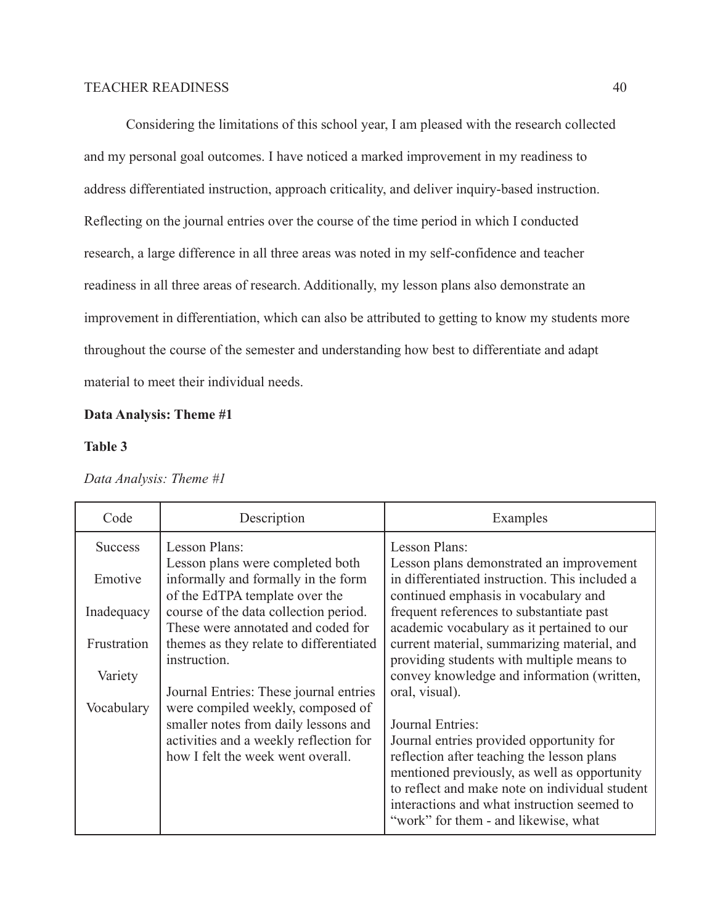Considering the limitations of this school year, I am pleased with the research collected and my personal goal outcomes. I have noticed a marked improvement in my readiness to address differentiated instruction, approach criticality, and deliver inquiry-based instruction. Reflecting on the journal entries over the course of the time period in which I conducted research, a large difference in all three areas was noted in my self-confidence and teacher readiness in all three areas of research. Additionally, my lesson plans also demonstrate an improvement in differentiation, which can also be attributed to getting to know my students more throughout the course of the semester and understanding how best to differentiate and adapt material to meet their individual needs.

# **Data Analysis: Theme #1**

## **Table 3**

| Code           | Description                                                                                                         | Examples                                                                                                                                                                                                                                                                                            |
|----------------|---------------------------------------------------------------------------------------------------------------------|-----------------------------------------------------------------------------------------------------------------------------------------------------------------------------------------------------------------------------------------------------------------------------------------------------|
| <b>Success</b> | Lesson Plans:                                                                                                       | Lesson Plans:                                                                                                                                                                                                                                                                                       |
| Emotive        | Lesson plans were completed both<br>informally and formally in the form<br>of the EdTPA template over the           | Lesson plans demonstrated an improvement<br>in differentiated instruction. This included a<br>continued emphasis in vocabulary and                                                                                                                                                                  |
| Inadequacy     | course of the data collection period.                                                                               | frequent references to substantiate past                                                                                                                                                                                                                                                            |
| Frustration    | These were annotated and coded for<br>themes as they relate to differentiated<br>instruction.                       | academic vocabulary as it pertained to our<br>current material, summarizing material, and<br>providing students with multiple means to                                                                                                                                                              |
| Variety        |                                                                                                                     | convey knowledge and information (written,                                                                                                                                                                                                                                                          |
| Vocabulary     | Journal Entries: These journal entries<br>were compiled weekly, composed of                                         | oral, visual).                                                                                                                                                                                                                                                                                      |
|                | smaller notes from daily lessons and<br>activities and a weekly reflection for<br>how I felt the week went overall. | Journal Entries:<br>Journal entries provided opportunity for<br>reflection after teaching the lesson plans<br>mentioned previously, as well as opportunity<br>to reflect and make note on individual student<br>interactions and what instruction seemed to<br>"work" for them - and likewise, what |

*Data Analysis: Theme #1*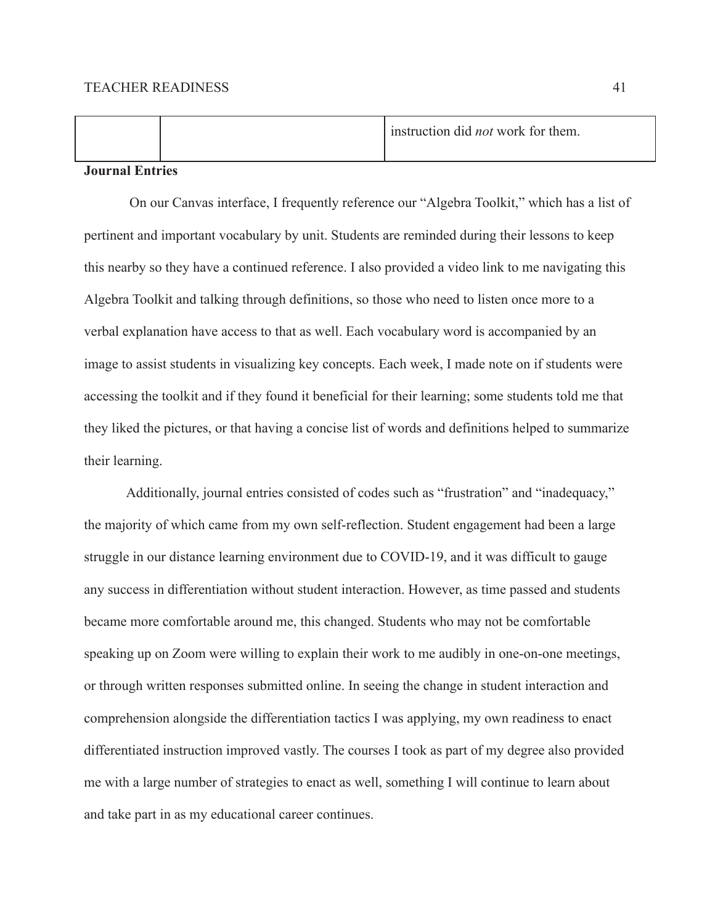|  |  | instruction did <i>not</i> work for them. |
|--|--|-------------------------------------------|
|  |  |                                           |

#### **Journal Entries**

On our Canvas interface, I frequently reference our "Algebra Toolkit," which has a list of pertinent and important vocabulary by unit. Students are reminded during their lessons to keep this nearby so they have a continued reference. I also provided a video link to me navigating this Algebra Toolkit and talking through definitions, so those who need to listen once more to a verbal explanation have access to that as well. Each vocabulary word is accompanied by an image to assist students in visualizing key concepts. Each week, I made note on if students were accessing the toolkit and if they found it beneficial for their learning; some students told me that they liked the pictures, or that having a concise list of words and definitions helped to summarize their learning.

Additionally, journal entries consisted of codes such as "frustration" and "inadequacy," the majority of which came from my own self-reflection. Student engagement had been a large struggle in our distance learning environment due to COVID-19, and it was difficult to gauge any success in differentiation without student interaction. However, as time passed and students became more comfortable around me, this changed. Students who may not be comfortable speaking up on Zoom were willing to explain their work to me audibly in one-on-one meetings, or through written responses submitted online. In seeing the change in student interaction and comprehension alongside the differentiation tactics I was applying, my own readiness to enact differentiated instruction improved vastly. The courses I took as part of my degree also provided me with a large number of strategies to enact as well, something I will continue to learn about and take part in as my educational career continues.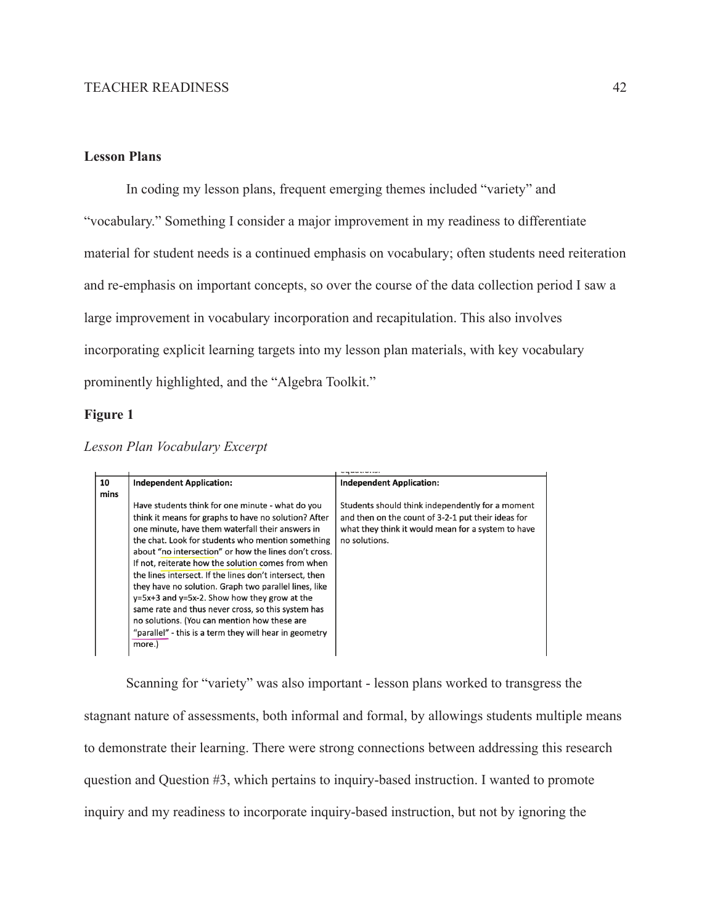# **Lesson Plans**

In coding my lesson plans, frequent emerging themes included "variety" and "vocabulary." Something I consider a major improvement in my readiness to differentiate material for student needs is a continued emphasis on vocabulary; often students need reiteration and re-emphasis on important concepts, so over the course of the data collection period I saw a large improvement in vocabulary incorporation and recapitulation. This also involves incorporating explicit learning targets into my lesson plan materials, with key vocabulary prominently highlighted, and the "Algebra Toolkit."

#### **Figure 1**

*Lesson Plan Vocabulary Excerpt*

| 10   | <b>Independent Application:</b>                                                                                                                                                                                                                                                                                                                                                                                                                                                                                                                                                                                                                                                     | <b>Independent Application:</b>                                                                                                                                               |
|------|-------------------------------------------------------------------------------------------------------------------------------------------------------------------------------------------------------------------------------------------------------------------------------------------------------------------------------------------------------------------------------------------------------------------------------------------------------------------------------------------------------------------------------------------------------------------------------------------------------------------------------------------------------------------------------------|-------------------------------------------------------------------------------------------------------------------------------------------------------------------------------|
| mins |                                                                                                                                                                                                                                                                                                                                                                                                                                                                                                                                                                                                                                                                                     |                                                                                                                                                                               |
|      | Have students think for one minute - what do you<br>think it means for graphs to have no solution? After<br>one minute, have them waterfall their answers in<br>the chat. Look for students who mention something<br>about "no intersection" or how the lines don't cross.<br>If not, reiterate how the solution comes from when<br>the lines intersect. If the lines don't intersect, then<br>they have no solution. Graph two parallel lines, like<br>$y=5x+3$ and $y=5x-2$ . Show how they grow at the<br>same rate and thus never cross, so this system has<br>no solutions. (You can mention how these are<br>"parallel" - this is a term they will hear in geometry<br>more.) | Students should think independently for a moment<br>and then on the count of 3-2-1 put their ideas for<br>what they think it would mean for a system to have<br>no solutions. |

Scanning for "variety" was also important - lesson plans worked to transgress the stagnant nature of assessments, both informal and formal, by allowings students multiple means to demonstrate their learning. There were strong connections between addressing this research question and Question #3, which pertains to inquiry-based instruction. I wanted to promote inquiry and my readiness to incorporate inquiry-based instruction, but not by ignoring the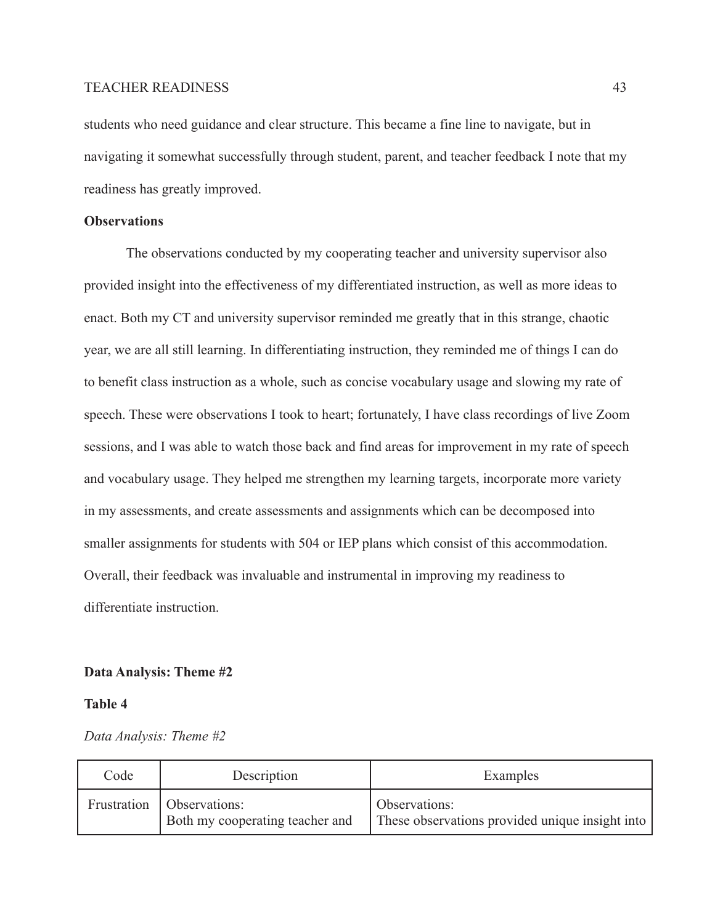students who need guidance and clear structure. This became a fine line to navigate, but in navigating it somewhat successfully through student, parent, and teacher feedback I note that my readiness has greatly improved.

# **Observations**

The observations conducted by my cooperating teacher and university supervisor also provided insight into the effectiveness of my differentiated instruction, as well as more ideas to enact. Both my CT and university supervisor reminded me greatly that in this strange, chaotic year, we are all still learning. In differentiating instruction, they reminded me of things I can do to benefit class instruction as a whole, such as concise vocabulary usage and slowing my rate of speech. These were observations I took to heart; fortunately, I have class recordings of live Zoom sessions, and I was able to watch those back and find areas for improvement in my rate of speech and vocabulary usage. They helped me strengthen my learning targets, incorporate more variety in my assessments, and create assessments and assignments which can be decomposed into smaller assignments for students with 504 or IEP plans which consist of this accommodation. Overall, their feedback was invaluable and instrumental in improving my readiness to differentiate instruction.

#### **Data Analysis: Theme #2**

## **Table 4**

*Data Analysis: Theme #2*

| Code | Description                                                    | Examples                                                         |
|------|----------------------------------------------------------------|------------------------------------------------------------------|
|      | Frustration   Observations:<br>Both my cooperating teacher and | Observations:<br>These observations provided unique insight into |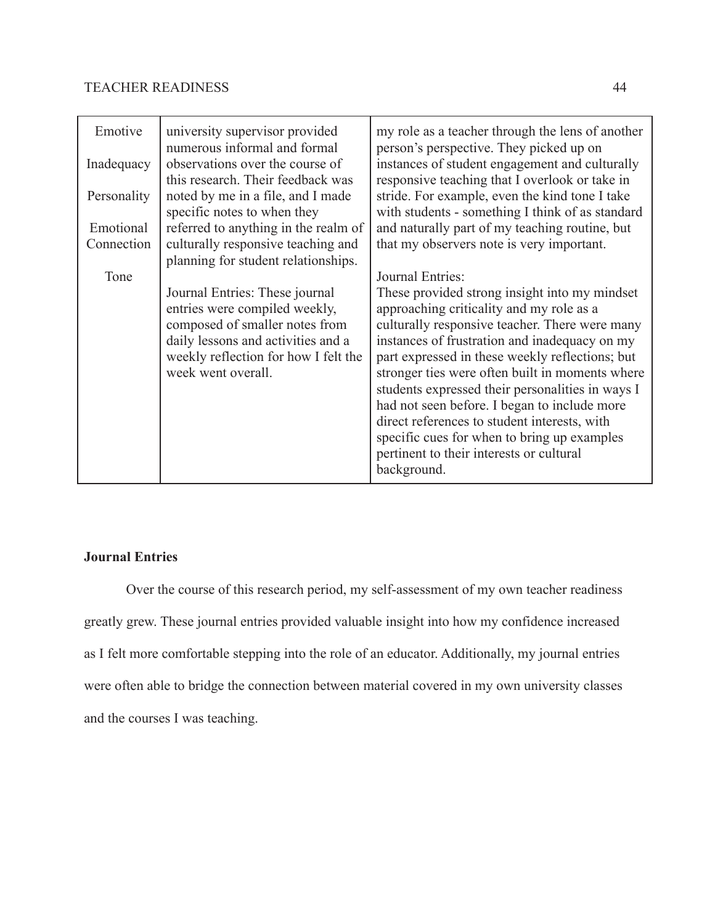| Emotive     | university supervisor provided<br>numerous informal and formal       | my role as a teacher through the lens of another<br>person's perspective. They picked up on        |
|-------------|----------------------------------------------------------------------|----------------------------------------------------------------------------------------------------|
| Inadequacy  | observations over the course of<br>this research. Their feedback was | instances of student engagement and culturally<br>responsive teaching that I overlook or take in   |
| Personality | noted by me in a file, and I made<br>specific notes to when they     | stride. For example, even the kind tone I take<br>with students - something I think of as standard |
| Emotional   | referred to anything in the realm of                                 | and naturally part of my teaching routine, but                                                     |
| Connection  | culturally responsive teaching and                                   | that my observers note is very important.                                                          |
|             | planning for student relationships.                                  |                                                                                                    |
| Tone        |                                                                      | Journal Entries:                                                                                   |
|             | Journal Entries: These journal                                       | These provided strong insight into my mindset                                                      |
|             | entries were compiled weekly,                                        | approaching criticality and my role as a                                                           |
|             | composed of smaller notes from                                       | culturally responsive teacher. There were many                                                     |
|             | daily lessons and activities and a                                   | instances of frustration and inadequacy on my                                                      |
|             | weekly reflection for how I felt the                                 | part expressed in these weekly reflections; but                                                    |
|             | week went overall.                                                   | stronger ties were often built in moments where                                                    |
|             |                                                                      | students expressed their personalities in ways I                                                   |
|             |                                                                      | had not seen before. I began to include more                                                       |
|             |                                                                      | direct references to student interests, with                                                       |
|             |                                                                      | specific cues for when to bring up examples                                                        |
|             |                                                                      | pertinent to their interests or cultural                                                           |
|             |                                                                      | background.                                                                                        |

# **Journal Entries**

Over the course of this research period, my self-assessment of my own teacher readiness greatly grew. These journal entries provided valuable insight into how my confidence increased as I felt more comfortable stepping into the role of an educator. Additionally, my journal entries were often able to bridge the connection between material covered in my own university classes and the courses I was teaching.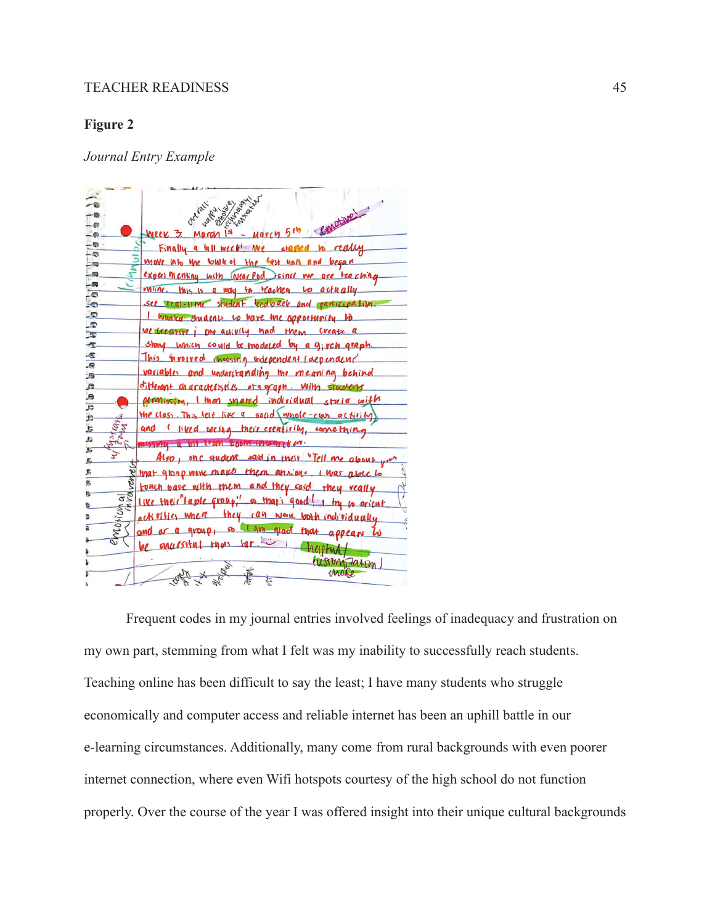# **Figure 2**

*Journal Entry Example*



Frequent codes in my journal entries involved feelings of inadequacy and frustration on my own part, stemming from what I felt was my inability to successfully reach students. Teaching online has been difficult to say the least; I have many students who struggle economically and computer access and reliable internet has been an uphill battle in our e-learning circumstances. Additionally, many come from rural backgrounds with even poorer internet connection, where even Wifi hotspots courtesy of the high school do not function properly. Over the course of the year I was offered insight into their unique cultural backgrounds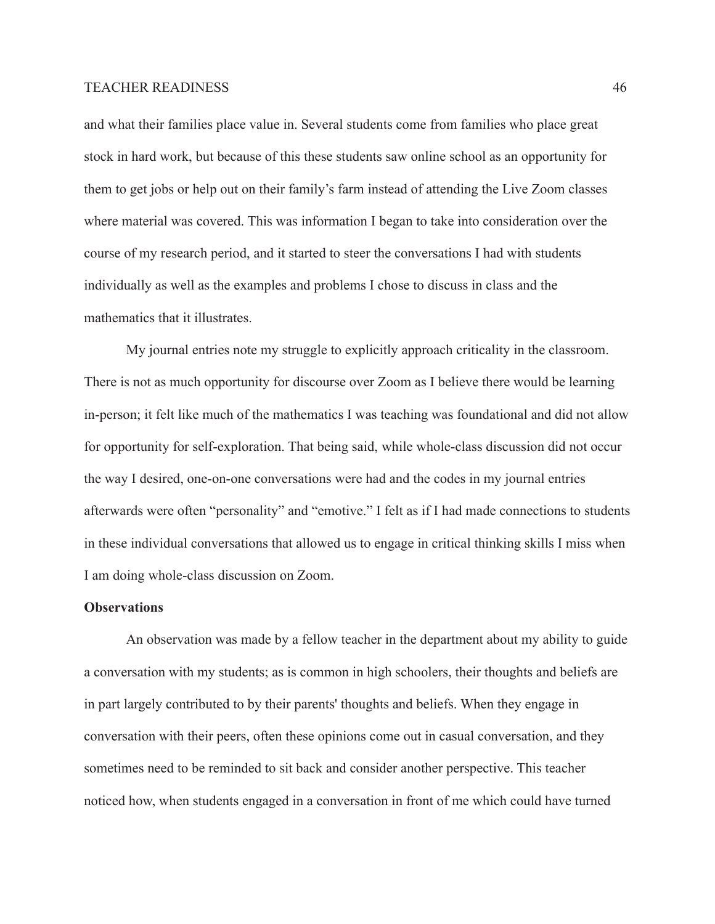and what their families place value in. Several students come from families who place great stock in hard work, but because of this these students saw online school as an opportunity for them to get jobs or help out on their family's farm instead of attending the Live Zoom classes where material was covered. This was information I began to take into consideration over the course of my research period, and it started to steer the conversations I had with students individually as well as the examples and problems I chose to discuss in class and the mathematics that it illustrates.

My journal entries note my struggle to explicitly approach criticality in the classroom. There is not as much opportunity for discourse over Zoom as I believe there would be learning in-person; it felt like much of the mathematics I was teaching was foundational and did not allow for opportunity for self-exploration. That being said, while whole-class discussion did not occur the way I desired, one-on-one conversations were had and the codes in my journal entries afterwards were often "personality" and "emotive." I felt as if I had made connections to students in these individual conversations that allowed us to engage in critical thinking skills I miss when I am doing whole-class discussion on Zoom.

#### **Observations**

An observation was made by a fellow teacher in the department about my ability to guide a conversation with my students; as is common in high schoolers, their thoughts and beliefs are in part largely contributed to by their parents' thoughts and beliefs. When they engage in conversation with their peers, often these opinions come out in casual conversation, and they sometimes need to be reminded to sit back and consider another perspective. This teacher noticed how, when students engaged in a conversation in front of me which could have turned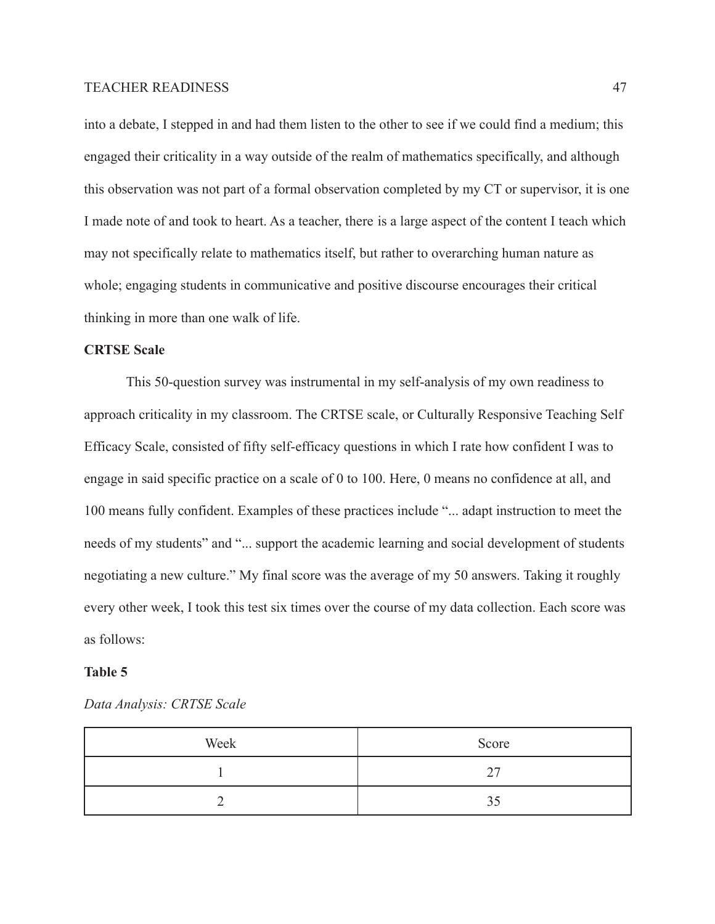into a debate, I stepped in and had them listen to the other to see if we could find a medium; this engaged their criticality in a way outside of the realm of mathematics specifically, and although this observation was not part of a formal observation completed by my CT or supervisor, it is one I made note of and took to heart. As a teacher, there is a large aspect of the content I teach which may not specifically relate to mathematics itself, but rather to overarching human nature as whole; engaging students in communicative and positive discourse encourages their critical thinking in more than one walk of life.

# **CRTSE Scale**

This 50-question survey was instrumental in my self-analysis of my own readiness to approach criticality in my classroom. The CRTSE scale, or Culturally Responsive Teaching Self Efficacy Scale, consisted of fifty self-efficacy questions in which I rate how confident I was to engage in said specific practice on a scale of 0 to 100. Here, 0 means no confidence at all, and 100 means fully confident. Examples of these practices include "... adapt instruction to meet the needs of my students" and "... support the academic learning and social development of students negotiating a new culture." My final score was the average of my 50 answers. Taking it roughly every other week, I took this test six times over the course of my data collection. Each score was as follows:

#### **Table 5**

| Week | Score |
|------|-------|
|      | າາ    |
|      |       |

*Data Analysis: CRTSE Scale*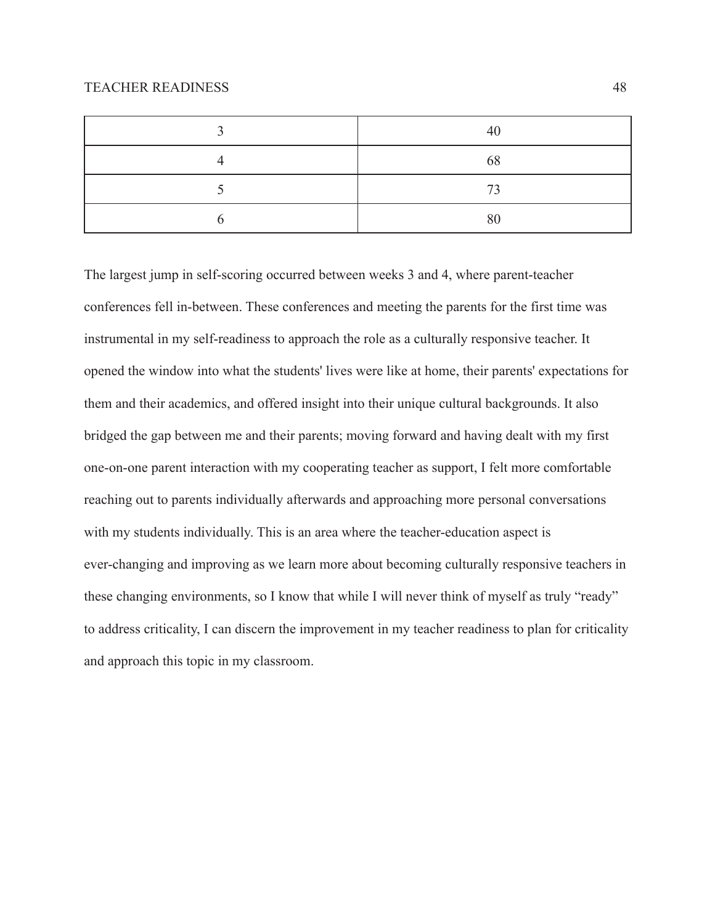| 40 |
|----|
| 68 |
| 73 |
| 80 |

The largest jump in self-scoring occurred between weeks 3 and 4, where parent-teacher conferences fell in-between. These conferences and meeting the parents for the first time was instrumental in my self-readiness to approach the role as a culturally responsive teacher. It opened the window into what the students' lives were like at home, their parents' expectations for them and their academics, and offered insight into their unique cultural backgrounds. It also bridged the gap between me and their parents; moving forward and having dealt with my first one-on-one parent interaction with my cooperating teacher as support, I felt more comfortable reaching out to parents individually afterwards and approaching more personal conversations with my students individually. This is an area where the teacher-education aspect is ever-changing and improving as we learn more about becoming culturally responsive teachers in these changing environments, so I know that while I will never think of myself as truly "ready" to address criticality, I can discern the improvement in my teacher readiness to plan for criticality and approach this topic in my classroom.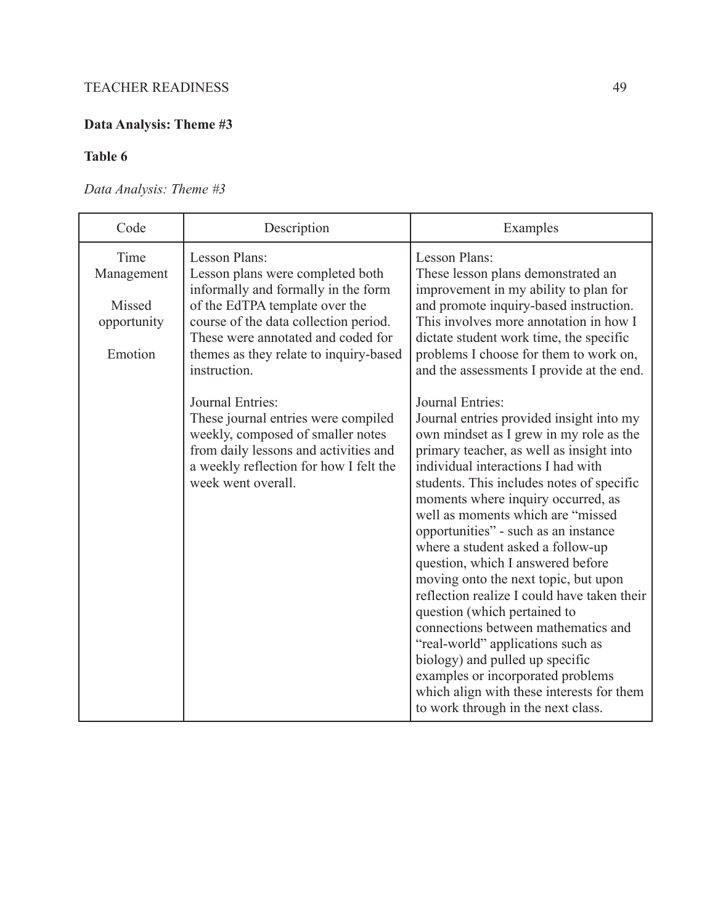# **Data Analysis: Theme #3**

# **Table 6**

# *Data Analysis: Theme #3*

| Code                                                   | Description                                                                                                                                                                                                                                                         | Examples                                                                                                                                                                                                                                                                                                                                                                                                                                                                                                                                                                                                                                                                                                                                                                                                 |
|--------------------------------------------------------|---------------------------------------------------------------------------------------------------------------------------------------------------------------------------------------------------------------------------------------------------------------------|----------------------------------------------------------------------------------------------------------------------------------------------------------------------------------------------------------------------------------------------------------------------------------------------------------------------------------------------------------------------------------------------------------------------------------------------------------------------------------------------------------------------------------------------------------------------------------------------------------------------------------------------------------------------------------------------------------------------------------------------------------------------------------------------------------|
| Time<br>Management<br>Missed<br>opportunity<br>Emotion | Lesson Plans:<br>Lesson plans were completed both<br>informally and formally in the form<br>of the EdTPA template over the<br>course of the data collection period.<br>These were annotated and coded for<br>themes as they relate to inquiry-based<br>instruction. | Lesson Plans:<br>These lesson plans demonstrated an<br>improvement in my ability to plan for<br>and promote inquiry-based instruction.<br>This involves more annotation in how I<br>dictate student work time, the specific<br>problems I choose for them to work on,<br>and the assessments I provide at the end.                                                                                                                                                                                                                                                                                                                                                                                                                                                                                       |
|                                                        | Journal Entries:<br>These journal entries were compiled<br>weekly, composed of smaller notes<br>from daily lessons and activities and<br>a weekly reflection for how I felt the<br>week went overall.                                                               | <b>Journal Entries:</b><br>Journal entries provided insight into my<br>own mindset as I grew in my role as the<br>primary teacher, as well as insight into<br>individual interactions I had with<br>students. This includes notes of specific<br>moments where inquiry occurred, as<br>well as moments which are "missed<br>opportunities" - such as an instance<br>where a student asked a follow-up<br>question, which I answered before<br>moving onto the next topic, but upon<br>reflection realize I could have taken their<br>question (which pertained to<br>connections between mathematics and<br>"real-world" applications such as<br>biology) and pulled up specific<br>examples or incorporated problems<br>which align with these interests for them<br>to work through in the next class. |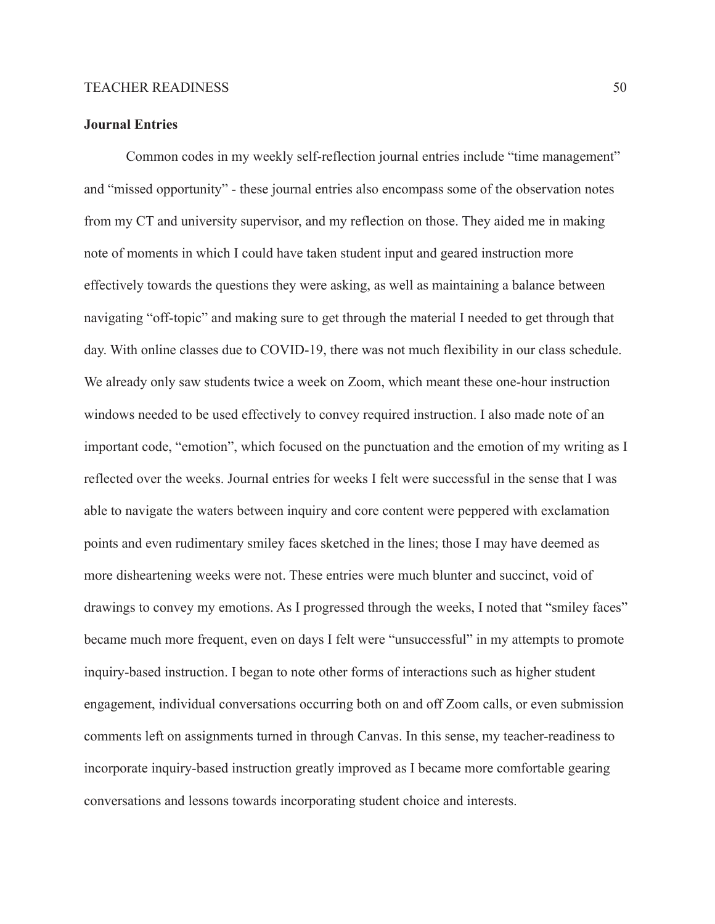# **Journal Entries**

Common codes in my weekly self-reflection journal entries include "time management" and "missed opportunity" - these journal entries also encompass some of the observation notes from my CT and university supervisor, and my reflection on those. They aided me in making note of moments in which I could have taken student input and geared instruction more effectively towards the questions they were asking, as well as maintaining a balance between navigating "off-topic" and making sure to get through the material I needed to get through that day. With online classes due to COVID-19, there was not much flexibility in our class schedule. We already only saw students twice a week on Zoom, which meant these one-hour instruction windows needed to be used effectively to convey required instruction. I also made note of an important code, "emotion", which focused on the punctuation and the emotion of my writing as I reflected over the weeks. Journal entries for weeks I felt were successful in the sense that I was able to navigate the waters between inquiry and core content were peppered with exclamation points and even rudimentary smiley faces sketched in the lines; those I may have deemed as more disheartening weeks were not. These entries were much blunter and succinct, void of drawings to convey my emotions. As I progressed through the weeks, I noted that "smiley faces" became much more frequent, even on days I felt were "unsuccessful" in my attempts to promote inquiry-based instruction. I began to note other forms of interactions such as higher student engagement, individual conversations occurring both on and off Zoom calls, or even submission comments left on assignments turned in through Canvas. In this sense, my teacher-readiness to incorporate inquiry-based instruction greatly improved as I became more comfortable gearing conversations and lessons towards incorporating student choice and interests.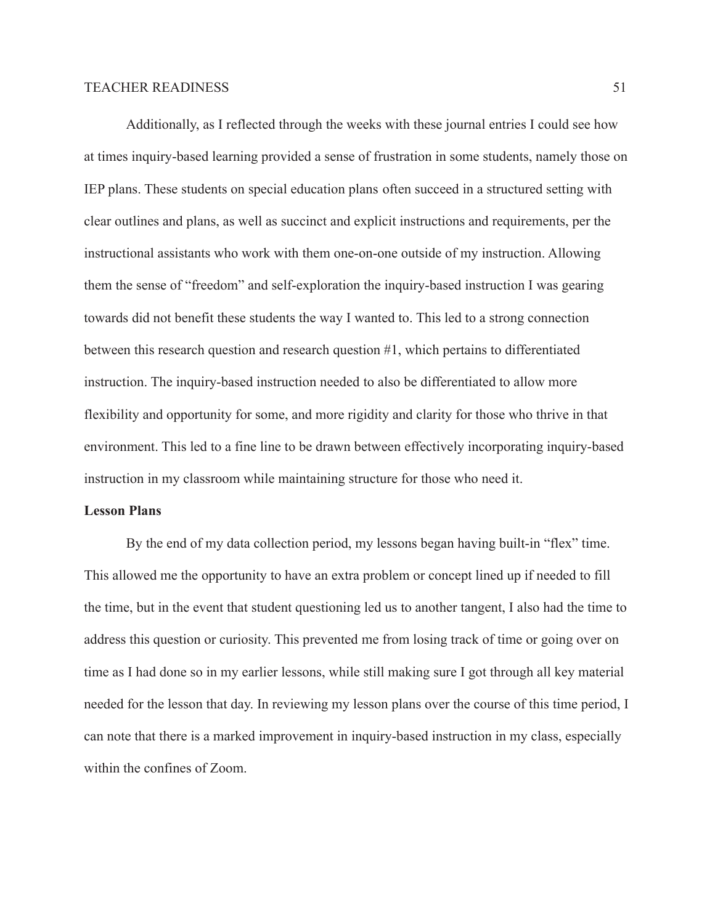Additionally, as I reflected through the weeks with these journal entries I could see how at times inquiry-based learning provided a sense of frustration in some students, namely those on IEP plans. These students on special education plans often succeed in a structured setting with clear outlines and plans, as well as succinct and explicit instructions and requirements, per the instructional assistants who work with them one-on-one outside of my instruction. Allowing them the sense of "freedom" and self-exploration the inquiry-based instruction I was gearing towards did not benefit these students the way I wanted to. This led to a strong connection between this research question and research question #1, which pertains to differentiated instruction. The inquiry-based instruction needed to also be differentiated to allow more flexibility and opportunity for some, and more rigidity and clarity for those who thrive in that environment. This led to a fine line to be drawn between effectively incorporating inquiry-based instruction in my classroom while maintaining structure for those who need it.

# **Lesson Plans**

By the end of my data collection period, my lessons began having built-in "flex" time. This allowed me the opportunity to have an extra problem or concept lined up if needed to fill the time, but in the event that student questioning led us to another tangent, I also had the time to address this question or curiosity. This prevented me from losing track of time or going over on time as I had done so in my earlier lessons, while still making sure I got through all key material needed for the lesson that day. In reviewing my lesson plans over the course of this time period, I can note that there is a marked improvement in inquiry-based instruction in my class, especially within the confines of Zoom.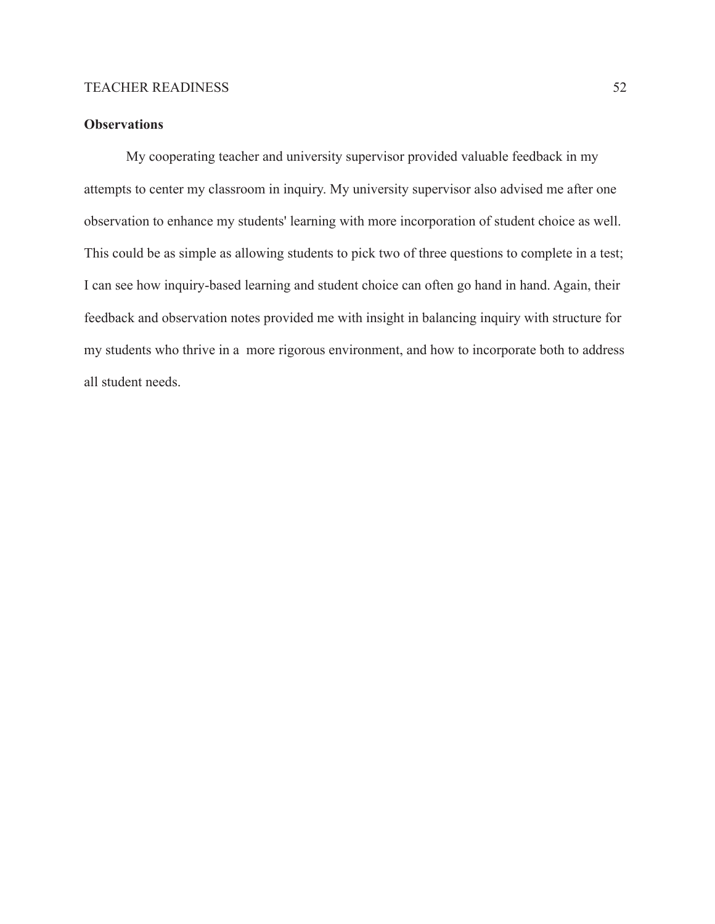## **Observations**

My cooperating teacher and university supervisor provided valuable feedback in my attempts to center my classroom in inquiry. My university supervisor also advised me after one observation to enhance my students' learning with more incorporation of student choice as well. This could be as simple as allowing students to pick two of three questions to complete in a test; I can see how inquiry-based learning and student choice can often go hand in hand. Again, their feedback and observation notes provided me with insight in balancing inquiry with structure for my students who thrive in a more rigorous environment, and how to incorporate both to address all student needs.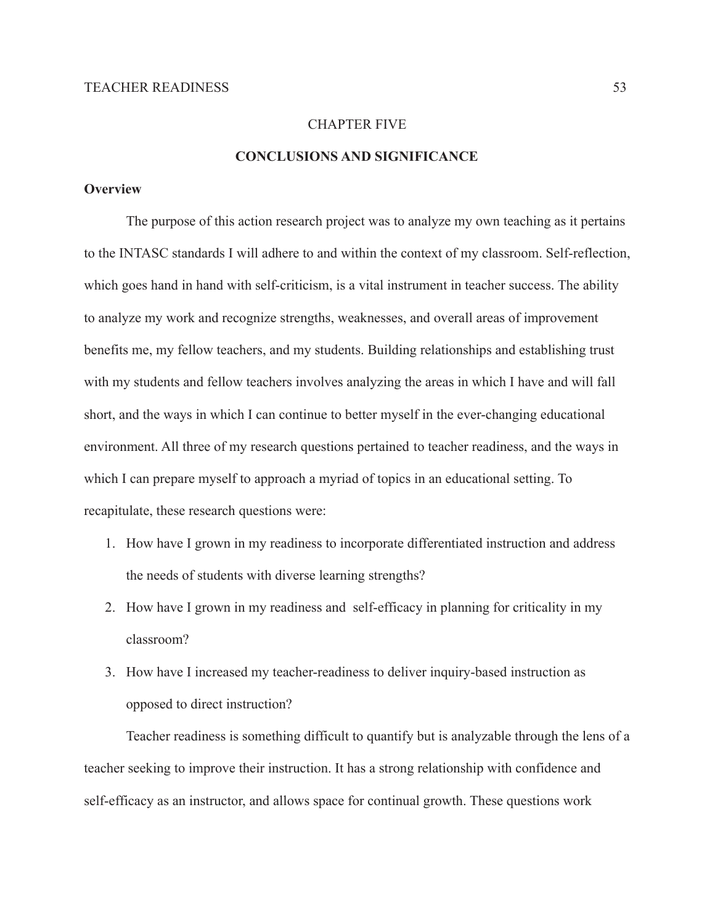## CHAPTER FIVE

# **CONCLUSIONS AND SIGNIFICANCE**

# **Overview**

The purpose of this action research project was to analyze my own teaching as it pertains to the INTASC standards I will adhere to and within the context of my classroom. Self-reflection, which goes hand in hand with self-criticism, is a vital instrument in teacher success. The ability to analyze my work and recognize strengths, weaknesses, and overall areas of improvement benefits me, my fellow teachers, and my students. Building relationships and establishing trust with my students and fellow teachers involves analyzing the areas in which I have and will fall short, and the ways in which I can continue to better myself in the ever-changing educational environment. All three of my research questions pertained to teacher readiness, and the ways in which I can prepare myself to approach a myriad of topics in an educational setting. To recapitulate, these research questions were:

- 1. How have I grown in my readiness to incorporate differentiated instruction and address the needs of students with diverse learning strengths?
- 2. How have I grown in my readiness and self-efficacy in planning for criticality in my classroom?
- 3. How have I increased my teacher-readiness to deliver inquiry-based instruction as opposed to direct instruction?

Teacher readiness is something difficult to quantify but is analyzable through the lens of a teacher seeking to improve their instruction. It has a strong relationship with confidence and self-efficacy as an instructor, and allows space for continual growth. These questions work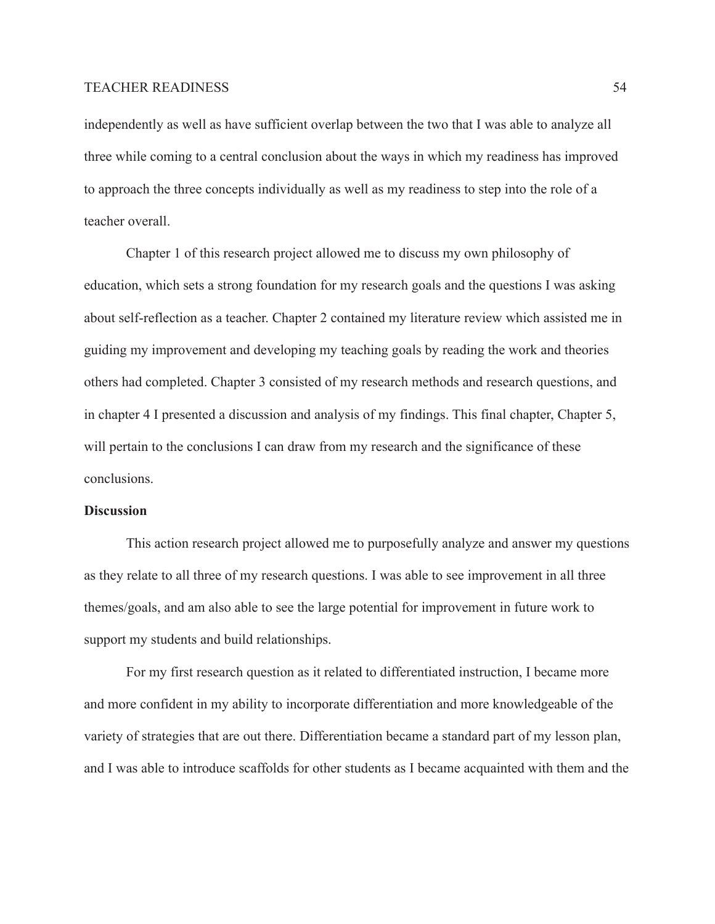independently as well as have sufficient overlap between the two that I was able to analyze all three while coming to a central conclusion about the ways in which my readiness has improved to approach the three concepts individually as well as my readiness to step into the role of a teacher overall.

Chapter 1 of this research project allowed me to discuss my own philosophy of education, which sets a strong foundation for my research goals and the questions I was asking about self-reflection as a teacher. Chapter 2 contained my literature review which assisted me in guiding my improvement and developing my teaching goals by reading the work and theories others had completed. Chapter 3 consisted of my research methods and research questions, and in chapter 4 I presented a discussion and analysis of my findings. This final chapter, Chapter 5, will pertain to the conclusions I can draw from my research and the significance of these conclusions.

### **Discussion**

This action research project allowed me to purposefully analyze and answer my questions as they relate to all three of my research questions. I was able to see improvement in all three themes/goals, and am also able to see the large potential for improvement in future work to support my students and build relationships.

For my first research question as it related to differentiated instruction, I became more and more confident in my ability to incorporate differentiation and more knowledgeable of the variety of strategies that are out there. Differentiation became a standard part of my lesson plan, and I was able to introduce scaffolds for other students as I became acquainted with them and the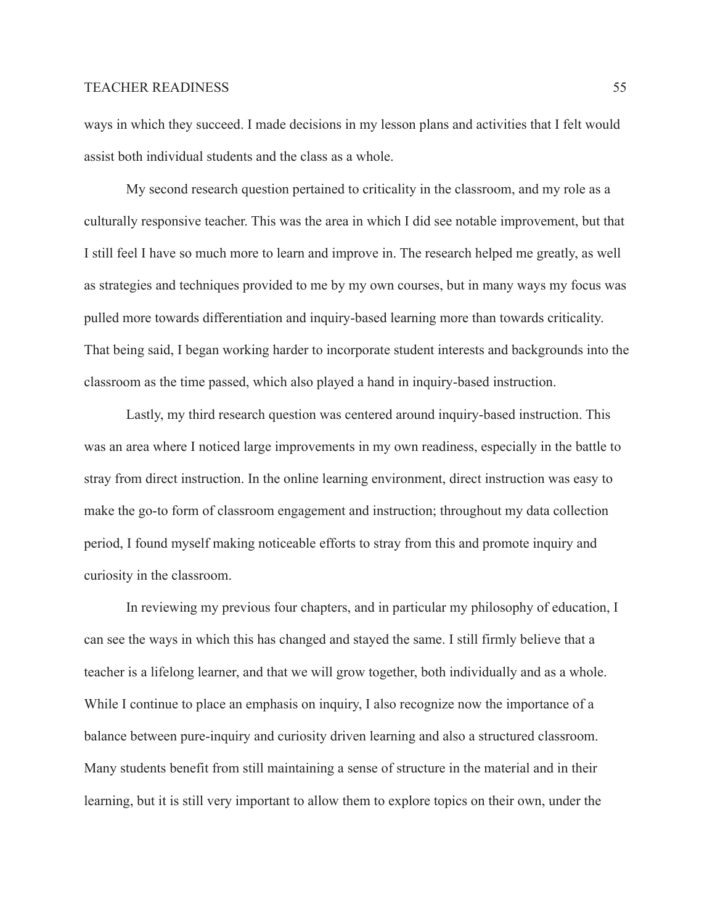ways in which they succeed. I made decisions in my lesson plans and activities that I felt would assist both individual students and the class as a whole.

My second research question pertained to criticality in the classroom, and my role as a culturally responsive teacher. This was the area in which I did see notable improvement, but that I still feel I have so much more to learn and improve in. The research helped me greatly, as well as strategies and techniques provided to me by my own courses, but in many ways my focus was pulled more towards differentiation and inquiry-based learning more than towards criticality. That being said, I began working harder to incorporate student interests and backgrounds into the classroom as the time passed, which also played a hand in inquiry-based instruction.

Lastly, my third research question was centered around inquiry-based instruction. This was an area where I noticed large improvements in my own readiness, especially in the battle to stray from direct instruction. In the online learning environment, direct instruction was easy to make the go-to form of classroom engagement and instruction; throughout my data collection period, I found myself making noticeable efforts to stray from this and promote inquiry and curiosity in the classroom.

In reviewing my previous four chapters, and in particular my philosophy of education, I can see the ways in which this has changed and stayed the same. I still firmly believe that a teacher is a lifelong learner, and that we will grow together, both individually and as a whole. While I continue to place an emphasis on inquiry, I also recognize now the importance of a balance between pure-inquiry and curiosity driven learning and also a structured classroom. Many students benefit from still maintaining a sense of structure in the material and in their learning, but it is still very important to allow them to explore topics on their own, under the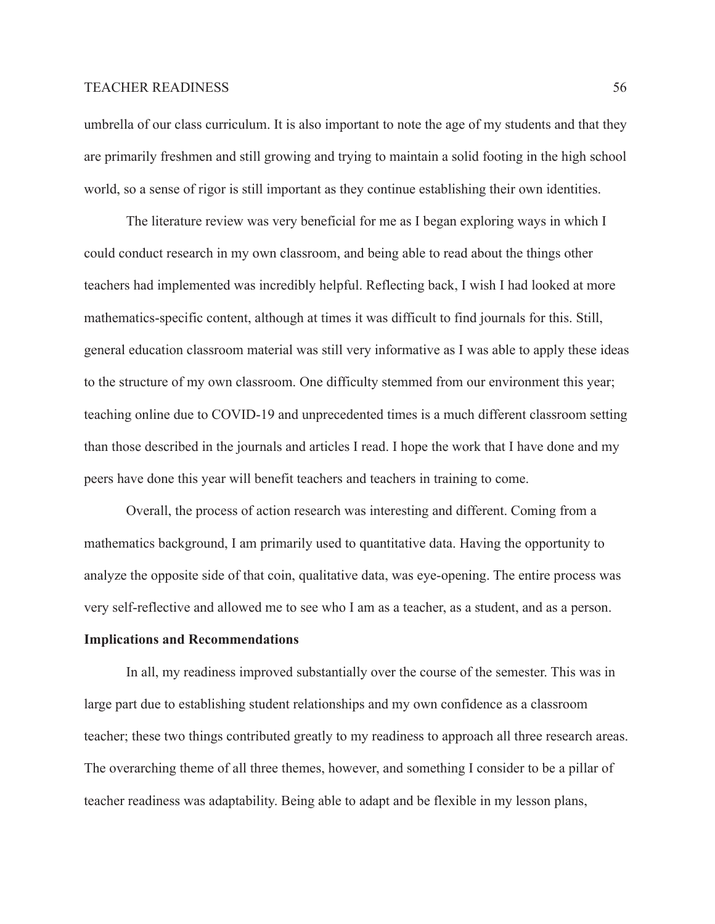umbrella of our class curriculum. It is also important to note the age of my students and that they are primarily freshmen and still growing and trying to maintain a solid footing in the high school world, so a sense of rigor is still important as they continue establishing their own identities.

The literature review was very beneficial for me as I began exploring ways in which I could conduct research in my own classroom, and being able to read about the things other teachers had implemented was incredibly helpful. Reflecting back, I wish I had looked at more mathematics-specific content, although at times it was difficult to find journals for this. Still, general education classroom material was still very informative as I was able to apply these ideas to the structure of my own classroom. One difficulty stemmed from our environment this year; teaching online due to COVID-19 and unprecedented times is a much different classroom setting than those described in the journals and articles I read. I hope the work that I have done and my peers have done this year will benefit teachers and teachers in training to come.

Overall, the process of action research was interesting and different. Coming from a mathematics background, I am primarily used to quantitative data. Having the opportunity to analyze the opposite side of that coin, qualitative data, was eye-opening. The entire process was very self-reflective and allowed me to see who I am as a teacher, as a student, and as a person.

#### **Implications and Recommendations**

In all, my readiness improved substantially over the course of the semester. This was in large part due to establishing student relationships and my own confidence as a classroom teacher; these two things contributed greatly to my readiness to approach all three research areas. The overarching theme of all three themes, however, and something I consider to be a pillar of teacher readiness was adaptability. Being able to adapt and be flexible in my lesson plans,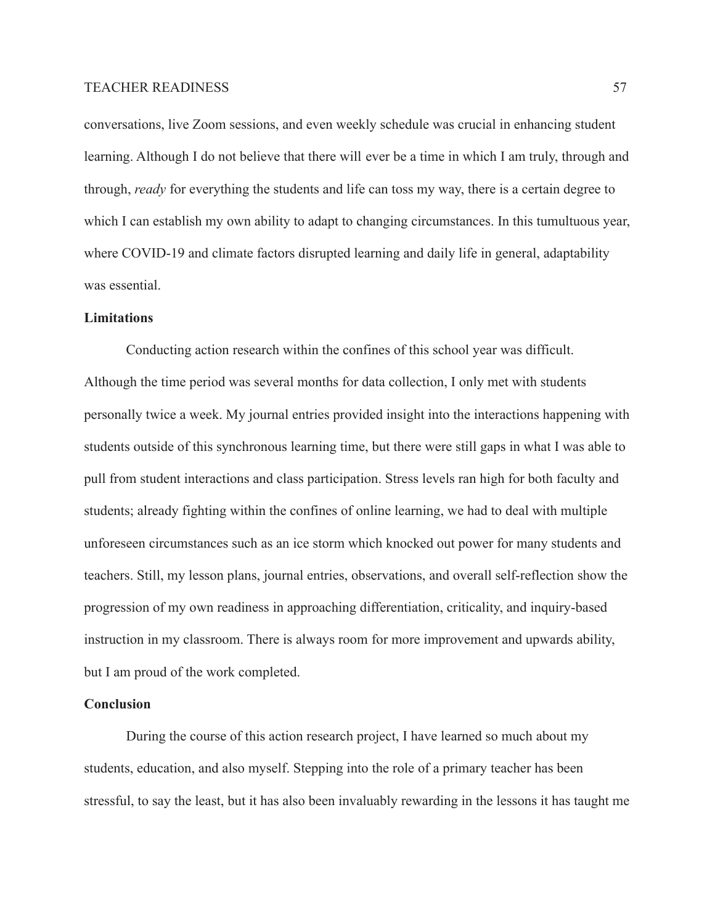conversations, live Zoom sessions, and even weekly schedule was crucial in enhancing student learning. Although I do not believe that there will ever be a time in which I am truly, through and through, *ready* for everything the students and life can toss my way, there is a certain degree to which I can establish my own ability to adapt to changing circumstances. In this tumultuous year, where COVID-19 and climate factors disrupted learning and daily life in general, adaptability was essential.

#### **Limitations**

Conducting action research within the confines of this school year was difficult. Although the time period was several months for data collection, I only met with students personally twice a week. My journal entries provided insight into the interactions happening with students outside of this synchronous learning time, but there were still gaps in what I was able to pull from student interactions and class participation. Stress levels ran high for both faculty and students; already fighting within the confines of online learning, we had to deal with multiple unforeseen circumstances such as an ice storm which knocked out power for many students and teachers. Still, my lesson plans, journal entries, observations, and overall self-reflection show the progression of my own readiness in approaching differentiation, criticality, and inquiry-based instruction in my classroom. There is always room for more improvement and upwards ability, but I am proud of the work completed.

#### **Conclusion**

During the course of this action research project, I have learned so much about my students, education, and also myself. Stepping into the role of a primary teacher has been stressful, to say the least, but it has also been invaluably rewarding in the lessons it has taught me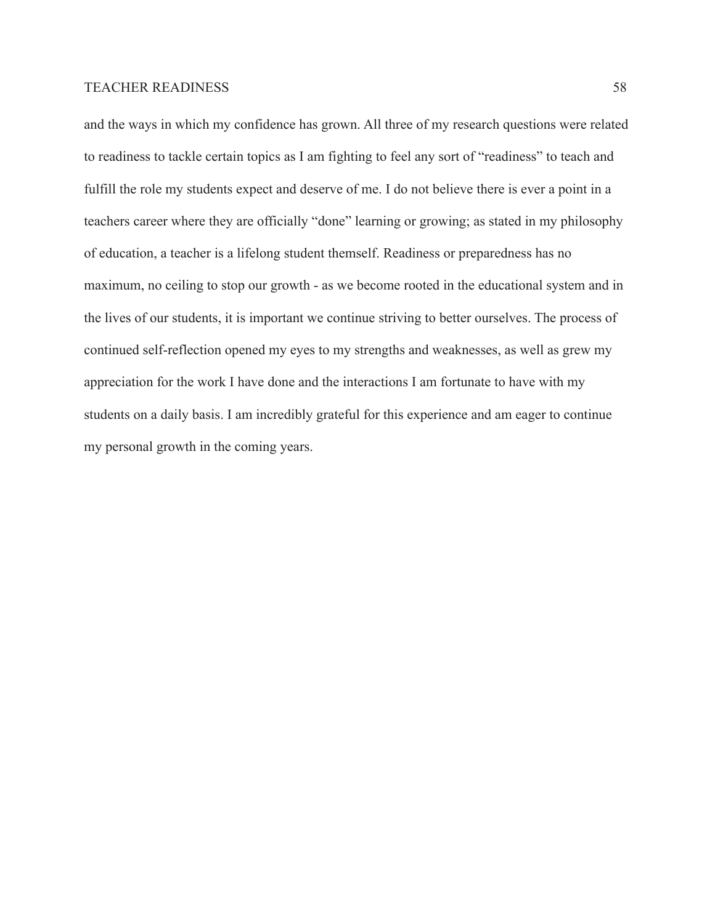and the ways in which my confidence has grown. All three of my research questions were related to readiness to tackle certain topics as I am fighting to feel any sort of "readiness" to teach and fulfill the role my students expect and deserve of me. I do not believe there is ever a point in a teachers career where they are officially "done" learning or growing; as stated in my philosophy of education, a teacher is a lifelong student themself. Readiness or preparedness has no maximum, no ceiling to stop our growth - as we become rooted in the educational system and in the lives of our students, it is important we continue striving to better ourselves. The process of continued self-reflection opened my eyes to my strengths and weaknesses, as well as grew my appreciation for the work I have done and the interactions I am fortunate to have with my students on a daily basis. I am incredibly grateful for this experience and am eager to continue my personal growth in the coming years.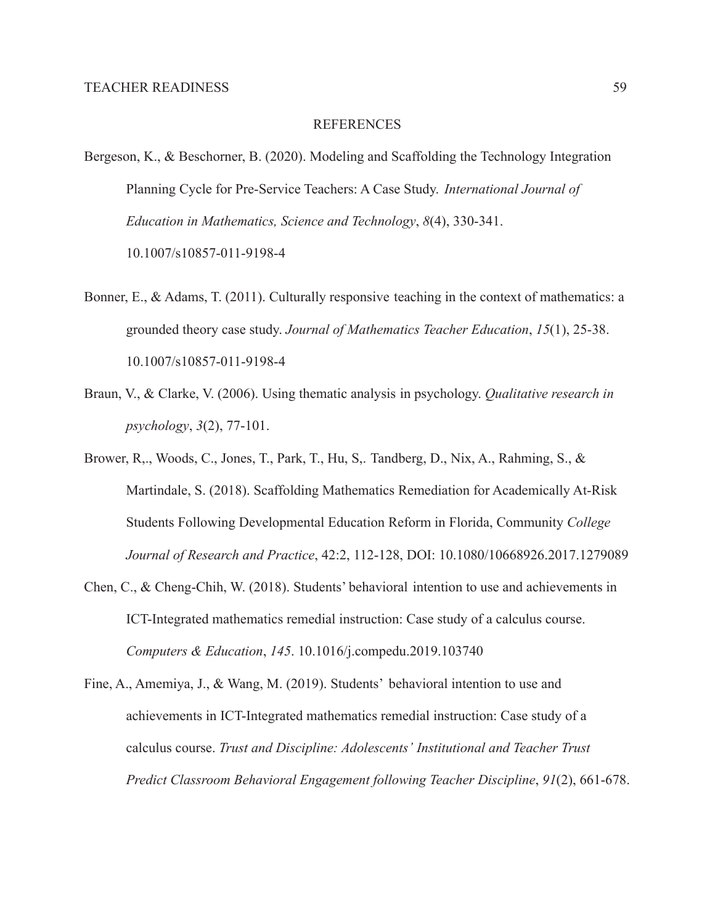#### REFERENCES

- Bergeson, K., & Beschorner, B. (2020). Modeling and Scaffolding the Technology Integration Planning Cycle for Pre-Service Teachers: A Case Study. *International Journal of Education in Mathematics, Science and Technology*, *8*(4), 330-341. 10.1007/s10857-011-9198-4
- Bonner, E., & Adams, T. (2011). Culturally responsive teaching in the context of mathematics: a grounded theory case study. *Journal of Mathematics Teacher Education*, *15*(1), 25-38. 10.1007/s10857-011-9198-4
- Braun, V., & Clarke, V. (2006). Using thematic analysis in psychology. *Qualitative research in psychology*, *3*(2), 77-101.
- Brower, R,., Woods, C., Jones, T., Park, T., Hu, S,. Tandberg, D., Nix, A., Rahming, S., & Martindale, S. (2018). Scaffolding Mathematics Remediation for Academically At-Risk Students Following Developmental Education Reform in Florida, Community *College Journal of Research and Practice*, 42:2, 112-128, DOI: 10.1080/10668926.2017.1279089
- Chen, C., & Cheng-Chih, W. (2018). Students' behavioral intention to use and achievements in ICT-Integrated mathematics remedial instruction: Case study of a calculus course. *Computers & Education*, *145*. 10.1016/j.compedu.2019.103740
- Fine, A., Amemiya, J., & Wang, M. (2019). Students' behavioral intention to use and achievements in ICT-Integrated mathematics remedial instruction: Case study of a calculus course. *Trust and Discipline: Adolescents' Institutional and Teacher Trust Predict Classroom Behavioral Engagement following Teacher Discipline*, *91*(2), 661-678.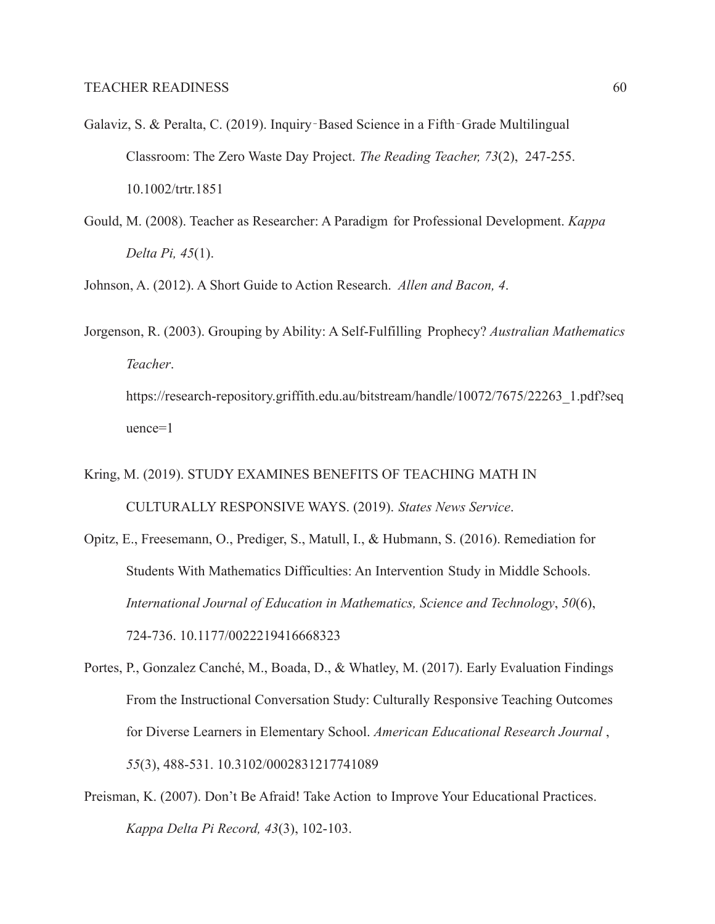- Galaviz, S. & Peralta, C. (2019). Inquiry‐Based Science in a Fifth‐Grade Multilingual Classroom: The Zero Waste Day Project. *The Reading Teacher, 73*(2), 247-255. 10.1002/trtr.1851
- Gould, M. (2008). Teacher as Researcher: A Paradigm for Professional Development. *Kappa Delta Pi, 45*(1).

Johnson, A. (2012). A Short Guide to Action Research. *Allen and Bacon, 4*.

- Jorgenson, R. (2003). Grouping by Ability: A Self-Fulfilling Prophecy? *Australian Mathematics Teacher*. https://research-repository.griffith.edu.au/bitstream/handle/10072/7675/22263\_1.pdf?seq uence=1
- Kring, M. (2019). STUDY EXAMINES BENEFITS OF TEACHING MATH IN CULTURALLY RESPONSIVE WAYS. (2019). *States News Service*.
- Opitz, E., Freesemann, O., Prediger, S., Matull, I., & Hubmann, S. (2016). Remediation for Students With Mathematics Difficulties: An Intervention Study in Middle Schools. *International Journal of Education in Mathematics, Science and Technology*, *50*(6), 724-736. 10.1177/0022219416668323
- Portes, P., Gonzalez Canché, M., Boada, D., & Whatley, M. (2017). Early Evaluation Findings From the Instructional Conversation Study: Culturally Responsive Teaching Outcomes for Diverse Learners in Elementary School. *American Educational Research Journal* , *55*(3), 488-531. 10.3102/0002831217741089
- Preisman, K. (2007). Don't Be Afraid! Take Action to Improve Your Educational Practices. *Kappa Delta Pi Record, 43*(3), 102-103.